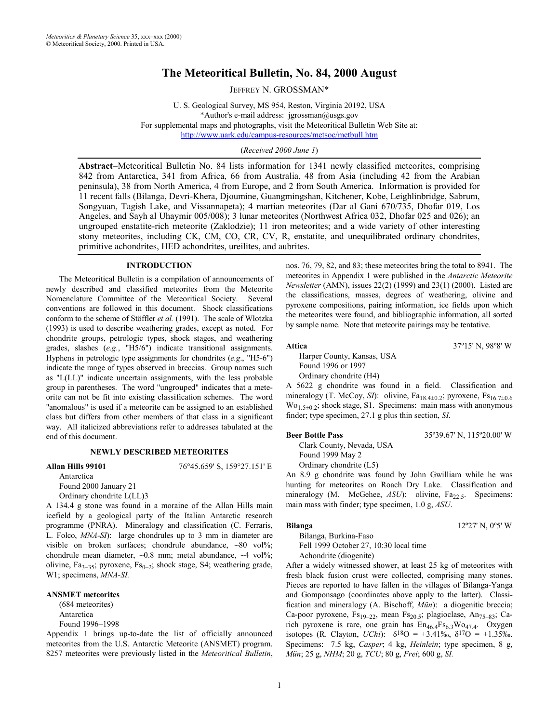# **The Meteoritical Bulletin, No. 84, 2000 August**

JEFFREY N. GROSSMAN\*

U. S. Geological Survey, MS 954, Reston, Virginia 20192, USA \*Author's e-mail address: jgrossman@usgs.gov For supplemental maps and photographs, visit the Meteoritical Bulletin Web Site at: http://www.uark.edu/campus-resources/metsoc/metbull.htm

(*Received 2000 June 1*)

**Abstract**−Meteoritical Bulletin No. 84 lists information for 1341 newly classified meteorites, comprising 842 from Antarctica, 341 from Africa, 66 from Australia, 48 from Asia (including 42 from the Arabian peninsula), 38 from North America, 4 from Europe, and 2 from South America. Information is provided for 11 recent falls (Bilanga, Devri-Khera, Djoumine, Guangmingshan, Kitchener, Kobe, Leighlinbridge, Sabrum, Songyuan, Tagish Lake, and Vissannapeta); 4 martian meteorites (Dar al Gani 670/735, Dhofar 019, Los Angeles, and Sayh al Uhaymir 005/008); 3 lunar meteorites (Northwest Africa 032, Dhofar 025 and 026); an ungrouped enstatite-rich meteorite (Zaklodzie); 11 iron meteorites; and a wide variety of other interesting stony meteorites, including CK, CM, CO, CR, CV, R, enstatite, and unequilibrated ordinary chondrites, primitive achondrites, HED achondrites, ureilites, and aubrites.

#### **INTRODUCTION**

The Meteoritical Bulletin is a compilation of announcements of newly described and classified meteorites from the Meteorite Nomenclature Committee of the Meteoritical Society. Several conventions are followed in this document. Shock classifications conform to the scheme of Stöffler *et al.* (1991). The scale of Wlotzka (1993) is used to describe weathering grades, except as noted. For chondrite groups, petrologic types, shock stages, and weathering grades, slashes (*e.g.*, "H5/6") indicate transitional assignments. Hyphens in petrologic type assignments for chondrites (*e.g*., "H5-6") indicate the range of types observed in breccias. Group names such as "L(LL)" indicate uncertain assignments, with the less probable group in parentheses. The word "ungrouped" indicates that a meteorite can not be fit into existing classification schemes. The word "anomalous" is used if a meteorite can be assigned to an established class but differs from other members of that class in a significant way. All italicized abbreviations refer to addresses tabulated at the end of this document.

#### **NEWLY DESCRIBED METEORITES**

**Allan Hills 99101** 76°45.659' S, 159°27.151' E

Antarctica Found 2000 January 21

Ordinary chondrite L(LL)3

A 134.4 g stone was found in a moraine of the Allan Hills main icefield by a geological party of the Italian Antarctic research programme (PNRA). Mineralogy and classification (C. Ferraris, L. Folco, *MNA-SI*): large chondrules up to 3 mm in diameter are visible on broken surfaces; chondrule abundance, ∼80 vol%; chondrule mean diameter, ∼0.8 mm; metal abundance, ∼4 vol%; olivine,  $Fa_{3-35}$ ; pyroxene,  $Fs_{0-2}$ ; shock stage, S4; weathering grade, W1; specimens, *MNA-SI.*

#### **ANSMET meteorites**

(684 meteorites) Antarctica Found 1996–1998

Appendix 1 brings up-to-date the list of officially announced meteorites from the U.S. Antarctic Meteorite (ANSMET) program. 8257 meteorites were previously listed in the *Meteoritical Bulletin*, nos. 76, 79, 82, and 83; these meteorites bring the total to 8941. The meteorites in Appendix 1 were published in the *Antarctic Meteorite Newsletter* (AMN), issues 22(2) (1999) and 23(1) (2000). Listed are the classifications, masses, degrees of weathering, olivine and pyroxene compositions, pairing information, ice fields upon which the meteorites were found, and bibliographic information, all sorted by sample name. Note that meteorite pairings may be tentative.

**Attica** 37º15' N, 98º8' W

Harper County, Kansas, USA Found 1996 or 1997 Ordinary chondrite (H4)

A 5622 g chondrite was found in a field. Classification and mineralogy (T. McCoy, SI): olivine, Fa<sub>18.4±0.2</sub>; pyroxene, Fs<sub>16.7±0.6</sub>  $\text{Wo}_{1.5\pm0.2}$ ; shock stage, S1. Specimens: main mass with anonymous finder; type specimen, 27.1 g plus thin section, *SI*.

Clark County, Nevada, USA Found 1999 May 2

Ordinary chondrite (L5)

An 8.9 g chondrite was found by John Gwilliam while he was hunting for meteorites on Roach Dry Lake. Classification and mineralogy (M. McGehee, *ASU*): olivine, Fa<sub>22.5</sub>. Specimens: main mass with finder; type specimen, 1.0 g, *ASU*.

Bilanga, Burkina-Faso Fell 1999 October 27, 10:30 local time Achondrite (diogenite)

After a widely witnessed shower, at least 25 kg of meteorites with fresh black fusion crust were collected, comprising many stones. Pieces are reported to have fallen in the villages of Bilanga-Yanga and Gomponsago (coordinates above apply to the latter). Classification and mineralogy (A. Bischoff, *Mün*): a diogenitic breccia; Ca-poor pyroxene,  $Fs_{19-22}$ , mean  $Fs_{20.5}$ ; plagioclase, An<sub>75–83</sub>; Carich pyroxene is rare, one grain has  $En_{46.4}Fs_{6.3}Wo_{47.4}$ . Oxygen isotopes (R. Clayton, *UChi*):  $\delta^{18}O = +3.41\%$ ,  $\delta^{17}O = +1.35\%$ . Specimens: 7.5 kg, *Casper*; 4 kg, *Heinlein*; type specimen, 8 g, *Mün*; 25 g, *NHM*; 20 g, *TCU*; 80 g, *Frei*; 600 g, *SI.* 

**Beer Bottle Pass** 35°39.67' N, 115°20.00' W

**Bilanga** 12°27' N, 0°5' W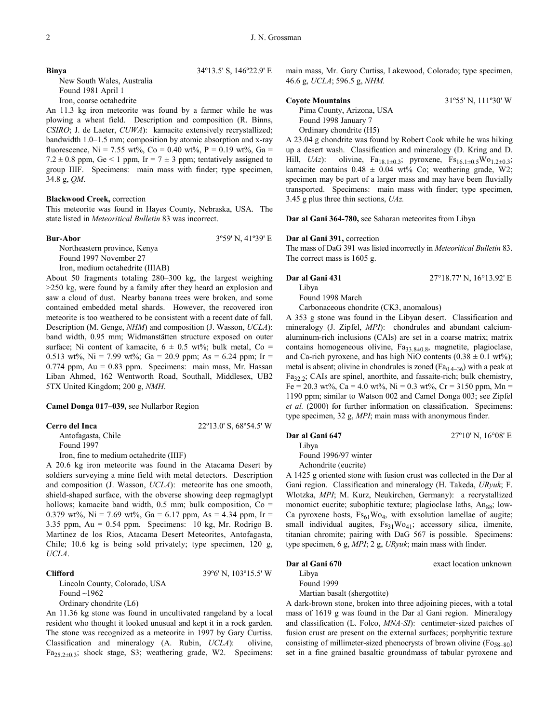#### **Binya** 34°13.5' S, 146°22.9' E

New South Wales, Australia Found 1981 April 1 Iron, coarse octahedrite

An 11.3 kg iron meteorite was found by a farmer while he was plowing a wheat field. Description and composition (R. Binns, *CSIRO*; J. de Laeter, *CUWA*): kamacite extensively recrystallized; bandwidth 1.0–1.5 mm; composition by atomic absorption and x-ray fluorescence, Ni = 7.55 wt%, Co = 0.40 wt%, P = 0.19 wt%, Ga = 7.2  $\pm$  0.8 ppm, Ge < 1 ppm, Ir = 7  $\pm$  3 ppm; tentatively assigned to group IIIF. Specimens: main mass with finder; type specimen, 34.8 g, *QM*.

#### **Blackwood Creek,** correction

This meteorite was found in Hayes County, Nebraska, USA. The state listed in *Meteoritical Bulletin* 83 was incorrect.

#### **Bur-Abor** 3°59' N, 41°39' E

Northeastern province, Kenya Found 1997 November 27 Iron, medium octahedrite (IIIAB)

About 50 fragments totaling 280–300 kg, the largest weighing >250 kg, were found by a family after they heard an explosion and saw a cloud of dust. Nearby banana trees were broken, and some contained embedded metal shards. However, the recovered iron meteorite is too weathered to be consistent with a recent date of fall. Description (M. Genge, *NHM*) and composition (J. Wasson, *UCLA*): band width, 0.95 mm; Widmanstätten structure exposed on outer surface; Ni content of kamacite,  $6 \pm 0.5$  wt%; bulk metal, Co = 0.513 wt%, Ni = 7.99 wt%; Ga = 20.9 ppm; As = 6.24 ppm; Ir = 0.774 ppm, Au = 0.83 ppm. Specimens: main mass, Mr. Hassan Liban Ahmed, 162 Wentworth Road, Southall, Middlesex, UB2 5TX United Kingdom; 200 g, *NMH*.

**Camel Donga 017–039,** see Nullarbor Region

### **Cerro del Inca** 22º13.0' S, 68º54.5' W

Antofagasta, Chile Found 1997

Iron, fine to medium octahedrite (IIIF)

A 20.6 kg iron meteorite was found in the Atacama Desert by soldiers surveying a mine field with metal detectors. Description and composition (J. Wasson, *UCLA*): meteorite has one smooth, shield-shaped surface, with the obverse showing deep regmaglypt hollows; kamacite band width,  $0.5$  mm; bulk composition,  $Co =$ 0.379 wt%, Ni = 7.69 wt%, Ga = 6.17 ppm, As = 4.34 ppm, Ir = 3.35 ppm, Au = 0.54 ppm. Specimens: 10 kg, Mr. Rodrigo B. Martinez de los Rios, Atacama Desert Meteorites, Antofagasta, Chile; 10.6 kg is being sold privately; type specimen, 120 g, *UCLA*.

#### **Clifford** 39º6' N, 103º15.5' W

Lincoln County, Colorado, USA Found ∼1962 Ordinary chondrite (L6)

An 11.36 kg stone was found in uncultivated rangeland by a local resident who thought it looked unusual and kept it in a rock garden. The stone was recognized as a meteorite in 1997 by Gary Curtiss. Classification and mineralogy (A. Rubin, *UCLA*): olivine,  $Fa_{25.2\pm0.3}$ ; shock stage, S3; weathering grade, W2. Specimens:

main mass, Mr. Gary Curtiss, Lakewood, Colorado; type specimen, 46.6 g, *UCLA*; 596.5 g, *NHM.*

#### **Coyote Mountains** 31º55' N, 111º30' W

Pima County, Arizona, USA Found 1998 January 7 Ordinary chondrite (H5)

A 23.04 g chondrite was found by Robert Cook while he was hiking up a desert wash. Classification and mineralogy (D. Kring and D. Hill, *UAz*): olivine,  $Fa_{18.1\pm0.3}$ ; pyroxene,  $Fs_{16.1\pm0.5}Wo_{1.2\pm0.3}$ ; kamacite contains  $0.48 \pm 0.04$  wt% Co; weathering grade, W2; specimen may be part of a larger mass and may have been fluvially transported. Specimens: main mass with finder; type specimen, 3.45 g plus three thin sections, *UAz.* 

**Dar al Gani 364-780,** see Saharan meteorites from Libya

#### **Dar al Gani 391,** correction

The mass of DaG 391 was listed incorrectly in *Meteoritical Bulletin* 83. The correct mass is 1605 g.

# Libya

Found 1998 March

Carbonaceous chondrite (CK3, anomalous)

A 353 g stone was found in the Libyan desert. Classification and mineralogy (J. Zipfel, *MPI*): chondrules and abundant calciumaluminum-rich inclusions (CAIs) are set in a coarse matrix; matrix contains homogeneous olivine,  $Fa_{33.8\pm0.8}$ , magnetite, plagioclase, and Ca-rich pyroxene, and has high NiO contents  $(0.38 \pm 0.1 \text{ wt\%})$ ; metal is absent; olivine in chondrules is zoned  $(Fa_{0,4-36})$  with a peak at Fa32.2; CAIs are spinel, anorthite, and fassaite-rich; bulk chemistry,  $Fe = 20.3$  wt%,  $Ca = 4.0$  wt%,  $Ni = 0.3$  wt%,  $Cr = 3150$  ppm,  $Mn =$ 1190 ppm; similar to Watson 002 and Camel Donga 003; see Zipfel *et al.* (2000) for further information on classification. Specimens: type specimen, 32 g, *MPI*; main mass with anonymous finder.

Libya Found 1996/97 winter

Achondrite (eucrite)

A 1425 g oriented stone with fusion crust was collected in the Dar al Gani region. Classification and mineralogy (H. Takeda, *URyuk*; F. Wlotzka, *MPI*; M. Kurz, Neukirchen, Germany): a recrystallized monomict eucrite; subophitic texture; plagioclase laths,  $An_{88}$ ; low-Ca pyroxene hosts,  $Fs_{61}Wo_4$ , with exsolution lamellae of augite; small individual augites,  $Fs_{31}Wo_{41}$ ; accessory silica, ilmenite, titanian chromite; pairing with DaG 567 is possible. Specimens: type specimen, 6 g, *MPI*; 2 g, *URyuk*; main mass with finder.

#### **Dar al Gani 670 exact location unknown**

Libya Found 1999

Martian basalt (shergottite)

A dark-brown stone, broken into three adjoining pieces, with a total mass of 1619 g was found in the Dar al Gani region. Mineralogy and classification (L. Folco, *MNA-SI*): centimeter-sized patches of fusion crust are present on the external surfaces; porphyritic texture consisting of millimeter-sized phenocrysts of brown olivine  $(F_{0.58-80})$ set in a fine grained basaltic groundmass of tabular pyroxene and

# **Dar al Gani 431** 27°18.77' N, 16°13.92' E

**Dar al Gani 647** 27º10' N, 16°08' E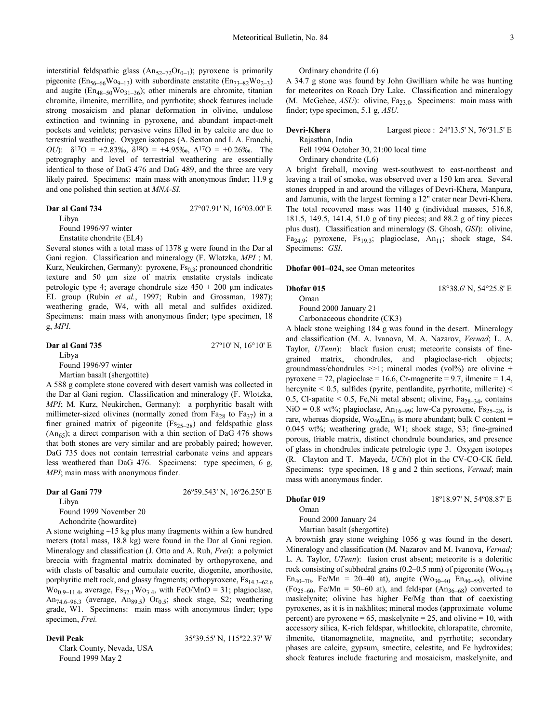interstitial feldspathic glass  $(An_{52-72}Or_{0-1})$ ; pyroxene is primarily pigeonite ( $En_{56-66}Wo_{9-13}$ ) with subordinate enstatite ( $En_{73-82}Wo_{2-3}$ ) and augite  $(En_{48-50}Wo_{31-36})$ ; other minerals are chromite, titanian chromite, ilmenite, merrillite, and pyrrhotite; shock features include strong mosaicism and planar deformation in olivine, undulose extinction and twinning in pyroxene, and abundant impact-melt pockets and veinlets; pervasive veins filled in by calcite are due to terrestrial weathering. Oxygen isotopes (A. Sexton and I. A. Franchi, *OU*):  $\delta^{17}$ O = +2.83‰,  $\delta^{18}$ O = +4.95‰,  $\Delta^{17}$ O = +0.26‰. The petrography and level of terrestrial weathering are essentially identical to those of DaG 476 and DaG 489, and the three are very likely paired. Specimens: main mass with anonymous finder; 11.9 g and one polished thin section at *MNA-SI*.

#### **Dar al Gani 734** 27°07.91' N, 16°03.00' E

Libya

Found 1996/97 winter

Enstatite chondrite (EL4)

Several stones with a total mass of 1378 g were found in the Dar al Gani region. Classification and mineralogy (F. Wlotzka, *MPI* ; M. Kurz, Neukirchen, Germany): pyroxene,  $Fs<sub>0.3</sub>$ ; pronounced chondritic texture and 50 µm size of matrix enstatite crystals indicate petrologic type 4; average chondrule size  $450 \pm 200$  µm indicates EL group (Rubin *et al.*, 1997; Rubin and Grossman, 1987); weathering grade, W4, with all metal and sulfides oxidized. Specimens: main mass with anonymous finder; type specimen, 18 g, *MPI*.

# **Dar al Gani 735** 27º10' N, 16°10' E

Libya

Found 1996/97 winter

Martian basalt (shergottite)

A 588 g complete stone covered with desert varnish was collected in the Dar al Gani region. Classification and mineralogy (F. Wlotzka, *MPI*; M. Kurz, Neukirchen, Germany): a porphyritic basalt with millimeter-sized olivines (normally zoned from  $Fa_{28}$  to  $Fa_{37}$ ) in a finer grained matrix of pigeonite  $(Fs_{25-28})$  and feldspathic glass  $(An<sub>65</sub>)$ ; a direct comparison with a thin section of DaG 476 shows that both stones are very similar and are probably paired; however, DaG 735 does not contain terrestrial carbonate veins and appears less weathered than DaG 476. Specimens: type specimen, 6 g, *MPI*; main mass with anonymous finder.

### **Dar al Gani 779** 26º59.543' N, 16º26.250' E

Libya

Found 1999 November 20

Achondrite (howardite)

A stone weighing ∼15 kg plus many fragments within a few hundred meters (total mass, 18.8 kg) were found in the Dar al Gani region. Mineralogy and classification (J. Otto and A. Ruh, *Frei*): a polymict breccia with fragmental matrix dominated by orthopyroxene, and with clasts of basaltic and cumulate eucrite, diogenite, anorthosite, porphyritic melt rock, and glassy fragments; orthopyroxene,  $Fs_{14.3-62.6}$  $\text{Wo}_{0.9-11.4}$ , average,  $\text{Fs}_{32.1}\text{Wo}_{3.4}$ , with  $\text{FeO/MnO} = 31$ ; plagioclase, An<sub>74.6–96.3</sub> (average, An<sub>89.5</sub>) Or<sub>0.5</sub>; shock stage, S2; weathering grade, W1. Specimens: main mass with anonymous finder; type specimen, *Frei.* 

### **Devil Peak** 35º39.55' N, 115º22.37' W

Clark County, Nevada, USA Found 1999 May 2

Ordinary chondrite (L6)

A 34.7 g stone was found by John Gwilliam while he was hunting for meteorites on Roach Dry Lake. Classification and mineralogy (M. McGehee,  $ASU$ ): olivine,  $Fa_{23.0}$ . Specimens: main mass with finder; type specimen, 5.1 g, *ASU*.

### **Devri-Khera** Largest piece : 24°13.5' N, 76°31.5' E

Rajasthan, India Fell 1994 October 30, 21:00 local time Ordinary chondrite (L6)

A bright fireball, moving west-southwest to east-northeast and leaving a trail of smoke, was observed over a 150 km area. Several stones dropped in and around the villages of Devri-Khera, Manpura, and Jamunia, with the largest forming a 12" crater near Devri-Khera. The total recovered mass was 1140 g (individual masses, 516.8, 181.5, 149.5, 141.4, 51.0 g of tiny pieces; and 88.2 g of tiny pieces plus dust). Classification and mineralogy (S. Ghosh, *GSI*): olivine, Fa<sub>24.9</sub>; pyroxene, Fs<sub>19.3</sub>; plagioclase, An<sub>11</sub>; shock stage, S4. Specimens: *GSI*.

#### **Dhofar 001–024,** see Oman meteorites

#### **Dhofar 015 18°38.6' N, 54°25.8' E**

Oman

Found 2000 January 21 Carbonaceous chondrite (CK3)

A black stone weighing 184 g was found in the desert. Mineralogy and classification (M. A. Ivanova, M. A. Nazarov, *Vernad*; L. A. Taylor, *UTenn*): black fusion crust; meteorite consists of finegrained matrix, chondrules, and plagioclase-rich objects; groundmass/chondrules  $\gg$ 1; mineral modes (vol%) are olivine + pyroxene = 72, plagioclase = 16.6, Cr-magnetite = 9.7, ilmenite = 1.4, hercynite < 0.5, sulfides (pyrite, pentlandite, pyrrhotite, millerite) < 0.5, Cl-apatite  $< 0.5$ , Fe, Ni metal absent; olivine, Fa<sub>28–34</sub>, contains NiO = 0.8 wt%; plagioclase,  $An_{16-99}$ ; low-Ca pyroxene,  $Fs_{25-28}$ , is rare, whereas diopside,  $\text{Wo}_{46}\text{En}_{46}$  is more abundant; bulk C content = 0.045 wt%; weathering grade, W1; shock stage, S3; fine-grained porous, friable matrix, distinct chondrule boundaries, and presence of glass in chondrules indicate petrologic type 3. Oxygen isotopes (R. Clayton and T. Mayeda, *UChi*) plot in the CV-CO-CK field. Specimens: type specimen, 18 g and 2 thin sections, *Vernad*; main mass with anonymous finder.

## **Dhofar 019** 18º18.97' N, 54º08.87' E

Oman Found 2000 January 24

# Martian basalt (shergottite)

A brownish gray stone weighing 1056 g was found in the desert. Mineralogy and classification (M. Nazarov and M. Ivanova, *Vernad;*  L. A. Taylor, *UTenn*): fusion crust absent; meteorite is a doleritic rock consisting of subhedral grains (0.2–0.5 mm) of pigeonite ( $\text{Wo}_{9-15}$ ) En<sub>40–70</sub>, Fe/Mn = 20–40 at), augite (Wo<sub>30–40</sub> En<sub>40–55</sub>), olivine  $(Fo_{25-60}$ , Fe/Mn = 50–60 at), and feldspar  $(An_{36-68})$  converted to maskelynite; olivine has higher Fe/Mg than that of coexisting pyroxenes, as it is in nakhlites; mineral modes (approximate volume percent) are pyroxene =  $65$ , maskelynite =  $25$ , and olivine =  $10$ , with accessory silica, K-rich feldspar, whitlockite, chlorapatite, chromite, ilmenite, titanomagnetite, magnetite, and pyrrhotite; secondary phases are calcite, gypsum, smectite, celestite, and Fe hydroxides; shock features include fracturing and mosaicism, maskelynite, and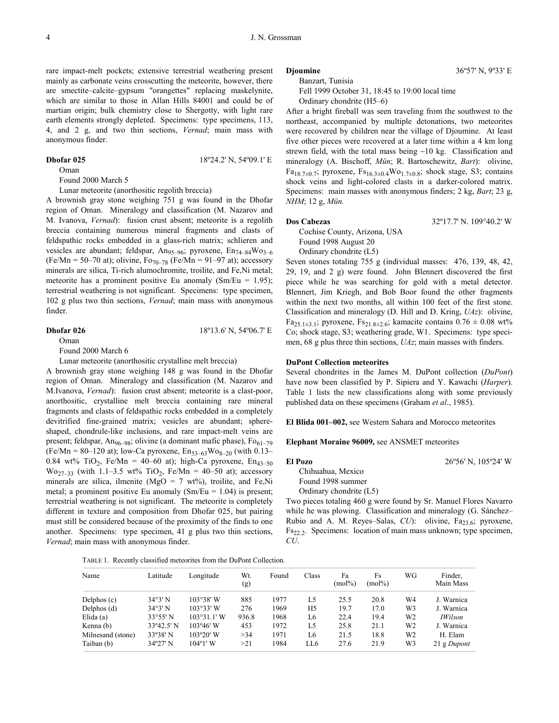rare impact-melt pockets; extensive terrestrial weathering present mainly as carbonate veins crosscutting the meteorite, however, there are smectite–calcite–gypsum "orangettes" replacing maskelynite, which are similar to those in Allan Hills 84001 and could be of martian origin; bulk chemistry close to Shergotty, with light rare earth elements strongly depleted. Specimens: type specimens, 113, 4, and 2 g, and two thin sections, *Vernad*; main mass with anonymous finder.

#### **Dhofar 025** 18°24.2' N, 54°09.1' E

Oman

Found 2000 March 5

Lunar meteorite (anorthositic regolith breccia)

A brownish gray stone weighing 751 g was found in the Dhofar region of Oman. Mineralogy and classification (M. Nazarov and M. Ivanova, *Vernad*): fusion crust absent; meteorite is a regolith breccia containing numerous mineral fragments and clasts of feldspathic rocks embedded in a glass-rich matrix; schlieren and vesicles are abundant; feldspar,  $An_{95-96}$ ; pyroxene,  $En_{74-84}Wo_{3-6}$ (Fe/Mn = 50–70 at); olivine,  $Fo_{70-78}$  (Fe/Mn = 91–97 at); accessory minerals are silica, Ti-rich alumochromite, troilite, and Fe,Ni metal; meteorite has a prominent positive Eu anomaly (Sm/Eu = 1.95); terrestrial weathering is not significant. Specimens: type specimen, 102 g plus two thin sections, *Vernad*; main mass with anonymous finder.

#### **Dhofar 026** 18°13.6' N, 54°06.7' E

Oman

Found 2000 March 6

Lunar meteorite (anorthositic crystalline melt breccia)

A brownish gray stone weighing 148 g was found in the Dhofar region of Oman. Mineralogy and classification (M. Nazarov and M.Ivanova, *Vernad*): fusion crust absent; meteorite is a clast-poor, anorthositic, crystalline melt breccia containing rare mineral fragments and clasts of feldspathic rocks embedded in a completely devitrified fine-grained matrix; vesicles are abundant; sphereshaped, chondrule-like inclusions, and rare impact-melt veins are present; feldspar, An<sub>96–98</sub>; olivine (a dominant mafic phase),  $Fo_{61-79}$ (Fe/Mn = 80–120 at); low-Ca pyroxene,  $En_{53-63}Wo_{8-20}$  (with 0.13– 0.84 wt% TiO<sub>2</sub>, Fe/Mn = 40–60 at); high-Ca pyroxene, En<sub>43–50</sub> Wo<sub>27–33</sub> (with 1.1–3.5 wt% TiO<sub>2</sub>, Fe/Mn = 40–50 at); accessory minerals are silica, ilmenite (MgO =  $7 \text{ wt\%}$ ), troilite, and Fe,Ni metal; a prominent positive Eu anomaly  $(Sm/Eu = 1.04)$  is present; terrestrial weathering is not significant. The meteorite is completely different in texture and composition from Dhofar 025, but pairing must still be considered because of the proximity of the finds to one another. Specimens: type specimen, 41 g plus two thin sections, *Vernad*; main mass with anonymous finder.

Banzart, Tunisia

Fell 1999 October 31, 18:45 to 19:00 local time

Ordinary chondrite (H5–6)

After a bright fireball was seen traveling from the southwest to the northeast, accompanied by multiple detonations, two meteorites were recovered by children near the village of Djoumine. At least five other pieces were recovered at a later time within a 4 km long strewn field, with the total mass being ∼10 kg. Classification and mineralogy (A. Bischoff, *Mün*; R. Bartoschewitz, *Bart*): olivine, Fa<sub>18.7±0.7</sub>; pyroxene,  $Fs_{16.3\pm0.4}Wo_{1.7\pm0.8}$ ; shock stage, S3; contains shock veins and light-colored clasts in a darker-colored matrix. Specimens: main masses with anonymous finders; 2 kg, *Bart*; 23 g, *NHM*; 12 g, *Mün.*

#### **Dos Cabezas** 32º17.7' N. 109°40.2' W

Cochise County, Arizona, USA Found 1998 August 20 Ordinary chondrite (L5)

Seven stones totaling 755 g (individual masses: 476, 139, 48, 42, 29, 19, and 2 g) were found. John Blennert discovered the first piece while he was searching for gold with a metal detector. Blennert, Jim Kriegh, and Bob Boor found the other fragments within the next two months, all within 100 feet of the first stone. Classification and mineralogy (D. Hill and D. Kring, *UAz*): olivine, Fa<sub>25.1±3.1</sub>; pyroxene, F<sub>521.8±2.6</sub>; kamacite contains  $0.76 \pm 0.08$  wt%

Co; shock stage, S3; weathering grade, W1. Specimens: type specimen, 68 g plus three thin sections, *UAz*; main masses with finders.

#### **DuPont Collection meteorites**

Several chondrites in the James M. DuPont collection (*DuPont*) have now been classified by P. Sipiera and Y. Kawachi (*Harper*). Table 1 lists the new classifications along with some previously published data on these specimens (Graham *et al*., 1985).

**El Blida 001–002,** see Western Sahara and Morocco meteorites

### **Elephant Moraine 96009,** see ANSMET meteorites

#### **El Pozo** 26º56' N, 105º24' W

Chihuahua, Mexico Found 1998 summer Ordinary chondrite (L5)

Two pieces totaling 460 g were found by Sr. Manuel Flores Navarro while he was plowing. Classification and mineralogy (G. Sánchez– Rubio and A. M. Reyes–Salas, *CU*): olivine, Fa<sub>23.6</sub>; pyroxene, Fs<sub>22.2</sub>. Specimens: location of main mass unknown; type specimen, *CU*.

| TABLE 1. Recently classified meteorites from the DuPont Collection. |  |
|---------------------------------------------------------------------|--|
|                                                                     |  |

| Name              | Latitude          | Longitude          | Wt.<br>(g) | Found | Class | Fa<br>$(mol\%)$ | Fs<br>(mol%) | WG | Finder,<br>Main Mass |
|-------------------|-------------------|--------------------|------------|-------|-------|-----------------|--------------|----|----------------------|
| Delphos (c)       | 34°3' N           | $103^{\circ}38'$ W | 885        | 1977  | L5    | 25.5            | 20.8         | W4 | J. Warnica           |
| Delphos $(d)$     | 34°3' N           | $103°33'$ W        | 276        | 1969  | H5    | 19.7            | 17.0         | W3 | J. Warnica           |
| Elida $(a)$       | 33°55' N          | $103°31.1'$ W      | 936.8      | 1968  | L6    | 22.4            | 19.4         | W2 | <i>IWilson</i>       |
| Kenna (b)         | 33°42.5' N        | $103°46'$ W        | 453        | 1972  | L5    | 25.8            | 21.1         | W2 | J. Warnica           |
| Milnesand (stone) | $33^{\circ}38'$ N | $103^{\circ}20'$ W | >34        | 1971  | L6    | 21.5            | 18.8         | W2 | H. Elam              |
| Taiban (b)        | $34^{\circ}27'$ N | $104^{\circ}1'$ W  | >21        | 1984  | LL6   | 27.6            | 21.9         | W3 | 21 g Dupont          |

**Djoumine** 36°57' N, 9°33' E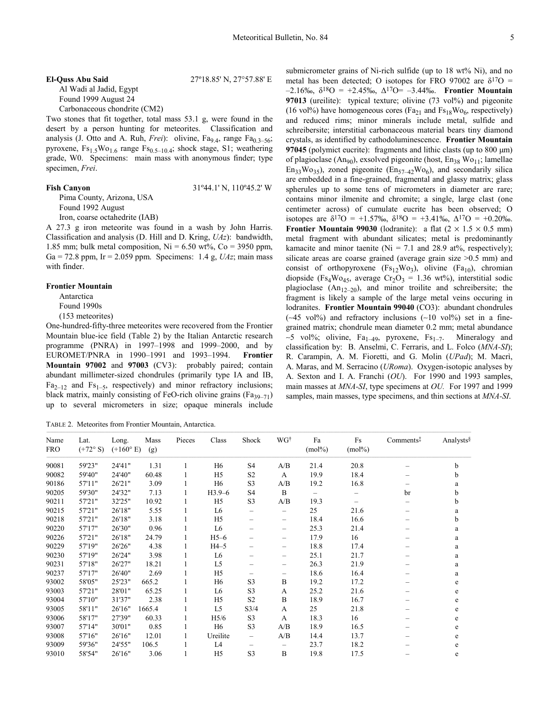### **El-Quss Abu Said** 27º18.85' N, 27°57.88' E Al Wadi al Jadid, Egypt Found 1999 August 24

Carbonaceous chondrite (CM2)

Two stones that fit together, total mass 53.1 g, were found in the desert by a person hunting for meteorites. Classification and analysis (J. Otto and A. Ruh, *Frei*): olivine,  $Fa_{9,4}$ , range  $Fa_{0,3-56}$ ; pyroxene,  $Fs_{1.5}Wo_{1.6} range Fs_{0.5-10.4}$ ; shock stage, S1; weathering grade, W0. Specimens: main mass with anonymous finder; type specimen, *Frei*.

### **Fish Canyon** 31°44.1' N, 110°45.2' W

Pima County, Arizona, USA Found 1992 August

Iron, coarse octahedrite (IAB)

A 27.3 g iron meteorite was found in a wash by John Harris. Classification and analysis (D. Hill and D. Kring, *UAz*): bandwidth, 1.85 mm; bulk metal composition,  $Ni = 6.50$  wt%,  $Co = 3950$  ppm, Ga = 72.8 ppm, Ir = 2.059 ppm. Specimens: 1.4 g, *UAz*; main mass with finder.

#### **Frontier Mountain**

Antarctica

Found 1990s

(153 meteorites)

One-hundred-fifty-three meteorites were recovered from the Frontier Mountain blue-ice field (Table 2) by the Italian Antarctic research programme (PNRA) in 1997–1998 and 1999–2000, and by EUROMET/PNRA in 1990–1991 and 1993–1994. **Frontier Mountain 97002** and **97003** (CV3): probably paired; contain abundant millimeter-sized chondrules (primarily type IA and IB,  $Fa_{2-12}$  and  $Fs_{1-5}$ , respectively) and minor refractory inclusions; black matrix, mainly consisting of FeO-rich olivine grains ( $Fa_{39-71}$ ) up to several micrometers in size; opaque minerals include

TABLE 2. Meteorites from Frontier Mountain, Antarctica.

submicrometer grains of Ni-rich sulfide (up to 18 wt% Ni), and no metal has been detected; O isotopes for FRO 97002 are  $\delta^{17}O =$ –2.16‰, δ18O = +2.45‰, ∆17O= –3.44‰. **Frontier Mountain 97013** (ureilite): typical texture; olivine (73 vol%) and pigeonite (16 vol%) have homogeneous cores ( $Fa_{21}$  and  $Fs_{18}Wo_{6}$ , respectively) and reduced rims; minor minerals include metal, sulfide and schreibersite; interstitial carbonaceous material bears tiny diamond crystals, as identified by cathodoluminescence. **Frontier Mountain 97045** (polymict eucrite): fragments and lithic clasts (up to 800 µm) of plagioclase (An<sub>90</sub>), exsolved pigeonite (host,  $En_{38} Wo_{11}$ ; lamellae  $En_{33}Wo_{35}$ ), zoned pigeonite ( $En_{57-42}Wo_6$ ), and secondarily silica are embedded in a fine-grained, fragmental and glassy matrix; glass spherules up to some tens of micrometers in diameter are rare; contains minor ilmenite and chromite; a single, large clast (one centimeter across) of cumulate eucrite has been observed; O isotopes are  $\delta^{17}O = +1.57\%$ ,  $\delta^{18}O = +3.41\%$ ,  $\Delta^{17}O = +0.20\%$ . **Frontier Mountain 99030** (lodranite): a flat  $(2 \times 1.5 \times 0.5 \text{ mm})$ metal fragment with abundant silicates; metal is predominantly kamacite and minor taenite ( $Ni = 7.1$  and 28.9 at%, respectively); silicate areas are coarse grained (average grain size  $>0.5$  mm) and consist of orthopyroxene  $(Fs_{12}Wo_3)$ , olivine  $(Fa_{10})$ , chromian diopside (Fs<sub>4</sub>Wo<sub>45</sub>, average Cr<sub>2</sub>O<sub>3</sub> = 1.36 wt%), interstitial sodic plagioclase  $(An_{12-20})$ , and minor troilite and schreibersite; the fragment is likely a sample of the large metal veins occuring in lodranites. **Frontier Mountain 99040** (CO3): abundant chondrules (∼45 vol%) and refractory inclusions (∼10 vol%) set in a finegrained matrix; chondrule mean diameter 0.2 mm; metal abundance  $~\sim$ 5 vol%; olivine, Fa<sub>1–49</sub>, pyroxene, Fs<sub>1–7</sub>. Mineralogy and classification by: B. Anselmi, C. Ferraris, and L. Folco (*MNA-SI*); R. Carampin, A. M. Fioretti, and G. Molin (*UPad*); M. Macrì, A. Maras, and M. Serracino (*URoma*). Oxygen-isotopic analyses by A. Sexton and I. A. Franchi (*OU*). For 1990 and 1993 samples, main masses at *MNA-SI*, type specimens at *OU.* For 1997 and 1999 samples, main masses, type specimens, and thin sections at *MNA-SI*.

| Name<br><b>FRO</b> | Lat.<br>$(+72^{\circ} S)$ | Long.<br>$(+160^{\circ} E)$ | Mass<br>(g) | Pieces | Class            | Shock          | WGt               | Fa<br>$(mol\%)$ | Fs<br>$(mol\%)$ | Comments <sup>‡</sup>    | Analysts |
|--------------------|---------------------------|-----------------------------|-------------|--------|------------------|----------------|-------------------|-----------------|-----------------|--------------------------|----------|
| 90081              | 59'23"                    | 24'41"                      | 1.31        |        | H6               | S <sub>4</sub> | A/B               | 21.4            | 20.8            |                          | b        |
| 90082              | 59'40"                    | 24'40"                      | 60.48       |        | H <sub>5</sub>   | S <sub>2</sub> | A                 | 19.9            | 18.4            |                          | b        |
| 90186              | 57'11"                    | 26'21"                      | 3.09        |        | H <sub>6</sub>   | S <sub>3</sub> | A/B               | 19.2            | 16.8            |                          | a        |
| 90205              | 59'30"                    | 24'32"                      | 7.13        |        | $H3.9-6$         | S4             | $\bf{B}$          | -               |                 | br                       | b        |
| 90211              | 57'21"                    | 32'25"                      | 10.92       |        | H <sub>5</sub>   | S <sub>3</sub> | A/B               | 19.3            | -               | $\overline{\phantom{0}}$ | b        |
| 90215              | 57'21"                    | 26'18"                      | 5.55        |        | L <sub>6</sub>   | -              | $\qquad \qquad -$ | 25              | 21.6            |                          | a        |
| 90218              | 57'21"                    | 26'18"                      | 3.18        |        | H <sub>5</sub>   | -              | -                 | 18.4            | 16.6            | -                        | b        |
| 90220              | 57'17"                    | 26'30"                      | 0.96        |        | L <sub>6</sub>   |                | -                 | 25.3            | 21.4            |                          | a        |
| 90226              | 57'21"                    | 26'18"                      | 24.79       |        | $H5-6$           | -              | -                 | 17.9            | 16              | -                        | a        |
| 90229              | 57'19"                    | 26'26"                      | 4.38        |        | $H4-5$           |                | -                 | 18.8            | 17.4            |                          | a        |
| 90230              | 57'19"                    | 26'24"                      | 3.98        |        | L <sub>6</sub>   |                | -                 | 25.1            | 21.7            |                          | a        |
| 90231              | 57'18"                    | 26'27"                      | 18.21       |        | L <sub>5</sub>   |                | -                 | 26.3            | 21.9            |                          | a        |
| 90237              | 57'17"                    | 26'40"                      | 2.69        |        | H <sub>5</sub>   |                | -                 | 18.6            | 16.4            |                          | a        |
| 93002              | 58'05"                    | 25'23"                      | 665.2       |        | H <sub>6</sub>   | S <sub>3</sub> | B                 | 19.2            | 17.2            |                          | e        |
| 93003              | 57'21"                    | 28'01"                      | 65.25       |        | L <sub>6</sub>   | S <sub>3</sub> | A                 | 25.2            | 21.6            |                          | e        |
| 93004              | 57'10"                    | 31'37"                      | 2.38        |        | H <sub>5</sub>   | S <sub>2</sub> | B                 | 18.9            | 16.7            |                          | e        |
| 93005              | 58'11"                    | 26'16"                      | 1665.4      |        | L <sub>5</sub>   | S3/4           | A                 | 25              | 21.8            |                          | e        |
| 93006              | 58'17"                    | 27'39"                      | 60.33       |        | H <sub>5/6</sub> | S <sub>3</sub> | A                 | 18.3            | 16              |                          | e        |
| 93007              | 57'14"                    | 30'01"                      | 0.85        |        | H <sub>6</sub>   | S <sub>3</sub> | A/B               | 18.9            | 16.5            |                          | e        |
| 93008              | 57'16"                    | 26'16"                      | 12.01       |        | Ureilite         | -              | A/B               | 14.4            | 13.7            |                          | e        |
| 93009              | 59'36"                    | 24'55"                      | 106.5       |        | L <sub>4</sub>   | -              |                   | 23.7            | 18.2            |                          | e        |
| 93010              | 58'54"                    | 26'16"                      | 3.06        |        | H <sub>5</sub>   | S <sub>3</sub> | B                 | 19.8            | 17.5            |                          | e        |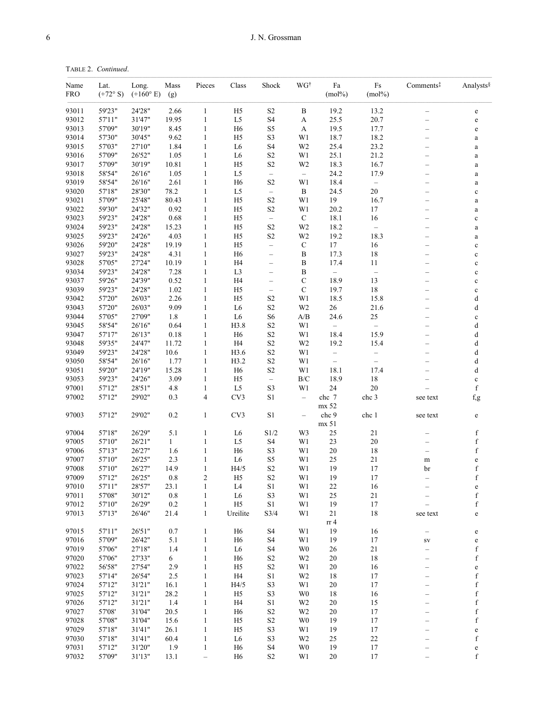| Name<br><b>FRO</b> | Lat.<br>$(+72^{\circ} S)$ | Long.<br>$(+160^{\circ} E)$ | Mass<br>(g)   | Pieces                       | Class                            | Shock                                  | WG†                      | Fa<br>$(mol\%)$          | $\mathop{\text{Fs}}$<br>$(mol\%)$ | Comments <sup>‡</sup>                                | Analysts§                  |
|--------------------|---------------------------|-----------------------------|---------------|------------------------------|----------------------------------|----------------------------------------|--------------------------|--------------------------|-----------------------------------|------------------------------------------------------|----------------------------|
| 93011              | 59'23"                    | 24'28"                      | 2.66          | $\mathbf{1}$                 | H <sub>5</sub>                   | $\rm S2$                               | $\bf{B}$                 | 19.2                     | 13.2                              | $\overline{\phantom{0}}$                             | $\mathbf e$                |
| 93012              | 57'11"                    | 31'47"                      | 19.95         | $\mathbf{1}$                 | L5                               | S <sub>4</sub>                         | A                        | 25.5                     | 20.7                              | $\overline{\phantom{0}}$                             | $\mathbf e$                |
| 93013              | 57'09"                    | 30'19"                      | 8.45          | $\mathbf{1}$                 | H <sub>6</sub>                   | S5                                     | A                        | 19.5                     | 17.7                              | $\overline{\phantom{0}}$                             | $\mathbf e$                |
| 93014              | 57'30"                    | 30'45"                      | 9.62          | $\mathbf{1}$                 | H <sub>5</sub>                   | S <sub>3</sub>                         | W1                       | 18.7                     | 18.2                              | $\overline{\phantom{0}}$                             | $\rm{a}$                   |
| 93015              | 57'03"                    | 27'10"                      | 1.84          | $\mathbf{1}$                 | L <sub>6</sub>                   | S <sub>4</sub>                         | W <sub>2</sub>           | 25.4                     | 23.2                              | -                                                    | $\rm{a}$                   |
| 93016              | 57'09"                    | 26'52"                      | 1.05          | $\mathbf{1}$                 | L <sub>6</sub>                   | S <sub>2</sub>                         | W1                       | 25.1                     | 21.2                              | —                                                    | $\rm{a}$                   |
| 93017              | 57'09"                    | 30'19"                      | 10.81         | $\mathbf{1}$                 | H <sub>5</sub>                   | $\rm S2$                               | W <sub>2</sub>           | 18.3                     | 16.7                              | $\overline{\phantom{0}}$                             | $\rm{a}$                   |
| 93018              | 58'54"                    | 26'16"                      | 1.05          | $\mathbf{1}$                 | L <sub>5</sub>                   | $\overline{\phantom{0}}$               | $\overline{\phantom{m}}$ | 24.2                     | 17.9                              | -                                                    | $\rm{a}$                   |
| 93019              | 58'54"                    | 26'16"                      | 2.61          | $\mathbf{1}$                 | H <sub>6</sub>                   | S <sub>2</sub>                         | W1                       | 18.4                     | $\qquad \qquad -$                 | -                                                    | $\rm{a}$                   |
| 93020              | 57'18"                    | 28'30"                      | 78.2          | $\mathbf{1}$                 | L5                               | $\overline{\phantom{0}}$               | $\, {\bf B}$             | 24.5                     | 20                                |                                                      | $\mathbf c$                |
| 93021              | 57'09"                    | 25'48"                      | 80.43         | $\mathbf{1}$                 | H <sub>5</sub>                   | $\rm S2$                               | W1                       | 19                       | 16.7                              | $\overline{\phantom{0}}$                             | $\rm{a}$                   |
| 93022              | 59'30"                    | 24'32"                      | 0.92          | $\mathbf{1}$                 | H <sub>5</sub>                   | $\rm S2$                               | W1                       | 20.2                     | 17                                | -                                                    | $\rm{a}$                   |
| 93023              | 59'23"                    | 24'28"                      | 0.68          | $\mathbf{1}$                 | H <sub>5</sub>                   | $\overline{\phantom{0}}$               | $\mathbf C$              | 18.1                     | 16                                | -                                                    | $\mathbf c$                |
| 93024              | 59'23"                    | 24'28"                      | 15.23         | $\mathbf{1}$                 | H <sub>5</sub>                   | $\rm S2$                               | W <sub>2</sub>           | 18.2                     |                                   | $\overline{\phantom{0}}$                             | $\rm{a}$                   |
| 93025              | 59'23"                    | 24'26"                      | 4.03          | $\mathbf{1}$                 | H <sub>5</sub>                   | S <sub>2</sub>                         | W <sub>2</sub>           | 19.2                     | 18.3                              | $\overline{\phantom{0}}$                             | $\rm{a}$                   |
| 93026              | 59'20"<br>59'23"          | 24'28"                      | 19.19         | $\mathbf{1}$                 | H <sub>5</sub>                   | $\overline{\phantom{0}}$               | $\mathbf C$              | 17                       | 16                                | $\overline{\phantom{0}}$                             | $\mathbf c$                |
| 93027<br>93028     | 57'05"                    | 24'28"<br>27'24"            | 4.31<br>10.19 | $\mathbf{1}$<br>$\mathbf{1}$ | H <sub>6</sub><br>H <sub>4</sub> | $\qquad \qquad -$                      | B                        | 17.3<br>17.4             | 18<br>11                          | -                                                    | $\mathbf c$                |
| 93034              | 59'23"                    | 24'28"                      | 7.28          | $\mathbf{1}$                 | L3                               | $\qquad \qquad -$<br>$\qquad \qquad -$ | B<br>$\boldsymbol{B}$    | $\equiv$                 | $\qquad \qquad -$                 | $\overline{\phantom{0}}$<br>$\overline{\phantom{0}}$ | $\mathbf c$                |
| 93037              | 59'26"                    | 24'39"                      | 0.52          | $\mathbf{1}$                 | H <sub>4</sub>                   |                                        | $\mathbf C$              | 18.9                     | 13                                | $\overline{\phantom{0}}$                             | $\mathbf c$                |
| 93039              | 59'23"                    | 24'28"                      | 1.02          | $\mathbf{1}$                 | H <sub>5</sub>                   | $\qquad \qquad -$<br>$\qquad \qquad -$ | $\mathbf C$              | 19.7                     | 18                                |                                                      | $\mathbf c$                |
| 93042              | 57'20"                    | 26'03"                      | 2.26          | $\mathbf{1}$                 | H <sub>5</sub>                   | S <sub>2</sub>                         | W1                       | 18.5                     | 15.8                              | $\overline{\phantom{0}}$                             | $\mathbf c$<br>d           |
| 93043              | 57'20"                    | 26'03"                      | 9.09          | $\mathbf{1}$                 | L <sub>6</sub>                   | $\rm S2$                               | W <sub>2</sub>           | $26\,$                   | 21.6                              |                                                      | d                          |
| 93044              | 57'05"                    | 27'09"                      | 1.8           | $\mathbf{1}$                 | L <sub>6</sub>                   | S <sub>6</sub>                         | $\mathbf{A}/\mathbf{B}$  | 24.6                     | 25                                | -                                                    | $\mathbf c$                |
| 93045              | 58'54"                    | 26'16"                      | 0.64          | $\mathbf{1}$                 | H3.8                             | S <sub>2</sub>                         | W1                       | $\overline{\phantom{0}}$ | $\qquad \qquad -$                 | —                                                    | d                          |
| 93047              | 57'17"                    | 26'13"                      | 0.18          | $\mathbf{1}$                 | H <sub>6</sub>                   | $\rm S2$                               | W1                       | 18.4                     | 15.9                              | $\overline{\phantom{0}}$                             | d                          |
| 93048              | 59'35"                    | 24'47"                      | 11.72         | $\mathbf{1}$                 | H <sub>4</sub>                   | $\rm S2$                               | W <sub>2</sub>           | 19.2                     | 15.4                              | $\overline{\phantom{0}}$                             | d                          |
| 93049              | 59'23"                    | 24'28"                      | 10.6          | $\mathbf{1}$                 | H3.6                             | $\rm S2$                               | W1                       | $\qquad \qquad -$        | $\qquad \qquad -$                 | $\overline{\phantom{0}}$                             | d                          |
| 93050              | 58'54"                    | 26'16"                      | 1.77          | $\mathbf{1}$                 | H3.2                             | $\rm S2$                               | W1                       | $\equiv$                 | $\qquad \qquad -$                 | $\overline{\phantom{0}}$                             | d                          |
| 93051              | 59'20"                    | 24'19"                      | 15.28         | $\mathbf{1}$                 | H <sub>6</sub>                   | $\rm S2$                               | W1                       | 18.1                     | 17.4                              | $\overline{\phantom{0}}$                             | d                          |
| 93053              | 59'23"                    | 24'26"                      | 3.09          | $\mathbf{1}$                 | H <sub>5</sub>                   | $\qquad \qquad -$                      | $\rm{B/C}$               | 18.9                     | $18\,$                            |                                                      | $\mathbf c$                |
| 97001              | 57'12"                    | 28'51"                      | 4.8           | $\mathbf{1}$                 | L <sub>5</sub>                   | S3                                     | W1                       | 24                       | 20                                |                                                      | $\mathbf f$                |
| 97002              | 57'12"                    | 29'02"                      | 0.3           | $\overline{4}$               | CV3                              | S1                                     | $\overline{\phantom{a}}$ | chc 7                    | chc 3                             | see text                                             | $_{\rm f,g}$               |
|                    |                           |                             |               |                              |                                  |                                        |                          | mx 52                    |                                   |                                                      |                            |
| 97003              | 57'12"                    | 29'02"                      | 0.2           | $\mathbf{1}$                 | CV3                              | S <sub>1</sub>                         | $\qquad \qquad -$        | chc 9                    | chc 1                             | see text                                             | $\mathbf e$                |
|                    |                           |                             |               |                              |                                  |                                        |                          | mx 51                    |                                   |                                                      |                            |
| 97004              | 57'18"                    | 26'29"                      | 5.1           | $\mathbf{1}$                 | L <sub>6</sub>                   | S1/2                                   | W3                       | 25                       | 21                                |                                                      | $\mathbf f$                |
| 97005              | 57'10"                    | 26'21"                      | $\mathbf{1}$  | $\mathbf{1}$                 | L5                               | S4                                     | W1                       | 23                       | 20                                | -                                                    | $\mathbf f$                |
| 97006              | 57'13"                    | 26'27"                      | 1.6           | 1                            | H <sub>6</sub>                   | S <sub>3</sub>                         | W1                       | $20\,$                   | 18                                | $\overline{\phantom{0}}$                             | $\mathbf f$                |
| 97007              | 57'10"                    | 26'25"                      | 2.3           | $\mathbf{1}$                 | L <sub>6</sub>                   | S5                                     | W1                       | 25                       | 21                                | m                                                    | $\mathbf e$                |
| 97008              | 57'10"                    | 26'27"                      | 14.9          | $\mathbf{1}$                 | H4/5                             | S <sub>2</sub>                         | W1                       | 19                       | 17                                | br                                                   | f                          |
| 97009              | 57'12"                    | 26'25"                      | 0.8           | $\overline{2}$               | H <sub>5</sub>                   | $\rm S2$                               | W1                       | 19                       | 17                                | $\overline{\phantom{0}}$                             | $\mathbf f$                |
| 97010              | 57'11"                    | 28'57"                      | 23.1          | $\mathbf{1}$                 | L <sub>4</sub>                   | $\rm S1$                               | W1                       | $22\,$                   | $16\,$                            |                                                      | $\mathbf e$                |
| 97011              | 57'08"                    | 30'12"                      | 0.8           | 1                            | L6                               | S3                                     | W1                       | 25                       | 21                                | -                                                    | f                          |
| 97012              | 57'10"                    | 26'29"                      | 0.2           | $\mathbf{1}$                 | H5                               | S1                                     | W1                       | 19                       | 17                                |                                                      | $\mathbf f$                |
| 97013              | 57'13"                    | 26'46"                      | 21.4          | $\mathbf{1}$                 | Ureilite                         | S3/4                                   | W1                       | 21                       | 18                                | see text                                             | e                          |
| 97015              | 57'11"                    | 26'51"                      | 0.7           | $\mathbf{1}$                 | H <sub>6</sub>                   | S <sub>4</sub>                         | W1                       | rr <sub>4</sub><br>19    | 16                                |                                                      |                            |
| 97016              | 57'09"                    | 26'42"                      | 5.1           | $\mathbf{1}$                 | H <sub>6</sub>                   | S <sub>4</sub>                         | W1                       | 19                       | 17                                | -                                                    | e                          |
| 97019              | 57'06"                    | 27'18"                      | 1.4           | 1                            | L <sub>6</sub>                   | S <sub>4</sub>                         | W <sub>0</sub>           | 26                       | 21                                | ${\rm SV}$<br>$\overline{\phantom{0}}$               | $\mathbf e$<br>$\mathbf f$ |
| 97020              | 57'06"                    | 27'33"                      | 6             | $\mathbf{1}$                 | H <sub>6</sub>                   | S <sub>2</sub>                         | W <sub>2</sub>           | 20                       | 18                                | —                                                    | $\mathbf f$                |
| 97022              | 56'58"                    | 27'54"                      | 2.9           | 1                            | H <sub>5</sub>                   | $\rm S2$                               | W1                       | 20                       | 16                                | $\overline{\phantom{0}}$                             | $\mathbf e$                |
| 97023              | 57'14"                    | 26'54"                      | 2.5           | 1                            | H4                               | S1                                     | W <sub>2</sub>           | 18                       | 17                                |                                                      | f                          |
| 97024              | 57'12"                    | 31'21"                      | 16.1          | $\mathbf{1}$                 | H4/5                             | S <sub>3</sub>                         | W1                       | 20                       | 17                                | $\overline{\phantom{0}}$                             | $\mathbf f$                |
| 97025              | 57'12"                    | 31'21"                      | 28.2          | $\mathbf{1}$                 | H <sub>5</sub>                   | S3                                     | W <sub>0</sub>           | 18                       | 16                                | —                                                    | $\mathbf f$                |
| 97026              | 57'12"                    | 31'21"                      | 1.4           | $\mathbf{1}$                 | H <sub>4</sub>                   | S1                                     | W <sub>2</sub>           | 20                       | 15                                | -                                                    | $\mathbf f$                |
| 97027              | 57'08'                    | 31'04"                      | 20.5          | $\mathbf{1}$                 | H <sub>6</sub>                   | $\rm S2$                               | W <sub>2</sub>           | 20                       | 17                                | $\overline{\phantom{0}}$                             | f                          |
| 97028              | 57'08"                    | 31'04"                      | 15.6          | 1                            | H <sub>5</sub>                   | S <sub>2</sub>                         | W <sub>0</sub>           | 19                       | 17                                |                                                      | $\mathbf f$                |
| 97029              | 57'18"                    | 31'41"                      | 26.1          | $\mathbf{1}$                 | H <sub>5</sub>                   | $\rm S3$                               | W1                       | 19                       | 17                                | $\overline{\phantom{0}}$                             | $\mathbf e$                |
| 97030              | 57'18"                    | 31'41"                      | 60.4          | 1                            | L <sub>6</sub>                   | S <sub>3</sub>                         | W <sub>2</sub>           | 25                       | 22                                | —                                                    | f                          |
| 97031              | 57'12"                    | 31'20"                      | 1.9           | 1                            | H <sub>6</sub>                   | S <sub>4</sub>                         | W <sub>0</sub>           | 19                       | 17                                |                                                      | $\mathbf e$                |
| 97032              | 57'09"                    | 31'13"                      | 13.1          | $\equiv$                     | H <sub>6</sub>                   | $\rm S2$                               | W1                       | $20\,$                   | $17\,$                            |                                                      | $\mathbf f$                |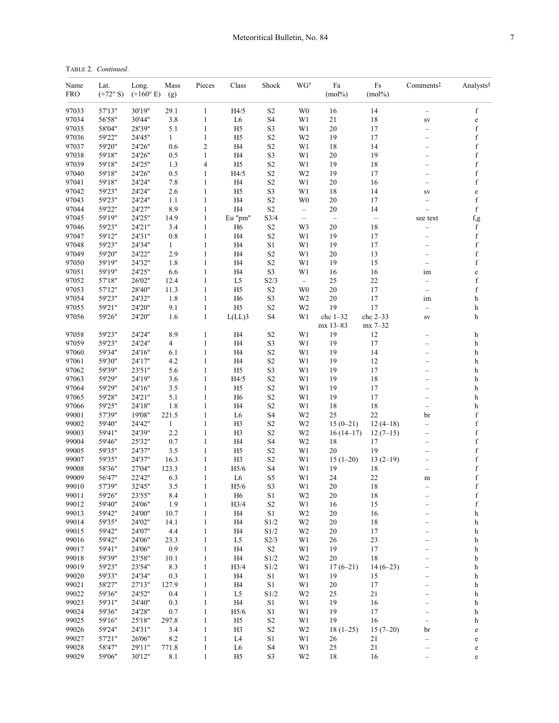| TABLE 2. Continued.<br>------------ |  |  |  |
|-------------------------------------|--|--|--|
|                                     |  |  |  |

| Name<br><b>FRO</b> | Lat.<br>$(+72^{\circ} S)$ | Long.<br>$(+160^{\circ} E)$ | Mass<br>(g)  | Pieces                       | $\rm Class$                      | Shock                      | WG†                                           | Fa<br>$(mol\%)$                    | Fs<br>$(mol\%)$                | Comments <sup>‡</sup>         | Analysts                                         |
|--------------------|---------------------------|-----------------------------|--------------|------------------------------|----------------------------------|----------------------------|-----------------------------------------------|------------------------------------|--------------------------------|-------------------------------|--------------------------------------------------|
| 97033              | 57'13"                    | 30'19"                      | 29.1         | 1                            | H4/5                             | $\rm S2$                   | W <sub>0</sub>                                | 16                                 | 14                             | -                             | $\mathbf f$                                      |
| 97034              | 56'58"                    | 30'44"                      | 3.8          | $\mathbf{1}$                 | L <sub>6</sub>                   | S <sub>4</sub>             | W1                                            | 21                                 | 18                             | SV                            | $\mathbf e$                                      |
| 97035              | 58'04"                    | 28'39"                      | 5.1          | 1                            | H <sub>5</sub>                   | S3                         | W1                                            | 20                                 | 17                             | $\overline{\phantom{0}}$      | $\mathbf f$                                      |
| 97036              | 59'22"                    | 24'45"                      | $\mathbf{1}$ | $\mathbf{1}$                 | H <sub>5</sub>                   | $\rm S2$                   | W <sub>2</sub>                                | 19                                 | 17                             | -                             | $\mathbf f$                                      |
| 97037              | 59'20"                    | 24'26"                      | 0.6          | $\overline{2}$               | H <sub>4</sub>                   | $\rm S2$                   | W1                                            | 18                                 | 14                             | $\overline{\phantom{0}}$      | $\mathbf f$                                      |
| 97038              | 59'18"                    | 24'26"                      | 0.5          | 1                            | H <sub>4</sub>                   | S3                         | W1                                            | 20                                 | 19                             | -                             | $\mathbf f$                                      |
| 97039              | 59'18"                    | 24'25"                      | 1.3          | 4                            | H <sub>5</sub>                   | $\rm S2$                   | W1                                            | 19                                 | 18                             | $\overline{\phantom{0}}$      | $\mathbf f$                                      |
| 97040              | 59'18"                    | 24'26"                      | 0.5          | $\mathbf{1}$                 | H4/5                             | $\rm S2$                   | W <sub>2</sub>                                | 19                                 | 17                             | $\overline{\phantom{0}}$      | $\mathbf f$                                      |
| 97041              | 59'18"                    | 24'24"                      | $7.8\,$      | 1                            | H <sub>4</sub>                   | $\rm S2$                   | W1                                            | $20\,$                             | 16                             | $\overline{\phantom{0}}$      | $\mathbf f$                                      |
| 97042              | 59'23"                    | 24'24"                      | 2.6          | $\mathbf{1}$                 | H <sub>5</sub>                   | S3                         | W1                                            | 18                                 | 14                             | SV                            | $\mathbf e$                                      |
| 97043              | 59'23"                    | 24'24"                      | 1.1          | 1                            | H <sub>4</sub>                   | $\rm S2$                   | W <sub>0</sub>                                | 20                                 | 17                             | $\overline{\phantom{0}}$      | $\mathbf f$                                      |
| 97044<br>97045     | 59'22"<br>59'19"          | 24'27"<br>24'25"            | 8.9<br>14.9  | $\mathbf{1}$<br>$\mathbf{1}$ | H <sub>4</sub>                   | S <sub>2</sub><br>S3/4     | $\overline{\phantom{m}}$<br>$\qquad \qquad -$ | $20\,$<br>$\overline{\phantom{m}}$ | 14                             |                               | $\mathbf f$                                      |
| 97046              | 59'23"                    | 24'21"                      | 3.4          | 1                            | Eu "pm"<br>H <sub>6</sub>        | S <sub>2</sub>             | W3                                            | 20                                 | $\overline{\phantom{0}}$<br>18 | see text                      | f,g<br>$\mathbf f$                               |
| 97047              | 59'12"                    | 24'31"                      | $0.8\,$      | $\mathbf{1}$                 | H <sub>4</sub>                   | $\rm S2$                   | W1                                            | 19                                 | 17                             | -                             | $\mathbf f$                                      |
| 97048              | 59'23"                    | 24'34"                      | $\mathbf{1}$ | 1                            | H <sub>4</sub>                   | $\rm S1$                   | W1                                            | 19                                 | 17                             | -                             | $\mathbf f$                                      |
| 97049              | 59'20"                    | 24'22"                      | 2.9          | $\mathbf{1}$                 | H <sub>4</sub>                   | $\rm S2$                   | W1                                            | 20                                 | 13                             | <u>.</u>                      | $\mathbf f$                                      |
| 97050              | 59'19"                    | 24'32"                      | 1.8          | 1                            | H <sub>4</sub>                   | $\rm S2$                   | W1                                            | 19                                 | 15                             | $\overline{\phantom{0}}$      | $\mathbf f$                                      |
| 97051              | 59'19"                    | 24'25"                      | 6.6          | $\mathbf{1}$                 | H <sub>4</sub>                   | S3                         | W1                                            | 16                                 | 16                             | im                            | $\mathbf e$                                      |
| 97052              | 57'18"                    | 26'02"                      | 12.4         | $\mathbf{1}$                 | L5                               | S2/3                       | $\overline{\phantom{m}}$                      | 25                                 | 22                             | $\overline{\phantom{0}}$      | $\mathbf f$                                      |
| 97053              | 57'12"                    | 28'40"                      | 11.3         | $\mathbf{1}$                 | H <sub>5</sub>                   | $\rm S2$                   | W <sub>0</sub>                                | $20\,$                             | 17                             | $\qquad \qquad -$             | $\mathbf f$                                      |
| 97054              | 59'23"                    | 24'32"                      | 1.8          | $\mathbf{1}$                 | H <sub>6</sub>                   | S3                         | W <sub>2</sub>                                | 20                                 | 17                             | im                            | h                                                |
| 97055              | 59'21"                    | 24'20"                      | 9.1          | $\mathbf{1}$                 | H <sub>5</sub>                   | $\rm S2$                   | W <sub>2</sub>                                | 19                                 | 17                             | $\qquad \qquad -$             | h                                                |
| 97056              | 59'26"                    | 24'20"                      | 1.6          | $\mathbf{1}$                 | $L(LL)$ 3                        | S <sub>4</sub>             | W1                                            | $chc 1-32$                         | chc 2-33                       | SV                            | h                                                |
|                    |                           |                             |              |                              |                                  |                            |                                               | mx 13-83                           | mx 7-32                        |                               |                                                  |
| 97058              | 59'23"                    | 24'24"                      | 8.9          | $\mathbf{1}$                 | H <sub>4</sub>                   | $\rm S2$                   | W1                                            | 19                                 | 12                             | -                             | h                                                |
| 97059              | 59'23"                    | 24'24"                      | 4            | $\mathbf{1}$                 | H4                               | S3                         | W1                                            | 19                                 | 17                             | -                             | h                                                |
| 97060              | 59'34"                    | 24'16"                      | 6.1          | 1                            | H <sub>4</sub>                   | $\rm S2$                   | W1                                            | 19                                 | 14                             | $\overline{\phantom{0}}$      | h                                                |
| 97061              | 59'30"                    | 24'17"                      | 4.2          | $\mathbf{1}$                 | H <sub>4</sub>                   | $\rm S2$                   | W1                                            | 19                                 | 12                             | —                             | h                                                |
| 97062              | 59'39"                    | 23'51"                      | 5.6          | $\mathbf{1}$                 | H <sub>5</sub>                   | S3                         | W1                                            | 19                                 | 17                             | $\overline{\phantom{0}}$      | h                                                |
| 97063              | 59'29"<br>59'29"          | 24'19"                      | 3.6          | 1                            | H4/5                             | $\rm S2$                   | W1                                            | 19                                 | 18                             | $\overline{\phantom{0}}$      | h                                                |
| 97064<br>97065     | 59'28"                    | 24'16"<br>24'21"            | 3.5<br>5.1   | 1<br>1                       | H <sub>5</sub><br>H <sub>6</sub> | $\rm S2$                   | W1<br>W1                                      | 19<br>19                           | 17<br>17                       | -                             | h<br>h                                           |
| 97066              | 59'25"                    | 24'18"                      | 1.8          | $\mathbf{1}$                 | H <sub>4</sub>                   | S <sub>2</sub><br>$\rm S2$ | W1                                            | 18                                 | 18                             | —<br>$\overline{\phantom{0}}$ | h                                                |
| 99001              | 57'39"                    | 19'08"                      | 221.5        | 1                            | L <sub>6</sub>                   | S <sub>4</sub>             | W <sub>2</sub>                                | 25                                 | 22                             | br                            | $\mathbf f$                                      |
| 99002              | 59'40"                    | 24'42"                      | $\mathbf{1}$ | 1                            | H <sub>3</sub>                   | S <sub>2</sub>             | W <sub>2</sub>                                | $15(0-21)$                         | $12(4-18)$                     | $\qquad \qquad -$             | $\mathbf f$                                      |
| 99003              | 59'41"                    | 24'39"                      | 2.2          | $\mathbf{1}$                 | H <sub>3</sub>                   | $\rm S2$                   | W <sub>2</sub>                                | $16(14-17)$                        | $12(7-15)$                     | $\overline{\phantom{0}}$      | $\mathbf f$                                      |
| 99004              | 59'46"                    | 25'32"                      | 0.7          | $\mathbf{1}$                 | H <sub>4</sub>                   | S <sub>4</sub>             | W <sub>2</sub>                                | 18                                 | 17                             | -                             | $\mathbf f$                                      |
| 99005              | 59'35"                    | 24'37"                      | 3.5          | 1                            | H <sub>5</sub>                   | $\rm S2$                   | W1                                            | 20                                 | 19                             | $\overline{\phantom{0}}$      | $\mathbf f$                                      |
| 99007              | 59'35"                    | 24'37"                      | 16.3         | $\mathbf{1}$                 | H <sub>3</sub>                   | S <sub>2</sub>             | W1                                            | $15(1-20)$                         | $13(2-19)$                     | —                             | $\mathbf f$                                      |
| 99008              | 58'36"                    | 27'04"                      | 123.3        | $\mathbf{1}$                 | H5/6                             | S <sub>4</sub>             | W1                                            | 19                                 | 18                             | $\qquad \qquad -$             | $\mathbf f$                                      |
| 99009              | 56'47"                    | 22'42"                      | 6.3          | 1                            | L <sub>6</sub>                   | S5                         | W1                                            | 24                                 | 22                             | m                             | $\mathbf f$                                      |
| 99010              | 57'39"                    | 32'45"                      | $3.5\,$      | 1                            | $\rm H5/6$                       | $\rm S3$                   | W1                                            | $20\,$                             | $18\,$                         |                               | $\mathbf f$                                      |
| 99011              | 59'26"                    | 23'55"                      | 8.4          | 1                            | H <sub>6</sub>                   | S1                         | W <sub>2</sub>                                | 20                                 | 18                             |                               | $\mathbf f$                                      |
| 99012              | 59'40"                    | 24'06"                      | 1.9          | $\mathbf{1}$                 | H3/4                             | $\rm S2$                   | W1                                            | 16                                 | 15                             | $\overline{\phantom{0}}$      | $\mathbf f$                                      |
| 99013              | 59'42"                    | 24'00"                      | 10.7         | 1                            | H4                               | $\rm S1$                   | W <sub>2</sub>                                | 20                                 | 16                             | —                             | h                                                |
| 99014              | 59'35"                    | 24'02"                      | 14.1         | 1                            | H <sub>4</sub>                   | $\rm S1/2$                 | W <sub>2</sub>                                | 20                                 | 18                             |                               | h                                                |
| 99015              | 59'42"                    | 24'07"                      | 4.4          | $\mathbf{1}$                 | H <sub>4</sub>                   | S1/2                       | W <sub>2</sub>                                | 20                                 | 17                             |                               | h                                                |
| 99016              | 59'42"                    | 24'06"                      | 23.3         | $\mathbf{1}$                 | L5                               | S2/3                       | W1                                            | 26                                 | 23                             | -                             | h                                                |
| 99017<br>99018     | 59'41"<br>59'39"          | 24'06"<br>23'58"            | 0.9          | $\mathbf{1}$<br>$\mathbf{1}$ | H <sub>4</sub><br>H4             | $\rm S2$<br>S1/2           | W1<br>W <sub>2</sub>                          | 19<br>20                           | 17<br>18                       | $\overline{\phantom{0}}$      | h                                                |
| 99019              | 59'23"                    | 23'54"                      | 10.1<br>8.3  | 1                            | H3/4                             | S1/2                       | W1                                            | $17(6-21)$                         | $14(6-23)$                     | -                             | h<br>h                                           |
| 99020              | 59'33"                    | 24'34"                      | 0.3          | $\mathbf{1}$                 | H <sub>4</sub>                   | $\rm S1$                   | W1                                            | 19                                 | 15                             | -<br>—                        | h                                                |
| 99021              | 58'27"                    | 27'13"                      | 127.9        | $\mathbf{1}$                 | H <sub>4</sub>                   | S1                         | W1                                            | 20                                 | 17                             | $\overline{\phantom{0}}$      | h                                                |
| 99022              | 59'36"                    | 24'52"                      | 0.4          | 1                            | L5                               | S1/2                       | W <sub>2</sub>                                | 25                                 | 21                             | —                             | h                                                |
| 99023              | 59'31"                    | 24'40"                      | 0.3          | $\mathbf{1}$                 | H4                               | S1                         | W1                                            | 19                                 | 16                             | $\overline{\phantom{0}}$      | h                                                |
| 99024              | 59'36"                    | 24'28"                      | 0.7          | $\mathbf{1}$                 | H5/6                             | $\rm S1$                   | W1                                            | 19                                 | 17                             |                               | h                                                |
| 99025              | 59'16"                    | 25'18"                      | 297.8        | 1                            | $\rm H5$                         | $\rm S2$                   | W1                                            | 19                                 | 16                             | —                             | h                                                |
| 99026              | 59'24"                    | 24'31"                      | 3.4          | $\mathbf{1}$                 | H <sub>3</sub>                   | S <sub>2</sub>             | W <sub>2</sub>                                | $18(1-25)$                         | $15(7-20)$                     | br                            | $\mathbf e$                                      |
| 99027              | 57'21"                    | 26'06"                      | 8.2          | 1                            | L <sub>4</sub>                   | S1                         | W1                                            | 26                                 | 21                             | $\overline{\phantom{0}}$      | $\mathbf{e}% _{t}\left  \mathbf{1}\right\rangle$ |
| 99028              | 58'47"                    | 29'11"                      | 771.8        | $\mathbf{1}$                 | L <sub>6</sub>                   | S <sub>4</sub>             | W1                                            | $25\,$                             | 21                             |                               | $\mathbf{e}% _{t}\left( t\right)$                |
| 99029              | 59'06"                    | 30'12"                      | 8.1          | $\mathbf{1}$                 | H <sub>5</sub>                   | S3                         | W <sub>2</sub>                                | 18                                 | 16                             |                               | $\mathbf e$                                      |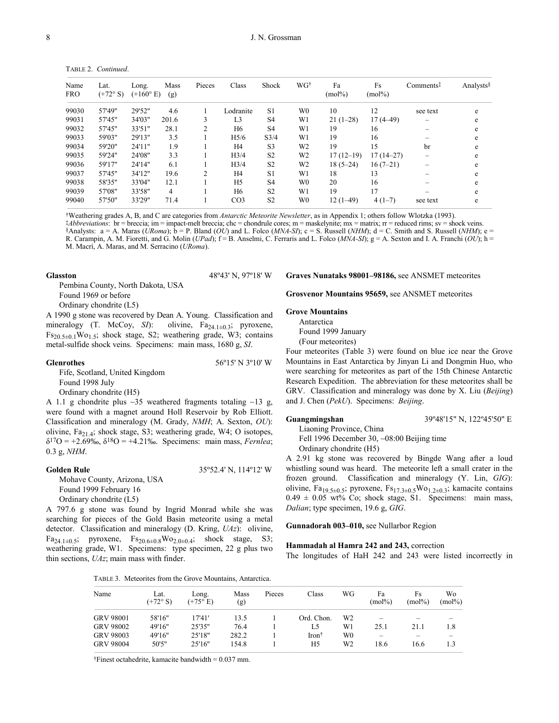|                    | TABLE 2. Continued.       |                             |             |                |                  |                |                |                 |                 |                       |           |
|--------------------|---------------------------|-----------------------------|-------------|----------------|------------------|----------------|----------------|-----------------|-----------------|-----------------------|-----------|
| Name<br><b>FRO</b> | Lat.<br>$(+72^{\circ} S)$ | Long.<br>$(+160^{\circ} E)$ | Mass<br>(g) | Pieces         | Class            | Shock          | WGt            | Fa<br>$(mol\%)$ | Fs<br>$(mol\%)$ | Comments <sup>‡</sup> | Analysts§ |
| 99030              | 57'49"                    | 29'52"                      | 4.6         |                | Lodranite        | S1             | W0             | 10              | 12              | see text              | e         |
| 99031              | 57'45"                    | 34'03"                      | 201.6       | 3              | L <sub>3</sub>   | S <sub>4</sub> | W1             | $21(1-28)$      | $17(4-49)$      |                       | e         |
| 99032              | 57'45"                    | 33'51"                      | 28.1        | 2              | H <sub>6</sub>   | S <sub>4</sub> | W1             | 19              | 16              |                       | e         |
| 99033              | 59'03"                    | 29'13"                      | 3.5         |                | H <sub>5/6</sub> | S3/4           | W1             | 19              | 16              |                       | e         |
| 99034              | 59'20"                    | 24'11"                      | 1.9         |                | H4               | S <sub>3</sub> | W <sub>2</sub> | 19              | 15              | br                    | e         |
| 99035              | 59'24"                    | 24'08"                      | 3.3         |                | H <sub>3/4</sub> | S <sub>2</sub> | W2             | $17(12-19)$     | $17(14-27)$     |                       | e         |
| 99036              | 59'17"                    | 24'14"                      | 6.1         |                | H <sub>3/4</sub> | S <sub>2</sub> | W <sub>2</sub> | $18(5-24)$      | $16(7-21)$      |                       | e         |
| 99037              | 57'45"                    | 34'12"                      | 19.6        | $\overline{c}$ | H4               | S1             | W1             | 18              | 13              |                       | e         |
| 99038              | 58'35"                    | 33'04"                      | 12.1        |                | H <sub>5</sub>   | S <sub>4</sub> | W <sub>0</sub> | 20              | 16              |                       | e         |
| 99039              | 57'08"                    | 33'58"                      | 4           |                | H6               | S <sub>2</sub> | W1             | 19              | 17              |                       | e         |
| 99040              | 57'50"                    | 33'29"                      | 71.4        |                | CO <sub>3</sub>  | S <sub>2</sub> | W <sub>0</sub> | $12(1-49)$      | $4(1-7)$        | see text              | e         |

†Weathering grades A, B, and C are categories from *Antarctic Meteorite Newsletter*, as in Appendix 1; others follow Wlotzka (1993). ‡*Abbreviations*: br = breccia; im = impact-melt breccia; chc = chondrule cores; m = maskelynite; mx = matrix; rr = reduced rims; sv = shock veins. §Analysts: a = A. Maras (*URoma*);  $\dot{b} = P$ . Bland (*OU*) and L. Folco (*MNA-SI*); c = S. Russell (*NHM*); d = C. Smith and S. Russell (*NHM*); e = R. Carampin, A. M. Fioretti, and G. Molin (*UPad*);  $f = B$ . Anselmi, C. Ferraris and L. Folco (*MNA-SI*);  $g = A$ . Sexton and I. A. Franchi (*OU*); h = M. Macrì, A. Maras, and M. Serracino (*URoma*).

### **Glasston** 48º43' N, 97º18' W

Pembina County, North Dakota, USA Found 1969 or before Ordinary chondrite (L5)

A 1990 g stone was recovered by Dean A. Young. Classification and mineralogy (T. McCoy, *SI*): olivine, Fa<sub>24.1±0.3</sub>; pyroxene,  $Fs_{20.5\pm0.1}Wo_{1.5}$ ; shock stage, S2; weathering grade, W3; contains metal-sulfide shock veins. Specimens: main mass, 1680 g, *SI*.

#### **Glenrothes** 56º15' N 3º10' W

Fife, Scotland, United Kingdom Found 1998 July Ordinary chondrite (H5)

A 1.1 g chondrite plus ∼35 weathered fragments totaling ∼13 g, were found with a magnet around Holl Reservoir by Rob Elliott. Classification and mineralogy (M. Grady, *NMH*; A. Sexton, *OU*): olivine,  $Fa_{21.4}$ ; shock stage, S3; weathering grade, W4; O isotopes,  $\delta^{17}O = +2.69\%$ <sub>0</sub>,  $\delta^{18}O = +4.21\%$ . Specimens: main mass, *Fernlea*; 0.3 g, *NHM*.

Mohave County, Arizona, USA Found 1999 February 16

**Golden Rule** 35°52.4' N, 114°12' W

Ordinary chondrite (L5) A 797.6 g stone was found by Ingrid Monrad while she was searching for pieces of the Gold Basin meteorite using a metal detector. Classification and mineralogy (D. Kring, *UAz*): olivine, Fa<sub>24.1±0.5</sub>; pyroxene,  $Fs_{20.6\pm0.8}$ Wo<sub>2.0±0.4</sub>; shock stage, S3; weathering grade, W1. Specimens: type specimen, 22 g plus two thin sections, *UAz*; main mass with finder.

#### **Graves Nunataks 98001–98186,** see ANSMET meteorites

**Grosvenor Mountains 95659,** see ANSMET meteorites

#### **Grove Mountains**

Antarctica Found 1999 January (Four meteorites)

Four meteorites (Table 3) were found on blue ice near the Grove Mountains in East Antarctica by Jinyan Li and Dongmin Huo, who were searching for meteorites as part of the 15th Chinese Antarctic Research Expedition. The abbreviation for these meteorites shall be GRV. Classification and mineralogy was done by X. Liu (*Beijing*) and J. Chen (*PekU*). Specimens: *Beijing*.

### **Guangmingshan** 39º48'15" N, 122º45'50" E

Liaoning Province, China

Fell 1996 December 30, ∼08:00 Beijing time

### Ordinary chondrite (H5)

A 2.91 kg stone was recovered by Bingde Wang after a loud whistling sound was heard. The meteorite left a small crater in the frozen ground. Classification and mineralogy (Y. Lin, *GIG*): olivine, Fa<sub>19.5±0.5</sub>; pyroxene, Fs<sub>17.3±0.5</sub>Wo<sub>1.2±0.3</sub>; kamacite contains  $0.49 \pm 0.05$  wt% Co; shock stage, S1. Specimens: main mass, *Dalian*; type specimen, 19.6 g, *GIG*.

**Gunnadorah 003–010,** see Nullarbor Region

#### **Hammadah al Hamra 242 and 243,** correction

The longitudes of HaH 242 and 243 were listed incorrectly in

|  |  |  |  | TABLE 3. Meteorites from the Grove Mountains, Antarctica |  |
|--|--|--|--|----------------------------------------------------------|--|
|--|--|--|--|----------------------------------------------------------|--|

|                  | TABLE 3. Meteorites from the Grove Mountains, Antarctica. |                            |             |        |                |    |                 |                        |                 |  |  |  |  |
|------------------|-----------------------------------------------------------|----------------------------|-------------|--------|----------------|----|-----------------|------------------------|-----------------|--|--|--|--|
| Name             | Lat.<br>$(+72^{\circ} S)$                                 | Long.<br>$(+75^{\circ} E)$ | Mass<br>(g) | Pieces | Class          | WG | Fa<br>$(mol\%)$ | <b>Fs</b><br>$(mol\%)$ | Wo<br>$(mol\%)$ |  |  |  |  |
| <b>GRV 98001</b> | 58'16"                                                    | 17'41'                     | 13.5        |        | Ord. Chon.     | W2 |                 |                        |                 |  |  |  |  |
| <b>GRV 98002</b> | 49'16"                                                    | 25'35"                     | 76.4        |        | L5             | W1 | 25.1            | 21.1                   | 1.8             |  |  |  |  |
| <b>GRV 98003</b> | 49'16"                                                    | 25'18"                     | 282.2       |        | Iron $\dagger$ | W0 | -               |                        |                 |  |  |  |  |
| <b>GRV 98004</b> | 50'5"                                                     | 25'16"                     | 154.8       |        | H <sub>5</sub> | W2 | 18.6            | 16.6                   | 1.3             |  |  |  |  |

†Finest octahedrite, kamacite bandwidth = 0.037 mm.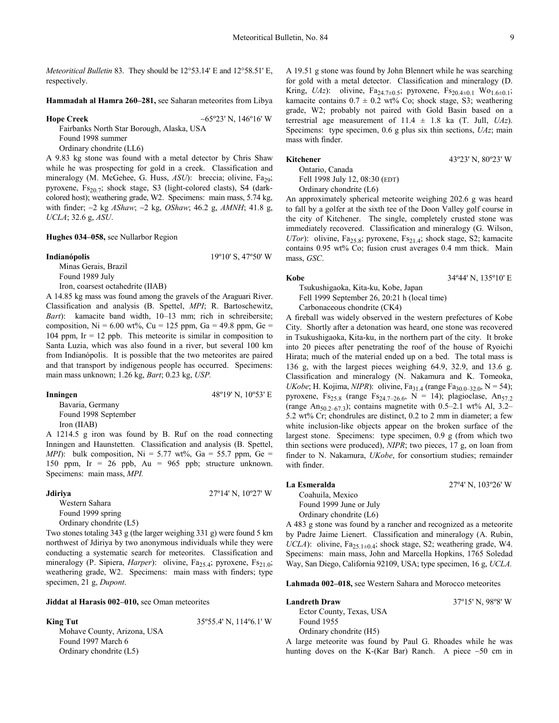*Meteoritical Bulletin* 83. They should be 12°53.14' E and 12°58.51' E, respectively.

**Hammadah al Hamra 260–281,** see Saharan meteorites from Libya

**Hope Creek** ∼65º23' N, 146º16' W

Fairbanks North Star Borough, Alaska, USA Found 1998 summer

Ordinary chondrite (LL6)

A 9.83 kg stone was found with a metal detector by Chris Shaw while he was prospecting for gold in a creek. Classification and mineralogy (M. McGehee, G. Huss, *ASU*): breccia; olivine, Fa<sub>29</sub>; pyroxene,  $Fs_{20.7}$ ; shock stage, S3 (light-colored clasts), S4 (darkcolored host); weathering grade, W2. Specimens: main mass, 5.74 kg, with finder; ∼2 kg *AShaw*; ∼2 kg, *OShaw*; 46.2 g, *AMNH*; 41.8 g, *UCLA*; 32.6 g, *ASU*.

**Hughes 034–058,** see Nullarbor Region

#### **Indianópolis** 19º10' S, 47º50' W

Minas Gerais, Brazil Found 1989 July

Iron, coarsest octahedrite (IIAB)

A 14.85 kg mass was found among the gravels of the Araguari River. Classification and analysis (B. Spettel, *MPI*; R. Bartoschewitz, *Bart*): kamacite band width, 10–13 mm; rich in schreibersite; composition, Ni =  $6.00 \text{ wt\%},$  Cu = 125 ppm, Ga = 49.8 ppm, Ge = 104 ppm, Ir  $= 12$  ppb. This meteorite is similar in composition to Santa Luzia, which was also found in a river, but several 100 km from Indianópolis. It is possible that the two meteorites are paired and that transport by indigenous people has occurred. Specimens: main mass unknown; 1.26 kg, *Bart*; 0.23 kg, *USP.* 

| Inningen             | 48°19' N, $10^{\circ}53'$ E |
|----------------------|-----------------------------|
| Bavaria, Germany     |                             |
| Found 1998 September |                             |
| Iron (IIAB)          |                             |

A 1214.5 g iron was found by B. Ruf on the road connecting Inningen and Haunstetten. Classification and analysis (B. Spettel, *MPI*): bulk composition,  $Ni = 5.77$  wt%,  $Ga = 55.7$  ppm,  $Ge =$ 150 ppm, Ir = 26 ppb,  $Au = 965$  ppb; structure unknown. Specimens: main mass, *MPI.* 

### **Jdiriya** 27º14' N, 10º27' W

Western Sahara Found 1999 spring Ordinary chondrite (L5)

Two stones totaling 343 g (the larger weighing 331 g) were found 5 km northwest of Jdiriya by two anonymous individuals while they were conducting a systematic search for meteorites. Classification and mineralogy (P. Sipiera, *Harper*): olivine, Fa<sub>25.4</sub>; pyroxene, Fs<sub>21.0</sub>; weathering grade, W2. Specimens: main mass with finders; type specimen, 21 g, *Dupont*.

#### **Jiddat al Harasis 002–010,** see Oman meteorites

Mohave County, Arizona, USA Found 1997 March 6 Ordinary chondrite (L5)

**King Tut** 35°55.4' N, 114°6.1' W

A 19.51 g stone was found by John Blennert while he was searching for gold with a metal detector. Classification and mineralogy (D. Kring, *UAz*): olivine, Fa<sub>24.7±0.5</sub>; pyroxene, Fs<sub>20.4±0.1</sub> Wo<sub>1.6±0.1</sub>; kamacite contains  $0.7 \pm 0.2$  wt% Co; shock stage, S3; weathering grade, W2; probably not paired with Gold Basin based on a terrestrial age measurement of  $11.4 \pm 1.8$  ka (T. Jull, *UAz*). Specimens: type specimen, 0.6 g plus six thin sections, *UAz*; main mass with finder.

#### **Kitchener** 43°23' N, 80°23' W

Ontario, Canada Fell 1998 July 12, 08:30 (EDT) Ordinary chondrite (L6)

An approximately spherical meteorite weighing 202.6 g was heard to fall by a golfer at the sixth tee of the Doon Valley golf course in the city of Kitchener. The single, completely crusted stone was immediately recovered. Classification and mineralogy (G. Wilson, *UTor*): olivine, Fa<sub>25.8</sub>; pyroxene, Fs<sub>21.4</sub>; shock stage, S2; kamacite contains 0.95 wt% Co; fusion crust averages 0.4 mm thick. Main mass, *GSC*.

Tsukushigaoka, Kita-ku, Kobe, Japan Fell 1999 September 26, 20:21 h (local time) Carbonaceous chondrite (CK4)

A fireball was widely observed in the western prefectures of Kobe City. Shortly after a detonation was heard, one stone was recovered in Tsukushigaoka, Kita-ku, in the northern part of the city. It broke into 20 pieces after penetrating the roof of the house of Ryoichi Hirata; much of the material ended up on a bed. The total mass is 136 g, with the largest pieces weighing 64.9, 32.9, and 13.6 g. Classification and mineralogy (N. Nakamura and K. Tomeoka, *UKobe*; H. Kojima, *NIPR*): olivine, Fa<sub>31.4</sub> (range Fa<sub>30.0–32.0</sub>, N = 54); pyroxene, Fs<sub>25.8</sub> (range Fs<sub>24.7–26.6</sub>, N = 14); plagioclase, An<sub>57.2</sub> (range An<sub>50.2–67.3</sub>); contains magnetite with 0.5–2.1 wt% Al, 3.2– 5.2 wt% Cr; chondrules are distinct, 0.2 to 2 mm in diameter; a few white inclusion-like objects appear on the broken surface of the largest stone. Specimens: type specimen, 0.9 g (from which two thin sections were produced), *NIPR*; two pieces, 17 g, on loan from finder to N. Nakamura, *UKobe*, for consortium studies; remainder with finder.

#### **La Esmeralda** 27º4' N, 103º26' W

### Coahuila, Mexico

Found 1999 June or July Ordinary chondrite (L6)

A 483 g stone was found by a rancher and recognized as a meteorite by Padre Jaime Lienert. Classification and mineralogy (A. Rubin, *UCLA*): olivine,  $Fa_{25,1\pm0.4}$ ; shock stage, S2; weathering grade, W4. Specimens: main mass, John and Marcella Hopkins, 1765 Soledad Way, San Diego, California 92109, USA; type specimen, 16 g, *UCLA.* 

**Lahmada 002–018,** see Western Sahara and Morocco meteorites

#### **Landreth Draw** 37º15' N, 98º8' W

Ector County, Texas, USA Found 1955 Ordinary chondrite (H5)

A large meteorite was found by Paul G. Rhoades while he was hunting doves on the K-(Kar Bar) Ranch. A piece ∼50 cm in

**Kobe** 34º44' N, 135º10' E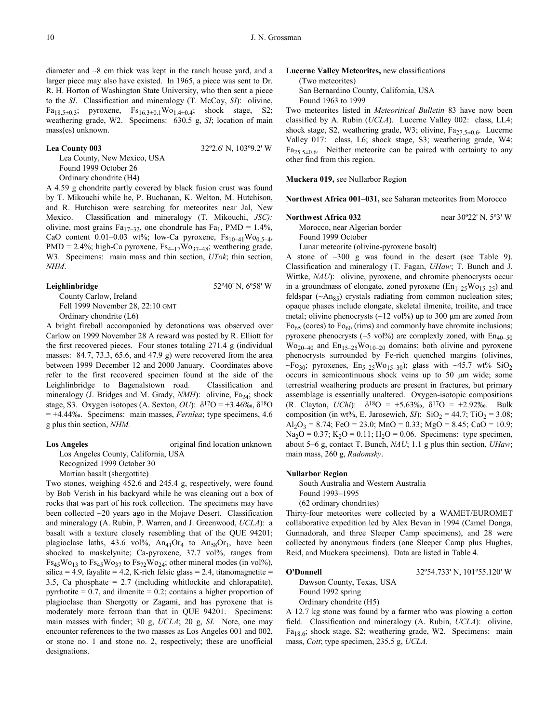diameter and ∼8 cm thick was kept in the ranch house yard, and a larger piece may also have existed. In 1965, a piece was sent to Dr. R. H. Horton of Washington State University, who then sent a piece to the *SI*. Classification and mineralogy (T. McCoy, *SI*): olivine, Fa<sub>18.5±0.3</sub>; pyroxene,  $Fs_{16.3\pm0.1}Wo_{1.4\pm0.4}$ ; shock stage, S2; weathering grade, W2. Specimens: 630.5 g, *SI*; location of main mass(es) unknown.

#### **Lea County 003** 32º2.6' N, 103º9.2' W

Lea County, New Mexico, USA Found 1999 October 26 Ordinary chondrite (H4)

A 4.59 g chondrite partly covered by black fusion crust was found by T. Mikouchi while he, P. Buchanan, K. Welton, M. Hutchison, and R. Hutchison were searching for meteorites near Jal, New Mexico. Classification and mineralogy (T. Mikouchi, *JSC):*  olivine, most grains Fa<sub>17–32</sub>, one chondrule has Fa<sub>1</sub>, PMD = 1.4%, CaO content 0.01–0.03 wt%; low-Ca pyroxene,  $Fs_{10-41}Wo_{0.5-4}$ , PMD = 2.4%; high-Ca pyroxene,  $Fs_{4-17}Wo_{37-48}$ ; weathering grade, W3. Specimens: main mass and thin section, *UTok*; thin section, *NHM*.

**Leighlinbridge** 52º40' N, 6º58' W

County Carlow, Ireland Fell 1999 November 28, 22:10 GMT Ordinary chondrite (L6)

A bright fireball accompanied by detonations was observed over Carlow on 1999 November 28 A reward was posted by R. Elliott for the first recovered pieces. Four stones totaling 271.4 g (individual masses: 84.7, 73.3, 65.6, and 47.9 g) were recovered from the area between 1999 December 12 and 2000 January. Coordinates above refer to the first recovered specimen found at the side of the Leighlinbridge to Bagenalstown road. Classification and mineralogy (J. Bridges and M. Grady,  $NMH$ ): olivine,  $Fa_{24}$ ; shock stage, S3. Oxygen isotopes (A. Sexton, *OU*):  $\delta^{17}O = +3.46\%$ ,  $\delta^{18}O$ = +4.44‰. Specimens: main masses, *Fernlea*; type specimens, 4.6 g plus thin section, *NHM.*

#### **Los Angeles** original find location unknown

Los Angeles County, California, USA Recognized 1999 October 30

Martian basalt (shergottite)

Two stones, weighing 452.6 and 245.4 g, respectively, were found by Bob Verish in his backyard while he was cleaning out a box of rocks that was part of his rock collection. The specimens may have been collected ∼20 years ago in the Mojave Desert. Classification and mineralogy (A. Rubin, P. Warren, and J. Greenwood, *UCLA*): a basalt with a texture closely resembling that of the QUE 94201; plagioclase laths, 43.6 vol%,  $An_{41}Or_4$  to  $An_{58}Or_1$ , have been shocked to maskelynite; Ca-pyroxene, 37.7 vol%, ranges from  $Fs_{45}Wo_{13}$  to  $Fs_{45}Wo_{37}$  to  $Fs_{72}Wo_{24}$ ; other mineral modes (in vol%), silica = 4.9, fayalite = 4.2, K-rich felsic glass = 2.4, titanomagnetite = 3.5, Ca phosphate = 2.7 (including whitlockite and chlorapatite), pyrrhotite  $= 0.7$ , and ilmenite  $= 0.2$ ; contains a higher proportion of plagioclase than Shergotty or Zagami, and has pyroxene that is moderately more ferroan than that in QUE 94201. Specimens: main masses with finder; 30 g, *UCLA*; 20 g, *SI*. Note, one may encounter references to the two masses as Los Angeles 001 and 002, or stone no. 1 and stone no. 2, respectively; these are unofficial designations.

**Lucerne Valley Meteorites,** new classifications (Two meteorites) San Bernardino County, California, USA Found 1963 to 1999

Two meteorites listed in *Meteoritical Bulletin* 83 have now been classified by A. Rubin (*UCLA*). Lucerne Valley 002: class, LL4; shock stage, S2, weathering grade, W3; olivine,  $Fa_{27.5\pm0.6}$ . Lucerne Valley 017: class, L6; shock stage, S3; weathering grade, W4;  $Fa_{25.5\pm0.6}$ . Neither meteorite can be paired with certainty to any other find from this region.

**Muckera 019,** see Nullarbor Region

**Northwest Africa 001–031,** see Saharan meteorites from Morocco

#### **Northwest Africa 032 near 30°22' N, 5°3' W**

Morocco, near Algerian border Found 1999 October

Lunar meteorite (olivine-pyroxene basalt)

A stone of ∼300 g was found in the desert (see Table 9). Classification and mineralogy (T. Fagan, *UHaw*; T. Bunch and J. Wittke, *NAU*): olivine, pyroxene, and chromite phenocrysts occur in a groundmass of elongate, zoned pyroxene  $(En_{1-25}Wo_{15-25})$  and feldspar (∼An<sub>85</sub>) crystals radiating from common nucleation sites; opaque phases include elongate, skeletal ilmenite, troilite, and trace metal; olivine phenocrysts (∼12 vol%) up to 300 µm are zoned from  $Fo_{65}$  (cores) to  $Fo_{60}$  (rims) and commonly have chromite inclusions; pyroxene phenocrysts (~5 vol%) are complexly zoned, with  $En_{40-50}$  $\text{Wo}_{20-40}$  and  $\text{En}_{15-25}\text{Wo}_{10-20}$  domains; both olivine and pyroxene phenocrysts surrounded by Fe-rich quenched margins (olivines,  $~\sim$ Fo<sub>30</sub>; pyroxenes, En<sub>5–25</sub>Wo<sub>15–30</sub>); glass with ∼45.7 wt% SiO<sub>2</sub> occurs in semicontinuous shock veins up to 50 µm wide; some terrestrial weathering products are present in fractures, but primary assemblage is essentially unaltered. Oxygen-isotopic compositions (R. Clayton, *UChi*): δ18O = +5.63‰, δ17O = +2.92‰. Bulk composition (in wt%, E. Jarosewich, *SI*):  $SiO_2 = 44.7$ ;  $TiO_2 = 3.08$ ;  $Al_2O_3 = 8.74$ ; FeO = 23.0; MnO = 0.33; MgO = 8.45; CaO = 10.9; Na<sub>2</sub>O = 0.37; K<sub>2</sub>O = 0.11; H<sub>2</sub>O = 0.06. Specimens: type specimen, about 5–6 g, contact T. Bunch, *NAU*; 1.1 g plus thin section, *UHaw*; main mass, 260 g, *Radomsky*.

#### **Nullarbor Region**

South Australia and Western Australia Found 1993–1995 (62 ordinary chondrites)

Thirty-four meteorites were collected by a WAMET/EUROMET collaborative expedition led by Alex Bevan in 1994 (Camel Donga, Gunnadorah, and three Sleeper Camp specimens), and 28 were collected by anonymous finders (one Sleeper Camp plus Hughes, Reid, and Muckera specimens). Data are listed in Table 4.

### **O'Donnell** 32º54.733' N, 101º55.120' W

Dawson County, Texas, USA

Found 1992 spring Ordinary chondrite (H5)

A 12.7 kg stone was found by a farmer who was plowing a cotton field. Classification and mineralogy (A. Rubin, *UCLA*): olivine,  $Fa_{18.6}$ ; shock stage, S2; weathering grade, W2. Specimens: main mass, *Cott*; type specimen, 235.5 g, *UCLA.*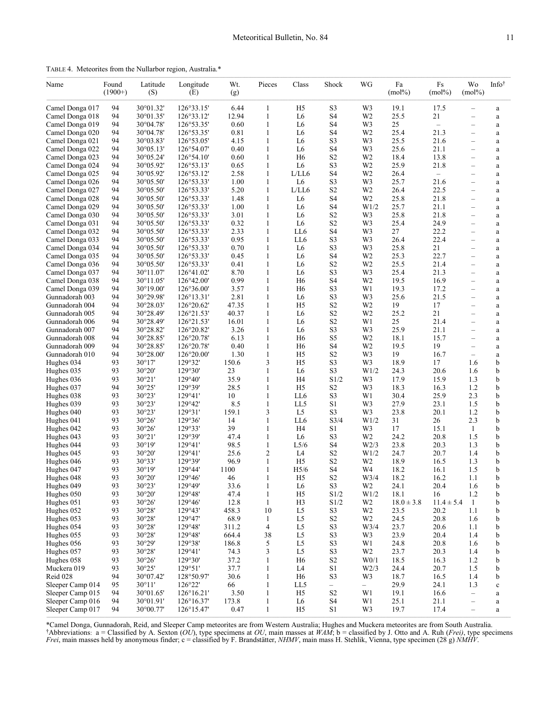TABLE 4. Meteorites from the Nullarbor region, Australia.\*

| Name                               | Found<br>$(1900+)$ | Latitude<br>(S)                          | Longitude<br>(E)         | Wt.<br>(g)   | Pieces       | Class                 | Shock                               | WG                     | Fa<br>$(mol\%)$ | Fs<br>$(mol\%)$          | Wo<br>$(mol\%)$                               | Infot                   |
|------------------------------------|--------------------|------------------------------------------|--------------------------|--------------|--------------|-----------------------|-------------------------------------|------------------------|-----------------|--------------------------|-----------------------------------------------|-------------------------|
| Camel Donga 017                    | 94                 | 30°01.32'                                | 126°33.15'               | 6.44         | 1            | H <sub>5</sub>        | S3                                  | W3                     | 19.1            | 17.5                     | $\overline{\phantom{0}}$                      | a                       |
| Camel Donga 018                    | 94                 | 30°01.35'                                | 126°33.12'               | 12.94        | 1            | L6                    | S4                                  | W <sub>2</sub>         | 25.5            | 21                       | $\overline{\phantom{0}}$                      | $\rm{a}$                |
| Camel Donga 019                    | 94                 | $30^{\circ}04.78'$                       | 126°53.35'               | 0.60         | 1            | L6                    | S <sub>4</sub>                      | W3                     | 25              | $\overline{\phantom{m}}$ | $\overline{\phantom{0}}$                      | $\rm{a}$                |
| Camel Donga 020                    | 94                 | $30^{\circ}04.78'$                       | 126°53.35'               | 0.81         | 1            | L6                    | S4                                  | W <sub>2</sub>         | 25.4            | 21.3                     |                                               | $\rm{a}$                |
| Camel Donga 021                    | 94                 | 30°03.83'                                | 126°53.05'               | 4.15         | 1            | L6                    | S3                                  | W3                     | 25.5            | 21.6                     | $\qquad \qquad -$                             | $\rm{a}$                |
| Camel Donga 022                    | 94                 | $30^{\circ}05.13'$                       | $126^{\circ}54.07'$      | 0.40         | 1            | L <sub>6</sub>        | S4                                  | W3                     | 25.6            | 21.1                     | $\overline{\phantom{0}}$                      | $\rm{a}$                |
| Camel Donga 023                    | 94                 | $30^{\circ}05.24'$                       | $126^{\circ}54.10'$      | 0.60         | 1            | H <sub>6</sub>        | S <sub>2</sub>                      | W <sub>2</sub>         | 18.4            | 13.8                     |                                               | $\rm{a}$                |
| Camel Donga 024                    | 94                 | 30°05.92'                                | 126°53.13'               | 0.65         | 1            | L <sub>6</sub>        | S3                                  | W <sub>2</sub>         | 25.9            | 21.8                     | $\overline{\phantom{0}}$                      | $\rm{a}$                |
| Camel Donga 025                    | 94                 | 30°05.92'                                | 126°53.12'               | 2.58         | 1            | L/LL6                 | S4                                  | W <sub>2</sub>         | 26.4            | $\overline{\phantom{0}}$ | $\qquad \qquad$                               | $\mathbf{a}$            |
| Camel Donga 026                    | 94                 | $30^{\circ}05.50'$                       | 126°53.33'               | 1.00         | 1            | L <sub>6</sub>        | S3                                  | W3                     | 25.7            | 21.6                     | $\overline{\phantom{0}}$                      | $\rm{a}$                |
| Camel Donga 027                    | 94                 | 30°05.50'                                | 126°53.33'               | 5.20         | 1            | L/LL6                 | S <sub>2</sub>                      | W <sub>2</sub>         | 26.4            | 22.5                     | $\qquad \qquad -$                             | $\rm{a}$                |
| Camel Donga 028                    | 94                 | $30^{\circ}05.50'$                       | 126°53.33'               | 1.48         | 1            | L <sub>6</sub>        | S4                                  | W <sub>2</sub>         | 25.8            | 21.8                     | $\overline{\phantom{0}}$                      | $\rm{a}$                |
| Camel Donga 029                    | 94                 | 30°05.50'                                | 126°53.33'               | 1.00         | 1            | L6                    | S4                                  | W1/2                   | 25.7            | 21.1                     | $\qquad \qquad$                               | $\mathbf{a}$            |
| Camel Donga 030                    | 94                 | $30^{\circ}05.50'$                       | 126°53.33'               | 3.01         | 1            | L <sub>6</sub>        | S <sub>2</sub>                      | W3                     | 25.8            | 21.8                     | $\overline{\phantom{0}}$                      | $\rm{a}$                |
| Camel Donga 031                    | 94                 | $30^{\circ}05.50'$                       | 126°53.33'               | 0.32         | 1            | L6                    | S <sub>2</sub>                      | W3                     | 25.4            | 24.9                     | $\overbrace{\phantom{12322111}}$              | $\rm{a}$                |
| Camel Donga 032                    | 94                 | $30^{\circ}05.50'$                       | 126°53.33'               | 2.33         | 1            | LL6                   | S4                                  | W3                     | 27              | 22.2                     | $\qquad \qquad$                               | $\rm{a}$                |
| Camel Donga 033                    | 94                 | $30^{\circ}05.50'$                       | 126°53.33'               | 0.95<br>0.70 | 1            | LL6<br>L <sub>6</sub> | S3<br>S3                            | W3<br>W3               | 26.4<br>25.8    | 22.4<br>21               | $\overline{\phantom{0}}$                      | $\mathbf a$             |
| Camel Donga 034                    | 94<br>94           | $30^{\circ}05.50'$<br>$30^{\circ}05.50'$ | 126°53.33'<br>126°53.33' | 0.45         | 1<br>1       | L6                    | S4                                  | W <sub>2</sub>         | 25.3            | 22.7                     | $\qquad \qquad$                               | $\rm{a}$                |
| Camel Donga 035<br>Camel Donga 036 | 94                 | $30^{\circ}05.50'$                       | 126°53.33'               | 0.41         | 1            | L6                    | S <sub>2</sub>                      | W <sub>2</sub>         | 25.5            | 21.4                     | $\qquad \qquad -$<br>$\overline{\phantom{0}}$ | $\mathbf a$             |
| Camel Donga 037                    | 94                 | $30^{\circ}11.07'$                       | $126^{\circ}41.02'$      | 8.70         | 1            | L6                    | S3                                  | W3                     | 25.4            | 21.3                     |                                               | $\rm{a}$<br>$\mathbf a$ |
| Camel Donga 038                    | 94                 | $30^{\circ}11.05'$                       | $126^{\circ}42.00'$      | 0.99         | 1            | H <sub>6</sub>        | S4                                  | W <sub>2</sub>         | 19.5            | 16.9                     | $\overline{\phantom{0}}$                      | $\rm{a}$                |
| Camel Donga 039                    | 94                 | $30^{\circ}19.00'$                       | 126°36.00'               | 3.57         | 1            | H <sub>6</sub>        | S3                                  | W1                     | 19.3            | 17.2                     | $\qquad \qquad -$                             | $\rm{a}$                |
| Gunnadorah 003                     | 94                 | 30°29.98'                                | $126^{\circ}13.31'$      | 2.81         | 1            | L6                    | S3                                  | W3                     | 25.6            | 21.5                     | $\overline{\phantom{0}}$                      | $\rm{a}$                |
| Gunnadorah 004                     | 94                 | 30°28.03'                                | $126^{\circ}20.62'$      | 47.35        | 1            | H <sub>5</sub>        | S <sub>2</sub>                      | W <sub>2</sub>         | 19              | 17                       |                                               | $\rm{a}$                |
| Gunnadorah 005                     | 94                 | 30°28.49'                                | 126°21.53'               | 40.37        | 1            | L6                    | S <sub>2</sub>                      | W <sub>2</sub>         | 25.2            | 21                       | $\overline{\phantom{0}}$                      | $\rm{a}$                |
| Gunnadorah 006                     | 94                 | 30°28.49'                                | 126°21.53'               | 16.01        | 1            | L6                    | S <sub>2</sub>                      | W1                     | 25              | 21.4                     | $\overline{\phantom{0}}$                      | $\rm{a}$                |
| Gunnadorah 007                     | 94                 | 30°28.82'                                | $126^{\circ}20.82'$      | 3.26         | 1            | L6                    | S3                                  | W3                     | 25.9            | 21.1                     | $\overline{\phantom{0}}$                      | $\rm{a}$                |
| Gunnadorah 008                     | 94                 | 30°28.85'                                | $126^{\circ}20.78'$      | 6.13         | 1            | H6                    | S5                                  | W <sub>2</sub>         | 18.1            | 15.7                     | $\overline{\phantom{0}}$                      | $\rm{a}$                |
| Gunnadorah 009                     | 94                 | 30°28.85'                                | $126^{\circ}20.78'$      | 0.40         | 1            | H6                    | S4                                  | W <sub>2</sub>         | 19.5            | 19                       | $\overline{\phantom{0}}$                      | $\rm{a}$                |
| Gunnadorah 010                     | 94                 | 30°28.00'                                | $126^{\circ}20.00'$      | 1.30         | 1            | H <sub>5</sub>        | S <sub>2</sub>                      | W3                     | 19              | 16.7                     | $\qquad \qquad -$                             | $\mathbf a$             |
| Hughes 034                         | 93                 | $30^{\circ}17'$                          | 129°32'                  | 150.6        | 3            | H <sub>5</sub>        | S3                                  | W3                     | 18.9            | 17                       | 1.6                                           | b                       |
| Hughes 035                         | 93                 | 30°20'                                   | 129°30'                  | 23           | 1            | L6                    | S <sub>3</sub>                      | W1/2                   | 24.3            | 20.6                     | 1.6                                           | b                       |
| Hughes 036                         | 93                 | 30°21'                                   | 129°40'                  | 35.9         | $\mathbf{1}$ | H4                    | S1/2                                | W3                     | 17.9            | 15.9                     | 1.3                                           | b                       |
| Hughes 037                         | 94                 | 30°25'                                   | 129°39'                  | 28.5         | 1            | H5                    | S <sub>2</sub>                      | W3                     | 18.3            | 16.3                     | 1.2                                           | b                       |
| Hughes 038                         | 93                 | 30°23'                                   | 129°41'                  | 10           | 1            | LL6                   | S3                                  | W1                     | 30.4            | 25.9                     | 2.3                                           | b                       |
| Hughes 039                         | 93                 | 30°23'                                   | 129°42'                  | 8.5          | 1            | LL5                   | S1                                  | W3                     | 27.9            | 23.1                     | 1.5                                           | b                       |
| Hughes 040                         | 93                 | 30°23'                                   | 129°31'                  | 159.1        | 3            | L <sub>5</sub>        | S3                                  | W3                     | 23.8            | 20.1                     | 1.2                                           | b                       |
| Hughes 041                         | 93                 | 30°26'                                   | 129°36'                  | 14           | 1            | LL6                   | S3/4                                | W1/2                   | 31              | 26                       | 2.3                                           | b                       |
| Hughes 042                         | 93                 | 30°26'                                   | 129°33'                  | 39           | 1            | H4                    | S1                                  | W3                     | 17              | 15.1                     | 1                                             | b                       |
| Hughes 043                         | 93                 | 30°21'                                   | 129°39'                  | 47.4         | 1            | L6                    | S <sub>3</sub>                      | W <sub>2</sub>         | 24.2            | 20.8                     | 1.5                                           | b                       |
| Hughes 044                         | 93                 | 30°19'                                   | 129°41'                  | 98.5         | $\mathbf{1}$ | L5/6                  | S <sub>4</sub>                      | W2/3                   | 23.8            | 20.3                     | 1.3                                           | b                       |
| Hughes 045                         | 93                 | 30°20'                                   | 129°41'                  | 25.6         | 2            | L4                    | S <sub>2</sub>                      | W1/2                   | 24.7            | 20.7                     | 1.4                                           | b                       |
| Hughes 046                         | 93                 | 30°33'                                   | 129°39'                  | 96.9         | 1            | H <sub>5</sub>        | S <sub>2</sub>                      | W <sub>2</sub>         | 18.9            | 16.5                     | 1.3                                           | b                       |
| Hughes 047                         | 93                 | $30^{\circ}19'$                          | 129°44'                  | 1100         | 1            | H <sub>5/6</sub>      | S4                                  | W4                     | 18.2            | 16.1                     | 1.5                                           | b                       |
| Hughes 048                         | 93                 | 30°20'                                   | 129°46'                  | 46           | 1            | H5                    | S2                                  | W3/4                   | 18.2            | 16.2                     | 1.1                                           | b                       |
| Hughes 049                         | 93                 | 30°23'                                   | 129°49'                  | 33.6         | 1            | L6                    | S3                                  | W <sub>2</sub>         | 24.1            | 20.4                     | 1.6                                           | b                       |
| Hughes 050                         | 93                 | 30°20'                                   | 129°48'                  | 47.4         | $\mathbf{1}$ | H <sub>5</sub>        | S1/2                                | W1/2                   | 18.1            | 16                       | 1.2                                           | b                       |
| Hughes 051                         | 93                 | 30°26'                                   | 129°46'                  | 12.8         | $\mathbf{1}$ | H3                    | S1/2                                | W <sub>2</sub>         | $18.0 \pm 3.8$  | $11.4 \pm 5.4$           | -1                                            | b                       |
| Hughes 052                         | 93                 | 30°28'                                   | 129°43'                  | 458.3        | 10           | L5                    | S3                                  | W <sub>2</sub>         | 23.5            | 20.2                     | 1.1                                           | b                       |
| Hughes 053                         | 93                 | 30°28'                                   | 129°47'                  | 68.9         | $\mathbf{1}$ | L5                    | S <sub>2</sub>                      | W <sub>2</sub>         | 24.5            | 20.8                     | 1.6                                           | b                       |
| Hughes 054                         | 93                 | 30°28'                                   | 129°48'                  | 311.2        | 4            | L <sub>5</sub>        | S3                                  | W <sub>3/4</sub>       | 23.7            | 20.6                     | 1.1                                           | b                       |
| Hughes 055                         | 93                 | 30°28'                                   | 129°48'                  | 664.4        | 38           | L5                    | S <sub>3</sub>                      | W3                     | 23.9            | 20.4                     | 1.4                                           | b                       |
| Hughes 056                         | 93                 | 30°29'                                   | 129°38'                  | 186.8        | 5            | L <sub>5</sub>        | S3                                  | W1                     | 24.8            | 20.8                     | 1.6                                           | b                       |
| Hughes 057<br>Hughes 058           | 93                 | 30°28'                                   | 129°41'<br>129°30'       | 74.3         | 3            | L5                    | S3                                  | W <sub>2</sub><br>W0/1 | 23.7            | 20.3                     | 1.4                                           | b                       |
|                                    | 93                 | 30°26'                                   | 129°51'                  | 37.2<br>37.7 | $\mathbf{1}$ | H <sub>6</sub>        | S <sub>2</sub><br>S1                |                        | 18.5            | 16.3<br>20.7             | 1.2                                           | b                       |
| Muckera 019                        | 93<br>94           | 30°25'                                   | 128°50.97'               | 30.6         | $\mathbf{1}$ | L4                    |                                     | W <sub>2/3</sub>       | 24.4            |                          | 1.5                                           | b                       |
| Reid 028<br>Sleeper Camp 014       | 95                 | $30^{\circ}07.42'$<br>$30^{\circ}11'$    | 126°22'                  | 66           | 1<br>1       | H <sub>6</sub><br>LL5 | S3                                  | W3<br>$-$              | 18.7<br>29.9    | 16.5<br>24.1             | 1.4<br>1.3                                    | b                       |
| Sleeper Camp 015                   | 94                 | 30°01.65'                                | $126^{\circ}16.21'$      | 3.50         | 1            | H <sub>5</sub>        | $\qquad \qquad -$<br>S <sub>2</sub> | W1                     | 19.1            | 16.6                     | $\qquad \qquad -$                             | $\mathbf c$             |
| Sleeper Camp 016                   | 94                 | 30°01.91'                                | 126°16.37'               | 173.8        | $\mathbf{1}$ | L <sub>6</sub>        | S <sub>4</sub>                      | W1                     | 25.1            | 21.1                     | $\qquad \qquad -$                             | $\rm{a}$<br>$\rm{a}$    |
| Sleeper Camp 017                   | 94                 | 30°00.77'                                | 126°15.47'               | 0.47         | $\mathbf{1}$ | H <sub>5</sub>        | S1                                  | W3                     | 19.7            | 17.4                     | $\qquad \qquad -$                             | $\rm{a}$                |

\*Camel Donga, Gunnadorah, Reid, and Sleeper Camp meteorites are from Western Australia; Hughes and Muckera meteorites are from South Australia. †Abbreviations: a = Classified by A. Sexton (*OU*), type specimens at *OU*, main masses at *WAM*; b = classified by J. Otto and A. Ruh (*Frei)*, type specimens *Frei*, main masses held by anonymous finder; c = classified by F. Brandstätter, *NHMV*, main mass H. Stehlik, Vienna, type specimen (28 g) *NMHV*.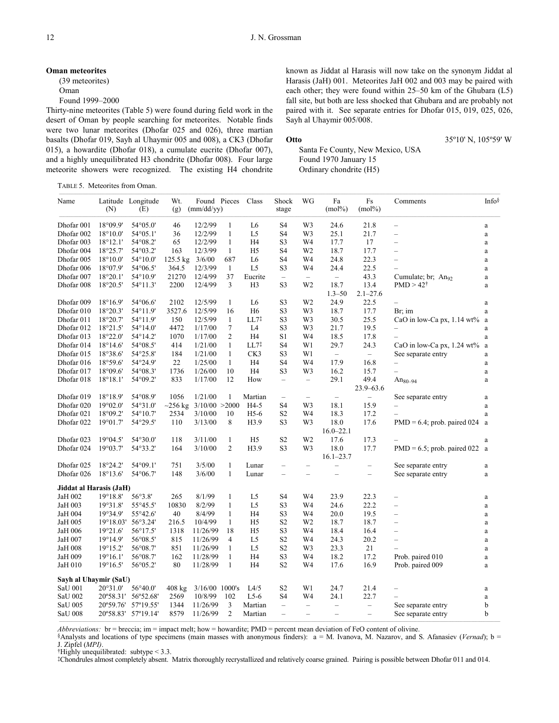#### **Oman meteorites**

(39 meteorites) Oman

Found 1999–2000

Thirty-nine meteorites (Table 5) were found during field work in the desert of Oman by people searching for meteorites. Notable finds were two lunar meteorites (Dhofar 025 and 026), three martian basalts (Dhofar 019, Sayh al Uhaymir 005 and 008), a CK3 (Dhofar 015), a howardite (Dhofar 018), a cumulate eucrite (Dhofar 007), and a highly unequilibrated H3 chondrite (Dhofar 008). Four large meteorite showers were recognized. The existing H4 chondrite

TABLE 5. Meteorites from Oman.

known as Jiddat al Harasis will now take on the synonym Jiddat al Harasis (JaH) 001. Meteorites JaH 002 and 003 may be paired with each other; they were found within 25–50 km of the Ghubara (L5) fall site, but both are less shocked that Ghubara and are probably not paired with it. See separate entries for Dhofar 015, 019, 025, 026, Sayh al Uhaymir 005/008.

**Otto** 35°10' N, 105°59' W

Santa Fe County, New Mexico, USA Found 1970 January 15 Ordinary chondrite (H5)

| Name                    | (N)               | Latitude Longitude<br>(E) | Wt.<br>(g)       | Found Pieces<br>(mm/dd/yy) |                | Class            | Shock<br>stage           | WG                               | Fa<br>$(mol\%)$          | Fs<br>$(mol\%)$          | Comments                                | Info§        |
|-------------------------|-------------------|---------------------------|------------------|----------------------------|----------------|------------------|--------------------------|----------------------------------|--------------------------|--------------------------|-----------------------------------------|--------------|
| Dhofar 001              | 18°09.9'          | 54°05.0'                  | 46               | 12/2/99                    | $\mathbf{1}$   | L6               | S <sub>4</sub>           | W3                               | 24.6                     | 21.8                     | $\overline{\phantom{0}}$                | $\rm{a}$     |
| Dhofar 002              | $18^{\circ}10.0'$ | 54°05.1'                  | 36               | 12/2/99                    | $\mathbf{1}$   | L <sub>5</sub>   | S4                       | W <sub>3</sub>                   | 25.1                     | 21.7                     | $\qquad \qquad -$                       | $\rm{a}$     |
| Dhofar 003              | $18^{\circ}12.1'$ | 54°08.2'                  | 65               | 12/2/99                    | $\mathbf{1}$   | H <sub>4</sub>   | S <sub>3</sub>           | W4                               | 17.7                     | 17                       | $\overline{\phantom{0}}$                | $\rm{a}$     |
| Dhofar 004              | 18°25.7'          | 54°03.2'                  | 163              | 12/3/99                    | $\mathbf{1}$   | H <sub>5</sub>   | S <sub>4</sub>           | W <sub>2</sub>                   | 18.7                     | 17.7                     | $\equiv$                                | $\rm{a}$     |
| Dhofar 005              | $18^{\circ}10.0'$ | 54°10.0'                  | 125.5 kg         | 3/6/00                     | 687            | L <sub>6</sub>   | S <sub>4</sub>           | W4                               | 24.8                     | 22.3                     | $\equiv$                                | $\rm{a}$     |
| Dhofar 006              | 18°07.9'          | 54°06.5'                  | 364.5            | 12/3/99                    | $\mathbf{1}$   | L <sub>5</sub>   | S3                       | W4                               | 24.4                     | 22.5                     |                                         | $\rm{a}$     |
| Dhofar 007              | 18°20.1'          | 54°10.9'                  | 21270            | 12/4/99                    | 37             | Eucrite          | $\equiv$                 | $\overline{\phantom{0}}$         | $\overline{\phantom{0}}$ | 43.3                     | Cumulate; br; $An_{92}$                 | $\rm{a}$     |
| Dhofar 008              | 18°20.5'          | 54°11.3'                  | 2200             | 12/4/99                    | 3              | H <sub>3</sub>   | S3                       | W <sub>2</sub>                   | 18.7                     | 13.4                     | $PMD > 42^{\dagger}$                    | $\rm{a}$     |
|                         |                   |                           |                  |                            |                |                  |                          |                                  | $1.3 - 50$               | $2.1 - 27.6$             |                                         |              |
| Dhofar 009              | 18°16.9'          | 54°06.6'                  | 2102             | 12/5/99                    | $\mathbf{1}$   | L <sub>6</sub>   | S <sub>3</sub>           | W <sub>2</sub>                   | 24.9                     | 22.5                     |                                         | $\rm{a}$     |
| Dhofar 010              | 18°20.3'          | 54°11.9'                  | 3527.6           | 12/5/99                    | 16             | H <sub>6</sub>   | S3                       | W3                               | 18.7                     | 17.7                     | Br; im                                  | $\mathbf{a}$ |
| Dhofar 011              | 18°20.7'          | 54°11.9'                  | 150              | 12/5/99                    | $\mathbf{1}$   | LL7 <sup>‡</sup> | S3                       | W <sub>3</sub>                   | 30.5                     | 25.5                     | CaO in low-Ca px, $1.14 \text{ wt\%}$ a |              |
| Dhofar 012              | 18°21.5'          | $54^{\circ}14.0'$         | 4472             | 1/17/00                    | $\tau$         | L <sub>4</sub>   | S <sub>3</sub>           | W3                               | 21.7                     | 19.5                     | $\qquad \qquad -$                       | $\mathbf{a}$ |
| Dhofar 013              | 18°22.0'          | 54°14.2'                  | 1070             | 1/17/00                    | 2              | H <sub>4</sub>   | S1                       | W4                               | 18.5                     | 17.8                     |                                         | $\rm{a}$     |
| Dhofar 014              | 18°14.6'          | 54°08.5'                  | 414              | 1/21/00                    | $\mathbf{1}$   | LL7 <sup>‡</sup> | S <sub>4</sub>           | W1                               | 29.7                     | 24.3                     | CaO in low-Ca px, $1.24 \text{ wt\%}$ a |              |
| Dhofar 015              | 18°38.6'          | 54°25.8'                  | 184              | 1/21/00                    | $\mathbf{1}$   | CK3              | S <sub>3</sub>           | W1                               | $\overline{\phantom{a}}$ | $\overline{\phantom{0}}$ | See separate entry                      | $\rm{a}$     |
| Dhofar 016              | 18°59.6'          | 54°24.9'                  | 22               | 1/25/00                    | $\mathbf{1}$   | H <sub>4</sub>   | S <sub>4</sub>           | W4                               | 17.9                     | 16.8                     | $\qquad \qquad -$                       | $\mathbf{a}$ |
| Dhofar 017              | 18°09.6'          | 54°08.3'                  | 1736             | 1/26/00                    | 10             | H4               | S <sub>3</sub>           | W3                               | 16.2                     | 15.7                     | $\overline{\phantom{0}}$                | a            |
| Dhofar 018              | $18^{\circ}18.1'$ | 54°09.2'                  | 833              | 1/17/00                    | 12             | How              | $\overline{\phantom{m}}$ | $\qquad \qquad -$                | 29.1                     | 49.4                     | $An_{80-94}$                            | a            |
|                         |                   |                           |                  |                            |                |                  |                          |                                  |                          | $23.9 - 63.6$            |                                         |              |
| Dhofar 019              | 18°18.9'          | 54°08.9'                  | 1056             | 1/21/00                    | $\mathbf{1}$   | Martian          | $\overline{\phantom{m}}$ | $\qquad \qquad -$                | $\overline{\phantom{m}}$ | $\overline{\phantom{0}}$ | See separate entry                      | $\mathbf{a}$ |
| Dhofar 020              | 19°02.0'          | 54°31.0'                  | $-256$ kg        | 3/10/00 > 2000             |                | H4-5             | S <sub>4</sub>           | W3                               | 18.1                     | 15.9                     | $\overline{\phantom{0}}$                | $\mathbf{a}$ |
| Dhofar 021              | 18°09.2'          | 54°10.7'                  | 2534             | 3/10/00                    | 10             | $H5-6$           | S <sub>2</sub>           | W4                               | 18.3                     | 17.2                     | $\overline{\phantom{0}}$                | a            |
| Dhofar 022              | 19°01.7'          | 54°29.5'                  | 110              | 3/13/00                    | 8              | H3.9             | S <sub>3</sub>           | W3                               | 18.0                     | 17.6                     | $PMD = 6.4$ ; prob. paired 024 a        |              |
|                         |                   |                           |                  |                            |                |                  |                          |                                  | $16.0 - 22.1$            |                          |                                         |              |
| Dhofar 023              | $19^{\circ}04.5'$ | 54°30.0'                  | 118              | 3/11/00                    | $\mathbf{1}$   | H <sub>5</sub>   | S <sub>2</sub>           | W <sub>2</sub>                   | 17.6                     | 17.3                     |                                         | a            |
| Dhofar 024              | 19°03.7'          | 54°33.2'                  | 164              | 3/10/00                    | $\overline{c}$ | H3.9             | S <sub>3</sub>           | W3                               | 18.0                     | 17.7                     | $PMD = 6.5$ ; prob. paired 022 a        |              |
|                         |                   |                           |                  |                            |                |                  |                          |                                  | $16.1 - 23.7$            |                          |                                         |              |
| Dhofar 025              | 18°24.2'          | 54°09.1'                  | 751              | 3/5/00                     | $\mathbf{1}$   | Lunar            | $\overline{\phantom{m}}$ | $\qquad \qquad -$                | $\overline{\phantom{a}}$ | $\overline{\phantom{a}}$ | See separate entry                      | a            |
| Dhofar 026              | 18°13.6'          | 54°06.7'                  | 148              | 3/6/00                     | 1              | Lunar            | $\overline{\phantom{0}}$ | $\overline{\phantom{0}}$         | $\equiv$                 | $\overline{\phantom{m}}$ | See separate entry                      | a            |
| Jiddat al Harasis (JaH) |                   |                           |                  |                            |                |                  |                          |                                  |                          |                          |                                         |              |
| JaH 002                 | 19°18.8'          | 56°3.8'                   | 265              | 8/1/99                     | $\mathbf{1}$   | L <sub>5</sub>   | S <sub>4</sub>           | W <sub>4</sub>                   | 23.9                     | 22.3                     | $\qquad \qquad -$                       | a            |
| JaH 003                 | 19°31.8'          | 55°45.5'                  | 10830            | 8/2/99                     | $\mathbf{1}$   | L <sub>5</sub>   | S <sub>3</sub>           | W4                               | 24.6                     | 22.2                     | $\qquad \qquad -$                       | a            |
| JaH 004                 | 19°34.9'          | 55°42.6'                  | 40               | 8/4/99                     | $\mathbf{1}$   | H4               | S3                       | W4                               | 20.0                     | 19.5                     | $\qquad \qquad -$                       | $\rm{a}$     |
| JaH 005                 | 19°18.03'         | 56°3.24'                  | 216.5            | 10/4/99                    | $\mathbf{1}$   | H <sub>5</sub>   | S <sub>2</sub>           | W <sub>2</sub>                   | 18.7                     | 18.7                     | $\qquad \qquad -$                       | $\mathbf{a}$ |
| JaH 006                 | 19°21.6'          | 56°17.5'                  | 1318             | 11/26/99                   | 18             | H <sub>5</sub>   | S <sub>3</sub>           | W <sub>4</sub>                   | 18.4                     | 16.4                     | $\qquad \qquad -$                       | a            |
| JaH 007                 | 19°14.9'          | 56°08.5'                  | 815              | 11/26/99                   | 4              | L <sub>5</sub>   | $\mathbf{S2}$            | W <sub>4</sub>                   | 24.3                     | 20.2                     | $\qquad \qquad -$                       | $\mathbf{a}$ |
| JaH 008                 | 19°15.2'          | 56°08.7'                  | 851              | 11/26/99                   | $\mathbf{1}$   | L5               | S <sub>2</sub>           | W <sub>3</sub>                   | 23.3                     | 21                       |                                         | $\mathbf{a}$ |
| JaH 009                 | 19°16.1'          | 56°08.7'                  | 162              | 11/28/99                   | $\mathbf{1}$   | H <sub>4</sub>   | S <sub>3</sub>           | W4                               | 18.2                     | 17.2                     | Prob. paired 010                        | a            |
| JaH 010                 | 19°16.5'          | 56°05.2'                  | 80               | 11/28/99                   | $\mathbf{1}$   | H <sub>4</sub>   | S <sub>2</sub>           | W4                               | 17.6                     | 16.9                     | Prob. paired 009                        | a            |
| Sayh al Uhaymir (SaU)   |                   |                           |                  |                            |                |                  |                          |                                  |                          |                          |                                         |              |
| SaU 001                 | 20°31.0'          | 56°40.0'                  | $408 \text{ kg}$ | 3/16/00 1000's             |                | L4/5             | $\rm S2$                 | W1                               | 24.7                     | 21.4                     | $\overbrace{\phantom{12322111}}$        | a            |
| SaU 002                 |                   | 20°58.31' 56°52.68'       | 2569             | 10/8/99                    | 102            | $L5-6$           | S <sub>4</sub>           | W <sub>4</sub>                   | 24.1                     | 22.7                     |                                         | $\rm{a}$     |
| SaU 005                 | 20°59.76'         | 57°19.55'                 | 1344             | 11/26/99                   | 3              | Martian          | $\qquad \qquad -$        | $\overbrace{\phantom{12322111}}$ | $\qquad \qquad -$        | $\overline{\phantom{0}}$ | See separate entry                      | b            |
| <b>SaU 008</b>          |                   | 20°58.83' 57°19.14'       | 8579             | 11/26/99                   | $\mathfrak{2}$ | Martian          | $\qquad \qquad -$        | $\qquad \qquad -$                | $\overline{\phantom{m}}$ | $\overline{\phantom{a}}$ | See separate entry                      | b            |

*Abbreviations:* br = breccia; im = impact melt; how = howardite; PMD = percent mean deviation of FeO content of olivine.

§Analysts and locations of type specimens (main masses with anonymous finders):  $a = M$ . Ivanova, M. Nazarov, and S. Afanasiev (*Vernad*); b = J. Zipfel (*MPI*).

*†Highly unequilibrated: subtype* < 3.3.

‡Chondrules almost completely absent. Matrix thoroughly recrystallized and relatively coarse grained. Pairing is possible between Dhofar 011 and 014.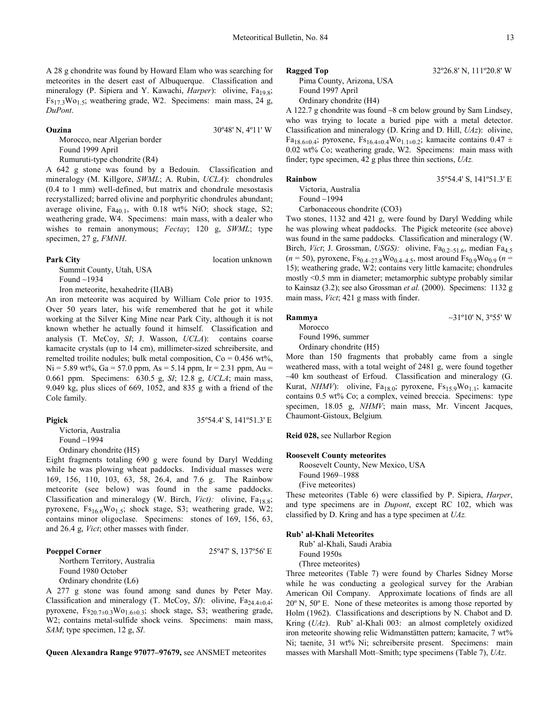A 28 g chondrite was found by Howard Elam who was searching for meteorites in the desert east of Albuquerque. Classification and mineralogy (P. Sipiera and Y. Kawachi, *Harper*): olivine, Fa<sub>19.8</sub>;  $Fs_{17.3}Wo_{1.5}$ ; weathering grade, W2. Specimens: main mass, 24 g, *DuPont*.

#### **Ouzina** 30º48' N, 4º11' W

Morocco, near Algerian border Found 1999 April

Rumuruti-type chondrite (R4)

A 642 g stone was found by a Bedouin. Classification and mineralogy (M. Killgore, *SWML*; A. Rubin, *UCLA*): chondrules (0.4 to 1 mm) well-defined, but matrix and chondrule mesostasis recrystallized; barred olivine and porphyritic chondrules abundant; average olivine,  $Fa_{40,1}$ , with 0.18 wt% NiO; shock stage, S2; weathering grade, W4. Specimens: main mass, with a dealer who wishes to remain anonymous; *Fectay*; 120 g, *SWML*; type specimen, 27 g, *FMNH*.

#### **Park City** location unknown

Summit County, Utah, USA Found ∼1934

Iron meteorite, hexahedrite (IIAB)

An iron meteorite was acquired by William Cole prior to 1935. Over 50 years later, his wife remembered that he got it while working at the Silver King Mine near Park City, although it is not known whether he actually found it himself. Classification and analysis (T. McCoy, *SI*; J. Wasson, *UCLA*): contains coarse kamacite crystals (up to 14 cm), millimeter-sized schreibersite, and remelted troilite nodules; bulk metal composition,  $Co = 0.456$  wt%,  $Ni = 5.89$  wt%,  $Ga = 57.0$  ppm,  $As = 5.14$  ppm,  $Ir = 2.31$  ppm,  $Au =$ 0.661 ppm. Specimens: 630.5 g, *SI*; 12.8 g, *UCLA*; main mass, 9.049 kg, plus slices of 669, 1052, and 835 g with a friend of the Cole family.

#### **Pigick** 35º54.4' S, 141º51.3' E

Victoria, Australia Found ∼1994 Ordinary chondrite (H5)

Eight fragments totaling 690 g were found by Daryl Wedding while he was plowing wheat paddocks. Individual masses were 169, 156, 110, 103, 63, 58, 26.4, and 7.6 g. The Rainbow meteorite (see below) was found in the same paddocks. Classification and mineralogy (W. Birch, Vict): olivine, Fa<sub>18.8</sub>; pyroxene,  $Fs_{16.6}Wo_{1.5}$ ; shock stage, S3; weathering grade, W2; contains minor oligoclase. Specimens: stones of 169, 156, 63, and 26.4 g, *Vict*; other masses with finder.

### **Poeppel Corner** 25°47' S, 137°56' E

Northern Territory, Australia Found 1980 October Ordinary chondrite (L6)

A 277 g stone was found among sand dunes by Peter May. Classification and mineralogy (T. McCoy, *SI*): olivine,  $Fa_{24.4\pm0.4}$ ; pyroxene,  $Fs_{20.7\pm0.3}Wo_{1.6\pm0.3}$ ; shock stage, S3; weathering grade, W2; contains metal-sulfide shock veins. Specimens: main mass, *SAM*; type specimen, 12 g, *SI*.

**Queen Alexandra Range 97077–97679,** see ANSMET meteorites

#### **Ragged Top** 32°26.8' N, 111°20.8' W

Pima County, Arizona, USA Found 1997 April Ordinary chondrite (H4)

A 122.7 g chondrite was found ∼8 cm below ground by Sam Lindsey, who was trying to locate a buried pipe with a metal detector. Classification and mineralogy (D. Kring and D. Hill, *UAz*): olivine, Fa<sub>18.6±0.4</sub>; pyroxene, Fs<sub>16.4±0.4</sub>Wo<sub>1.1±0.2</sub>; kamacite contains 0.47 ± 0.02 wt% Co; weathering grade, W2. Specimens: main mass with finder; type specimen, 42 g plus three thin sections, *UAz.* 

#### **Rainbow** 35°54.4' S, 141°51.3' E

Victoria, Australia Found ∼1994

Carbonaceous chondrite (CO3)

Two stones, 1132 and 421 g, were found by Daryl Wedding while he was plowing wheat paddocks. The Pigick meteorite (see above) was found in the same paddocks. Classification and mineralogy (W. Birch, *Vict*; J. Grossman, *USGS*): olivine, Fa<sub>0.2–51.6</sub>, median Fa<sub>4.5</sub>  $(n = 50)$ , pyroxene,  $Fs_{0.4-27.8}Wo_{0.4-4.5}$ , most around  $Fs_{0.9}Wo_{0.9}$   $(n =$ 15); weathering grade, W2; contains very little kamacite; chondrules mostly <0.5 mm in diameter; metamorphic subtype probably similar to Kainsaz (3.2); see also Grossman *et al.* (2000). Specimens: 1132 g main mass, *Vict*; 421 g mass with finder.

### **Rammya** ∼31º10' N, 3º55' W

Morocco Found 1996, summer

Ordinary chondrite (H5)

More than 150 fragments that probably came from a single weathered mass, with a total weight of 2481 g, were found together ∼40 km southeast of Erfoud. Classification and mineralogy (G. Kurat, NHMV): olivine, Fa<sub>18.0</sub>; pyroxene, Fs<sub>15.9</sub>Wo<sub>1.1</sub>; kamacite contains 0.5 wt% Co; a complex, veined breccia. Specimens: type specimen, 18.05 g, *NHMV*; main mass, Mr. Vincent Jacques, Chaumont-Gistoux, Belgium*.* 

**Reid 028,** see Nullarbor Region

#### **Roosevelt County meteorites**

Roosevelt County, New Mexico, USA Found 1969–1988 (Five meteorites)

These meteorites (Table 6) were classified by P. Sipiera, *Harper*, and type specimens are in *Dupont*, except RC 102, which was classified by D. Kring and has a type specimen at *UAz.*

#### **Rub' al-Khali Meteorites**

Rub' al-Khali, Saudi Arabia Found 1950s (Three meteorites)

Three meteorites (Table 7) were found by Charles Sidney Morse while he was conducting a geological survey for the Arabian American Oil Company. Approximate locations of finds are all 20º N, 50º E. None of these meteorites is among those reported by Holm (1962). Classifications and descriptions by N. Chabot and D. Kring (*UAz*). Rub' al-Khali 003: an almost completely oxidized iron meteorite showing relic Widmanstätten pattern; kamacite, 7 wt% Ni; taenite, 31 wt% Ni; schreibersite present. Specimens: main masses with Marshall Mott–Smith; type specimens (Table 7), *UAz*.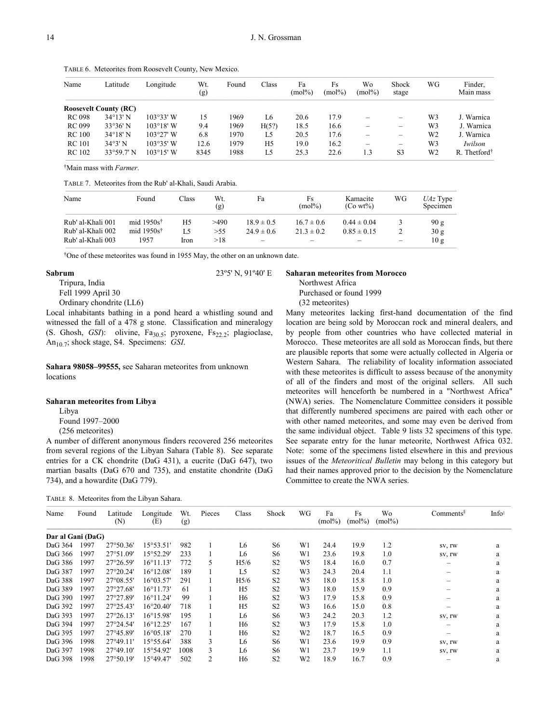TABLE 6. Meteorites from Roosevelt County, New Mexico.

| Name          | Latitude                     | Longitude          | Wt.<br>(g) | Found | Class          | Fa<br>$(mol\%)$ | Fs<br>$(mol\%)$ | Wo<br>$(mol\%)$ | Shock<br>stage                                                            | WG | Finder,<br>Main mass     |
|---------------|------------------------------|--------------------|------------|-------|----------------|-----------------|-----------------|-----------------|---------------------------------------------------------------------------|----|--------------------------|
|               | <b>Roosevelt County (RC)</b> |                    |            |       |                |                 |                 |                 |                                                                           |    |                          |
| <b>RC 098</b> | $34^{\circ}13'$ N            | $103°33'$ W        | 15         | 1969  | L6             | 20.6            | 17.9            |                 | $\hspace{1.0cm} \rule{1.5cm}{0.15cm} \hspace{1.0cm} \rule{1.5cm}{0.15cm}$ | W3 | J. Warnica               |
| <b>RC 099</b> | 33°36' N                     | $103^{\circ}18'$ W | 9.4        | 1969  | H(5?)          | 18.5            | 16.6            |                 | -                                                                         | W3 | J. Warnica               |
| <b>RC</b> 100 | $34^{\circ}18'$ N            | $103^{\circ}27'$ W | 6.8        | 1970  | L5             | 20.5            | 17.6            |                 | $\overline{\phantom{0}}$                                                  | W2 | J. Warnica               |
| <b>RC</b> 101 | 34°3' N                      | $103°35'$ W        | 12.6       | 1979  | H <sub>5</sub> | 19.0            | 16.2            | -               | $\overline{\phantom{m}}$                                                  | W3 | Iwilson                  |
| <b>RC</b> 102 | $33^{\circ}59.7'$ N          | $103^{\circ}15'$ W | 8345       | 1988  | L5             | 25.3            | 22.6            | 1.3             | S <sub>3</sub>                                                            | W2 | R. Thetford <sup>†</sup> |

†Main mass with *Farmer*.

TABLE 7. Meteorites from the Rub' al-Khali, Saudi Arabia.

| Name              | Found                  | lass: | Wt.<br>(g) | Fa             | Fs<br>$(mol\%)$ | Kamacite<br>$(Co wt\%)$ | WG | $UAz$ Type<br>Specimen |
|-------------------|------------------------|-------|------------|----------------|-----------------|-------------------------|----|------------------------|
| Rub' al-Khali 001 | mid 1950s <sup>†</sup> | H5    | >490       | $18.9 \pm 0.5$ | $16.7 \pm 0.6$  | $0.44 \pm 0.04$         | 3  | 90 g                   |
| Rub' al-Khali 002 | mid $1950s^{\dagger}$  | L5    | >55        | $24.9 \pm 0.6$ | $21.3 \pm 0.2$  | $0.85 \pm 0.15$         |    | 30 g                   |
| Rub' al-Khali 003 | 1957                   | Iron  | >18        | -              |                 |                         | -  | 10g                    |

†One of these meteorites was found in 1955 May, the other on an unknown date.

#### **Sabrum** 23º5' N, 91º40' E

Tripura, India Fell 1999 April 30

Ordinary chondrite (LL6)

Local inhabitants bathing in a pond heard a whistling sound and witnessed the fall of a 478 g stone. Classification and mineralogy (S. Ghosh, GSI): olivine, Fa<sub>30.5</sub>; pyroxene, Fs<sub>22.2</sub>; plagioclase, An<sub>10.7</sub>; shock stage, S4. Specimens: *GSI*.

**Sahara 98058–99555,** see Saharan meteorites from unknown locations

### **Saharan meteorites from Libya**

Libya Found 1997–2000 (256 meteorites)

A number of different anonymous finders recovered 256 meteorites from several regions of the Libyan Sahara (Table 8). See separate entries for a CK chondrite (DaG 431), a eucrite (DaG 647), two martian basalts (DaG 670 and 735), and enstatite chondrite (DaG 734), and a howardite (DaG 779).

| TABLE 8. Meteorites from the Libyan Sahara. |  |
|---------------------------------------------|--|
|                                             |  |

#### **Saharan meteorites from Morocco**

Northwest Africa

Purchased or found 1999

### (32 meteorites)

Many meteorites lacking first-hand documentation of the find location are being sold by Moroccan rock and mineral dealers, and by people from other countries who have collected material in Morocco. These meteorites are all sold as Moroccan finds, but there are plausible reports that some were actually collected in Algeria or Western Sahara. The reliability of locality information associated with these meteorites is difficult to assess because of the anonymity of all of the finders and most of the original sellers. All such meteorites will henceforth be numbered in a "Northwest Africa" (NWA) series. The Nomenclature Committee considers it possible that differently numbered specimens are paired with each other or with other named meteorites, and some may even be derived from the same individual object. Table 9 lists 32 specimens of this type. See separate entry for the lunar meteorite, Northwest Africa 032. Note: some of the specimens listed elsewhere in this and previous issues of the *Meteoritical Bulletin* may belong in this category but had their names approved prior to the decision by the Nomenclature Committee to create the NWA series.

| Name              | Found | Latitude<br>(N)    | Longitude<br>(E)   | Wt.<br>(g) | Pieces | Class            | Shock          | WG             | Fa<br>$(mol\%)$ | Fs<br>$(mol\%)$ | Wo<br>$(mol\%)$ | Comments <sup>§</sup> | Info <sup>#</sup> |
|-------------------|-------|--------------------|--------------------|------------|--------|------------------|----------------|----------------|-----------------|-----------------|-----------------|-----------------------|-------------------|
| Dar al Gani (DaG) |       |                    |                    |            |        |                  |                |                |                 |                 |                 |                       |                   |
| DaG 364           | 1997  | 27°50.36'          | $15^{\circ}53.51'$ | 982        |        | L6               | S6             | W1             | 24.4            | 19.9            | 1.2             | SV, IW                | a                 |
| DaG 366           | 1997  | 27°51.09'          | 15°52.29'          | 233        |        | L6               | S6             | W1             | 23.6            | 19.8            | 1.0             | SV, IW                | a                 |
| DaG 386           | 1997  | $27^{\circ}26.59'$ | 16°11.13'          | 772        | 5      | H <sub>5/6</sub> | S <sub>2</sub> | W <sub>5</sub> | 18.4            | 16.0            | 0.7             | -                     | a                 |
| DaG 387           | 1997  | $27^{\circ}20.24'$ | $16^{\circ}12.08'$ | 189        |        | L <sub>5</sub>   | S <sub>2</sub> | W <sub>3</sub> | 24.3            | 20.4            | 1.1             |                       | a                 |
| DaG 388           | 1997  | 27°08.55'          | $16^{\circ}03.57'$ | 291        |        | H <sub>5/6</sub> | S <sub>2</sub> | W <sub>5</sub> | 18.0            | 15.8            | 1.0             |                       | a                 |
| DaG 389           | 1997  | $27^{\circ}27.68'$ | $16^{\circ}11.73'$ | 61         |        | H <sub>5</sub>   | S <sub>2</sub> | W <sub>3</sub> | 18.0            | 15.9            | 0.9             |                       | a                 |
| DaG 390           | 1997  | 27°27.89'          | $16^{\circ}11.24'$ | 99         |        | H <sub>6</sub>   | S <sub>2</sub> | W <sub>3</sub> | 17.9            | 15.8            | 0.9             |                       | a                 |
| DaG 392           | 1997  | 27°25.43'          | $16^{\circ}20.40'$ | 718        |        | H <sub>5</sub>   | S <sub>2</sub> | W <sub>3</sub> | 16.6            | 15.0            | 0.8             |                       | a                 |
| DaG 393           | 1997  | $27^{\circ}26.13'$ | 16°15.98'          | 195        |        | L6               | S6             | W <sub>3</sub> | 24.2            | 20.3            | 1.2             | SV, IW                | a                 |
| DaG 394           | 1997  | 27°24.54'          | 16°12.25'          | 167        |        | H <sub>6</sub>   | S <sub>2</sub> | W <sub>3</sub> | 17.9            | 15.8            | 1.0             |                       | a                 |
| DaG 395           | 1997  | 27°45.89'          | 16°05.18'          | 270        |        | H <sub>6</sub>   | S <sub>2</sub> | W <sub>2</sub> | 18.7            | 16.5            | 0.9             |                       | a                 |
| DaG 396           | 1998  | $27^{\circ}49.11'$ | 15°55.64'          | 388        | 3      | L6               | S6             | W1             | 23.6            | 19.9            | 0.9             | SV, IW                | a                 |
| DaG 397           | 1998  | $27^{\circ}49.10'$ | 15°54.92'          | 1008       | 3      | L6               | S <sub>6</sub> | W1             | 23.7            | 19.9            | 1.1             | SV, IW                | a                 |
| DaG 398           | 1998  | 27°50.19'          | 15°49.47'          | 502        | 2      | H <sub>6</sub>   | S <sub>2</sub> | W <sub>2</sub> | 18.9            | 16.7            | 0.9             |                       | a                 |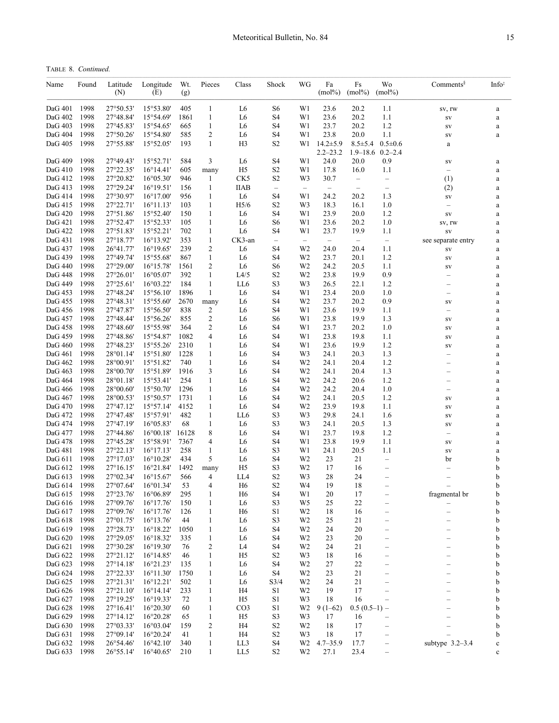TABLE 8. *Continued.*

| Name               | Found        | Latitude<br>(N)        | Longitude<br>(E)                         | Wt.<br>(g)   | Pieces                       | Class                | Shock                | WG                               | Fa<br>$(mol\%)$                | Fs<br>$(mol\%)$          | Wo<br>$(mol\%)$                       | $Comments^{\S}$          | Info <sup>‡</sup> |
|--------------------|--------------|------------------------|------------------------------------------|--------------|------------------------------|----------------------|----------------------|----------------------------------|--------------------------------|--------------------------|---------------------------------------|--------------------------|-------------------|
| DaG 401            | 1998         | 27°50.53'              | 15°53.80'                                | 405          | $\mathbf{1}$                 | L6                   | S6                   | W1                               | 23.6                           | 20.2                     | 1.1                                   | SV, IW                   | a                 |
| DaG 402            | 1998         | 27°48.84'              | 15°54.69'                                | 1861         | $\mathbf{1}$                 | L6                   | S <sub>4</sub>       | W1                               | 23.6                           | 20.2                     | 1.1                                   | $\mathrm{SV}$            | a                 |
| DaG 403            | 1998         | 27°45.83'              | 15°54.65'                                | 665          | $\mathbf{1}$                 | L6                   | S4                   | W1                               | 23.7                           | 20.2                     | 1.2                                   | SV                       | $\rm{a}$          |
| DaG 404            | 1998         | 27°50.26'              | 15°54.80'                                | 585          | 2                            | L6                   | S4                   | W1                               | 23.8                           | 20.0                     | 1.1                                   | SV                       | $\rm{a}$          |
| DaG 405            | 1998         | 27°55.88'              | 15°52.05'                                | 193          | $\mathbf{1}$                 | H <sub>3</sub>       | S <sub>2</sub>       | W1                               | $14.2 \pm 5.9$<br>$2.2 - 23.2$ | $8.5 \pm 5.4$            | $0.5 \pm 0.6$<br>$1.9 - 18.6$ 0.2-2.4 | a                        |                   |
| DaG 409            | 1998         | 27°49.43'              | 15°52.71'                                | 584          | 3                            | L <sub>6</sub>       | S <sub>4</sub>       | W1                               | 24.0                           | 20.0                     | 0.9                                   | SV                       | a                 |
| DaG 410            | 1998         | 27°22.35'              | 16°14.41'                                | 605          | many                         | H <sub>5</sub>       | S <sub>2</sub>       | W1                               | 17.8                           | 16.0                     | 1.1                                   | $\qquad \qquad -$        | $\rm{a}$          |
| DaG 412            | 1998         | 27°20.82'              | $16^{\circ}05.30'$                       | 946          | $\mathbf{1}$                 | CK5                  | S <sub>2</sub>       | W3                               | 30.7                           | $\qquad \qquad -$        | $\qquad \qquad -$                     | (1)                      | $\rm{a}$          |
| DaG 413            | 1998         | 27°29.24'              | $16^{\circ}19.51'$                       | 156          | 1                            | <b>IIAB</b>          | $\qquad \qquad -$    | $\overline{\phantom{m}}$         | $\overline{\phantom{m}}$       | $\qquad \qquad -$        | $\overline{\phantom{m}}$              | (2)                      | a                 |
| DaG 414            | 1998         | 27°30.97'              | $16^{\circ}17.00'$                       | 956          | $\mathbf{1}$                 | L <sub>6</sub>       | S <sub>4</sub>       | W1                               | 24.2                           | 20.2                     | 1.3                                   | SV                       | $\rm{a}$          |
| DaG 415            | 1998         | 27°22.71'              | 16°11.13'                                | 103          | $\mathbf{1}$                 | H <sub>5/6</sub>     | S <sub>2</sub>       | W3                               | 18.3                           | 16.1                     | 1.0                                   |                          | a                 |
| DaG 420            | 1998<br>1998 | 27°51.86'<br>27°52.47' | 15°52.40'<br>15°52.33'                   | 150          | $\mathbf{1}$                 | L6                   | S4                   | W1                               | 23.9                           | 20.0                     | 1.2                                   | SV                       | $\rm{a}$          |
| DaG 421<br>DaG 422 | 1998         | 27°51.83'              | 15°52.21'                                | 105<br>702   | $\mathbf{1}$<br>1            | L6<br>L <sub>6</sub> | S6<br>S <sub>4</sub> | W1<br>W1                         | 23.6<br>23.7                   | 20.2<br>19.9             | 1.0<br>1.1                            | sv, rw<br>SV             | $\rm{a}$          |
| DaG 431            | 1998         | 27°18.77'              | 16°13.92'                                | 353          | 1                            | CK3-an               | $\qquad \qquad -$    | $\overline{\phantom{m}}$         | $\overline{\phantom{a}}$       | $\overline{\phantom{a}}$ | $\overline{\phantom{a}}$              | see separate entry       | a<br>a            |
| DaG 437            | 1998         | 26°41.77'              | 16°19.65'                                | 239          | 2                            | L <sub>6</sub>       | S <sub>4</sub>       | W <sub>2</sub>                   | 24.0                           | 20.4                     | 1.1                                   | SV                       | a                 |
| DaG 439            | 1998         | 27°49.74'              | 15°55.68'                                | 867          | $\mathbf{1}$                 | L6                   | S4                   | W <sub>2</sub>                   | 23.7                           | 20.1                     | 1.2                                   | SV                       | $\rm{a}$          |
| DaG 440            | 1998         | 27°29.00'              | $16^{\circ}15.78'$                       | 1561         | 2                            | L6                   | S6                   | W <sub>2</sub>                   | 24.2                           | 20.5                     | 1.1                                   | SV                       | $\rm{a}$          |
| DaG 448            | 1998         | 27°26.01'              | 16°05.07'                                | 392          | $\mathbf{1}$                 | L4/5                 | S <sub>2</sub>       | W <sub>2</sub>                   | 23.8                           | 19.9                     | 0.9                                   | $\overline{\phantom{0}}$ | a                 |
| DaG 449            | 1998         | 27°25.61'              | 16°03.22'                                | 184          | $\mathbf{1}$                 | LL6                  | S <sub>3</sub>       | W3                               | 26.5                           | 22.1                     | 1.2                                   | $\overline{\phantom{0}}$ | $\rm{a}$          |
| DaG 453            | 1998         | 27°48.24'              | 15°56.10'                                | 1896         | $\mathbf{1}$                 | L <sub>6</sub>       | S <sub>4</sub>       | W1                               | 23.4                           | 20.0                     | 1.0                                   | L,                       | a                 |
| DaG 455            | 1998         | 27°48.31'              | 15°55.60'                                | 2670         | many                         | L6                   | S <sub>4</sub>       | W <sub>2</sub>                   | 23.7                           | 20.2                     | 0.9                                   | SV                       | $\rm{a}$          |
| DaG 456            | 1998         | 27°47.87'              | 15°56.50'                                | 838          | 2                            | L6                   | S4                   | W1                               | 23.6                           | 19.9                     | 1.1                                   | $\overline{\phantom{0}}$ | $\rm{a}$          |
| DaG 457            | 1998         | 27°48.44'              | 15°56.26'                                | 855          | $\overline{c}$               | L6                   | S <sub>6</sub>       | W1                               | 23.8                           | 19.9                     | 1.3                                   | SV                       | a                 |
| DaG 458            | 1998         | 27°48.60'              | 15°55.98'                                | 364          | $\overline{c}$               | L6                   | S <sub>4</sub>       | W1                               | 23.7                           | 20.2                     | 1.0                                   | SV                       | $\rm{a}$          |
| DaG 459            | 1998         | 27°48.86'              | 15°54.87'                                | 1082         | 4                            | L6                   | S <sub>4</sub>       | W1                               | 23.8                           | 19.8                     | 1.1                                   | SV                       | a                 |
| DaG 460<br>DaG 461 | 1998<br>1998 | 27°48.23'<br>28°01.14' | 15°55.26'<br>15°51.80'                   | 2310<br>1228 | $\mathbf{1}$<br>$\mathbf{1}$ | L6<br>L6             | S <sub>4</sub><br>S4 | W1<br>W3                         | 23.6<br>24.1                   | 19.9<br>20.3             | 1.2<br>1.3                            | SV                       | $\rm{a}$          |
| DaG 462            | 1998         | 28°00.91'              | 15°51.82'                                | 740          | $\mathbf{1}$                 | L6                   | S <sub>4</sub>       | W <sub>2</sub>                   | 24.1                           | 20.4                     | 1.2                                   | —                        | $\rm{a}$<br>a     |
| DaG 463            | 1998         | 28°00.70'              | 15°51.89'                                | 1916         | 3                            | L6                   | S <sub>4</sub>       | W <sub>2</sub>                   | 24.1                           | 20.4                     | 1.3                                   | L,                       | $\rm{a}$          |
| DaG 464            | 1998         | 28°01.18'              | 15°53.41'                                | 254          | 1                            | L6                   | S <sub>4</sub>       | W <sub>2</sub>                   | 24.2                           | 20.6                     | 1.2                                   |                          | a                 |
| DaG 466            | 1998         | 28°00.60'              | 15°50.70'                                | 1296         | $\mathbf{1}$                 | L6                   | S <sub>4</sub>       | W <sub>2</sub>                   | 24.2                           | 20.4                     | 1.0                                   | -                        | $\rm{a}$          |
| DaG 467            | 1998         | 28°00.53'              | 15°50.57'                                | 1731         | 1                            | L6                   | S4                   | W <sub>2</sub>                   | 24.1                           | 20.5                     | 1.2                                   | SV                       | $\rm{a}$          |
| DaG 470            | 1998         | 27°47.12'              | 15°57.14'                                | 4152         | $\mathbf{1}$                 | L <sub>6</sub>       | S <sub>4</sub>       | W <sub>2</sub>                   | 23.9                           | 19.8                     | 1.1                                   | SV                       | a                 |
| DaG 472            | 1998         | 27°47.48'              | 15°57.91'                                | 482          | $\mathbf{1}$                 | LL6                  | S <sub>3</sub>       | W3                               | 29.8                           | 24.1                     | 1.6                                   | SV                       | $\rm{a}$          |
| DaG 474            | 1998         | 27°47.19'              | 16°05.83'                                | 68           | $\mathbf{1}$                 | L <sub>6</sub>       | S <sub>3</sub>       | W <sub>3</sub>                   | 24.1                           | 20.5                     | 1.3                                   | SV                       | a                 |
| DaG 477            | 1998         | 27°44.86'              | $16^{\circ}00.18'$                       | 16128        | 8                            | L6                   | S <sub>4</sub>       | W1                               | 23.7                           | 19.8                     | 1.2                                   | $\overline{\phantom{0}}$ | $\rm{a}$          |
| DaG 478            | 1998         | 27°45.28'              | 15°58.91'                                | 7367         | 4                            | L6                   | S4                   | W1                               | 23.8                           | 19.9                     | 1.1                                   | SV                       | $\rm{a}$          |
| DaG 481            | 1998         | 27°22.13'              | 16°17.13'                                | 258          | $\mathbf{1}$                 | L6                   | S <sub>3</sub>       | W1                               | 24.1                           | 20.5                     | 1.1                                   | SV                       | a                 |
| DaG 611<br>DaG 612 | 1998<br>1998 | 27°17.03'<br>27°16.15' | $16^{\circ}10.28'$<br>16°21.84'          | 434<br>1492  | 5                            | L6<br>H5             | S4<br>S <sub>3</sub> | W <sub>2</sub><br>W <sub>2</sub> | 23<br>17                       | 21<br>16                 | $\qquad \qquad -$                     | br                       | b<br>b            |
| DaG 613            | 1998         | 27°02.34'              | $16^{\circ}15.67'$                       | 566          | many<br>4                    | LL4                  | S <sub>2</sub>       | W <sub>3</sub>                   | 28                             | 24                       |                                       |                          | b                 |
| DaG 614            | 1998         | 27°07.64'              | 16°01.34'                                | 53           | 4                            | H <sub>6</sub>       | S <sub>2</sub>       | W4                               | 19                             | 18                       |                                       |                          | b                 |
| DaG 615            | 1998         | 27°23.76'              | 16°06.89'                                | 295          | $\mathbf{1}$                 | H <sub>6</sub>       | S <sub>4</sub>       | W1                               | 20                             | 17                       |                                       | fragmental br            | b                 |
| DaG 616            | 1998         | 27°09.76'              | $16^{\circ}17.76'$                       | 150          | $\mathbf{1}$                 | L6                   | S3                   | W <sub>5</sub>                   | 25                             | 22                       |                                       |                          | b                 |
| DaG 617            | 1998         | 27°09.76'              | 16°17.76'                                | 126          | 1                            | H <sub>6</sub>       | S1                   | W <sub>2</sub>                   | 18                             | 16                       |                                       | $\overline{\phantom{0}}$ | b                 |
| DaG 618            | 1998         | 27°01.75'              | $16^{\circ}13.76'$                       | 44           | $\mathbf{1}$                 | L6                   | S3                   | W <sub>2</sub>                   | 25                             | 21                       | $\overline{\phantom{0}}$              | $\overline{\phantom{0}}$ | b                 |
| DaG 619            | 1998         | 27°28.73'              | 16°18.22'                                | 1050         | 1                            | L6                   | S4                   | W <sub>2</sub>                   | 24                             | 20                       | $\overline{\phantom{0}}$              | -                        | b                 |
| DaG 620            | 1998         | 27°29.05'              | 16°18.32'                                | 335          | 1                            | L6                   | S <sub>4</sub>       | W <sub>2</sub>                   | 23                             | 20                       |                                       |                          | b                 |
| DaG 621            | 1998         | 27°30.28'              | 16°19.30'                                | 76           | 2                            | L4                   | S <sub>4</sub>       | W <sub>2</sub>                   | 24                             | 21                       |                                       |                          | b                 |
| DaG 622            | 1998         | 27°21.12'              | 16°14.85'                                | 46           | $\mathbf{1}$                 | H <sub>5</sub>       | S <sub>2</sub>       | W3                               | 18                             | 16                       |                                       |                          | b                 |
| DaG 623            | 1998         | $27^{\circ}14.18'$     | 16°21.23'                                | 135          | $\mathbf{1}$                 | L6                   | S <sub>4</sub>       | W <sub>2</sub>                   | 27                             | 22                       |                                       |                          | b                 |
| DaG 624            | 1998         | 27°22.33'              | $16^{\circ}11.30'$                       | 1750         | $\mathbf{1}$                 | L6                   | S <sub>4</sub>       | W <sub>2</sub>                   | 23                             | 21                       |                                       |                          | b                 |
| DaG 625<br>DaG 626 | 1998<br>1998 | 27°21.31'<br>27°21.10' | $16^{\circ}12.21'$<br>$16^{\circ}14.14'$ | 502<br>233   | $\mathbf{1}$<br>$\mathbf{1}$ | L6<br>H <sub>4</sub> | S3/4<br>S1           | W <sub>2</sub><br>W <sub>2</sub> | 24<br>19                       | 21<br>17                 | $\overline{\phantom{0}}$              |                          | b<br>b            |
| DaG 627            | 1998         | 27°19.25'              | 16°19.33'                                | 72           | $\mathbf{1}$                 | H <sub>5</sub>       | S1                   | W <sub>3</sub>                   | 18                             | 16                       |                                       |                          | b                 |
| DaG 628            | 1998         | $27^{\circ}16.41'$     | 16°20.30'                                | 60           | $\mathbf{1}$                 | CO <sub>3</sub>      | S1                   | W <sub>2</sub>                   | $9(1-62)$                      | $0.5(0.5-1)$ –           |                                       |                          | b                 |
| DaG 629            | 1998         | 27°14.12'              | 16°20.28'                                | 65           | $\mathbf{1}$                 | H <sub>5</sub>       | S <sub>3</sub>       | W3                               | 17                             | 16                       |                                       |                          | b                 |
| DaG 630            | 1998         | 27°03.33'              | 16°03.04'                                | 159          | 2                            | H <sub>4</sub>       | S <sub>2</sub>       | W <sub>2</sub>                   | $18\,$                         | 17                       |                                       |                          | b                 |
| DaG 631            | 1998         | $27^{\circ}09.14'$     | $16^{\circ}20.24'$                       | 41           | $\mathbf{1}$                 | H <sub>4</sub>       | S <sub>2</sub>       | W3                               | 18                             | 17                       | $\qquad \qquad -$                     | $\overline{\phantom{0}}$ | b                 |
| DaG 632            | 1998         | 26°54.46'              | 16°42.10'                                | 340          | $\mathbf{1}$                 | LL3                  | S <sub>4</sub>       | W <sub>2</sub>                   | $4.7 - 35.9$                   | 17.7                     | $\qquad \qquad -$                     | subtype $3.2-3.4$        | $\mathbf c$       |
| DaG 633            | 1998         | 26°55.14'              | $16^{\circ}40.65'$                       | 210          | $\mathbf{1}$                 | LL5                  | S2                   | W <sub>2</sub>                   | 27.1                           | 23.4                     | $\qquad \qquad -$                     |                          | $\mathbf c$       |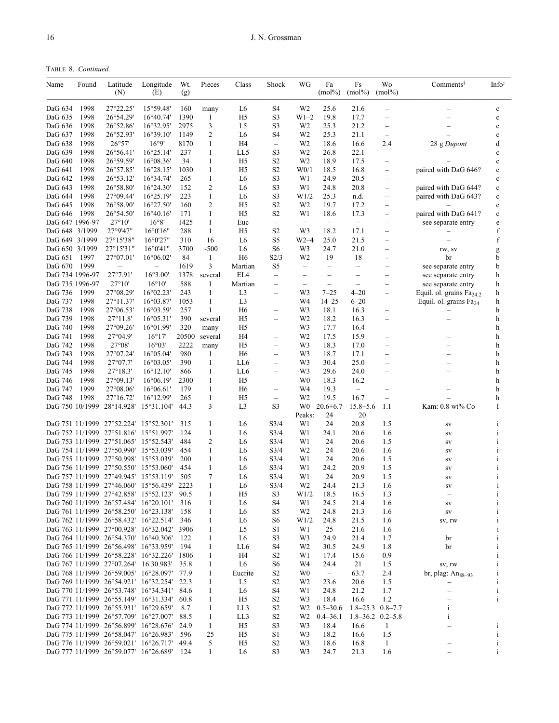TABLE 8. *Continued.*

| Name               | Found        | Latitude<br>(N)                                                                     | Longitude<br>(E)                         | Wt.<br>(g)  | Pieces            | Class                            | Shock                                                | WG                       | Fa<br>$(mol\%)$          | Fs<br>$(mol\%)$          | Wo<br>$(mol\%)$                  | $Comments^{\S}$               | Info <sup>‡</sup> |
|--------------------|--------------|-------------------------------------------------------------------------------------|------------------------------------------|-------------|-------------------|----------------------------------|------------------------------------------------------|--------------------------|--------------------------|--------------------------|----------------------------------|-------------------------------|-------------------|
| DaG 634            | 1998         | 27°22.25'                                                                           | 15°59.48'                                | 160         | many              | L6                               | S4                                                   | W2                       | 25.6                     | 21.6                     |                                  |                               | $\mathbf c$       |
| DaG 635            | 1998         | 26°54.29'                                                                           | $16^{\circ}40.74'$                       | 1390        | 1                 | H <sub>5</sub>                   | S <sub>3</sub>                                       | W1–2                     | 19.8                     | 17.7                     | $\overline{\phantom{0}}$         |                               | $\mathbf c$       |
| DaG 636            | 1998         | 26°52.86'                                                                           | 16°32.95'                                | 2975        | 3                 | L <sub>5</sub>                   | S <sub>3</sub>                                       | W <sub>2</sub>           | 25.3                     | 21.2                     | $\overline{\phantom{0}}$         |                               | $\mathbf c$       |
| DaG 637            | 1998         | 26°52.93'                                                                           | $16^{\circ}39.10'$                       | 1149        | 2                 | L6                               | S4                                                   | W2                       | 25.3                     | 21.1                     | $\qquad \qquad -$                | $\overline{\phantom{0}}$      | $\mathbf c$       |
| DaG 638            | 1998         | 26°57'                                                                              | 16°9'                                    | 8170        | 1                 | H <sub>4</sub>                   | $\qquad \qquad -$                                    | W <sub>2</sub>           | 18.6                     | 16.6                     | 2.4                              | 28 g Dupont                   | d                 |
| DaG 639            | 1998         | $26^{\circ}56.41'$                                                                  | $16^{\circ}25.14'$                       | 237         | 1                 | LL5                              | S <sub>3</sub>                                       | W <sub>2</sub>           | 26.8                     | 22.1                     | $\qquad \qquad -$                |                               | $\mathbf c$       |
| DaG 640            | 1998         | 26°59.59'                                                                           | $16^{\circ}08.36'$                       | 34          | 1                 | H <sub>5</sub>                   | S <sub>2</sub>                                       | W <sub>2</sub>           | 18.9                     | 17.5                     | $\qquad \qquad -$                |                               | $\mathbf c$       |
| DaG 641            | 1998         | 26°57.85'                                                                           | $16^{\circ}28.15'$                       | 1030        | 1                 | H <sub>5</sub>                   | S <sub>2</sub>                                       | W <sub>0/1</sub>         | 18.5                     | 16.8                     | $\overline{\phantom{0}}$         | paired with DaG 646?          | $\mathbf c$       |
| DaG 642            | 1998         | 26°53.12'                                                                           | 16°34.74'                                | 265         | 1                 | L6                               | S <sub>3</sub>                                       | W1                       | 24.9                     | 20.5                     | $\overline{\phantom{0}}$         |                               | $\mathbf c$       |
| DaG 643            | 1998         | 26°58.80'                                                                           | $16^{\circ}24.30'$                       | 152         | 2                 | L6                               | S <sub>3</sub>                                       | W1                       | 24.8                     | 20.8                     | $\overbrace{\phantom{12322111}}$ | paired with DaG 644?          | $\mathbf c$       |
| DaG 644            | 1998         | $27^{\circ}09.44'$<br>26°58.90'                                                     | $16^{\circ}25.19'$<br>16°27.50'          | 223         | $\mathbf{1}$<br>2 | L6                               | S <sub>3</sub><br>S <sub>2</sub>                     | W1/2                     | 25.3                     | n.d.                     | $\overbrace{\phantom{12322111}}$ | paired with DaG 643?          | $\mathbf c$       |
| DaG 645<br>DaG 646 | 1998<br>1998 | 26°54.50'                                                                           | $16^{\circ}40.16'$                       | 160<br>171  | $\mathbf{1}$      | H <sub>5</sub><br>H <sub>5</sub> | S <sub>2</sub>                                       | W2<br>W1                 | 19.7<br>18.6             | 17.2<br>17.3             | $\overline{\phantom{0}}$         | paired with DaG 641?          | $\mathbf c$       |
| DaG 647 1996-97    |              | 27°10'                                                                              | 16°8'                                    | 1425        | 1                 | Euc                              | $\overline{\phantom{0}}$                             | $\overline{\phantom{0}}$ | $\overline{\phantom{m}}$ | $\qquad \qquad -$        |                                  | see separate entry            | $\mathbf c$<br>e  |
| DaG 648 3/1999     |              | 27°9'47"                                                                            | 16°0'16"                                 | 288         | 1                 | H <sub>5</sub>                   | S <sub>2</sub>                                       | W3                       | 18.2                     | 17.1                     |                                  |                               | f                 |
| DaG 649 3/1999     |              | 27°15'38"                                                                           | 16°0'27"                                 | 310         | 16                | L6                               | S <sub>5</sub>                                       | W2–4                     | 25.0                     | 21.5                     | $\overline{\phantom{0}}$         |                               | f                 |
| DaG 650 3/1999     |              | $27^{\circ}15'31"$                                                                  | 16°0'41"                                 | 3700        | ~100              | L6                               | S6                                                   | W3                       | 24.7                     | 21.0                     |                                  | rw, sv                        | g                 |
| DaG 651            | 1997         | 27°07.01'                                                                           | $16^{\circ}06.02'$                       | 84          | $\mathbf{1}$      | H <sub>6</sub>                   | S2/3                                                 | W <sub>2</sub>           | 19                       | 18                       |                                  | br                            | b                 |
| DaG 670            | 1999         |                                                                                     | $\overline{\phantom{0}}$                 | 1619        | 3                 | Martian                          | S5                                                   | $\qquad \qquad -$        | $\qquad \qquad -$        | $\overline{\phantom{0}}$ | $\overline{\phantom{0}}$         | see separate entry            | b                 |
| DaG 734 1996-97    |              | 27°7.91'                                                                            | 16°3.00'                                 | 1378        | several           | EL4                              | $\overline{\phantom{0}}$                             | $\overline{\phantom{0}}$ | $\overline{\phantom{0}}$ | $\overline{\phantom{0}}$ |                                  | see separate entry            | h                 |
| DaG 735 1996-97    |              | $27^{\circ}10'$                                                                     | $16^{\circ}10'$                          | 588         | 1                 | Martian                          | $\overline{\phantom{0}}$                             | $\qquad \qquad -$        | $\overline{\phantom{0}}$ | $\overline{\phantom{0}}$ | $\overline{\phantom{0}}$         | see separate entry            | h                 |
| DaG 736            | 1999         | $27^{\circ}08.29'$                                                                  | $16^{\circ}02.23'$                       | 243         | 1                 | L <sub>3</sub>                   | $\overline{\phantom{0}}$                             | W3                       | $7 - 25$                 | $4 - 20$                 | $\overline{\phantom{0}}$         | Equil. ol. grains $Fa_{24,2}$ | h                 |
| DaG 737            | 1998         | $27^{\circ}11.37'$                                                                  | $16^{\circ}03.87'$                       | 1053        | 1                 | L <sub>3</sub>                   | $\overline{\phantom{0}}$                             | W4                       | $14 - 25$                | $6 - 20$                 | $\overline{\phantom{0}}$         | Equil. ol. grains $Fa_{24}$   | h                 |
| DaG 738            | 1998         | $27^{\circ}06.53'$                                                                  | 16°03.59'                                | 257         | 1                 | H <sub>6</sub>                   | $\qquad \qquad -$                                    | W3                       | 18.1                     | 16.3                     |                                  |                               | h                 |
| DaG 739            | 1998         | 27°11.8'                                                                            | $16^{\circ}05.31'$                       | 390         | several           | H <sub>5</sub>                   | $\overline{\phantom{0}}$                             | W <sub>2</sub>           | 18.2                     | 16.3                     |                                  |                               | h                 |
| DaG 740            | 1998         | $27^{\circ}09.26'$                                                                  | 16°01.99'                                | 320         | many              | H <sub>5</sub>                   | $\overline{\phantom{0}}$                             | W3                       | 17.7                     | 16.4                     | $\overline{\phantom{0}}$         |                               | h                 |
| DaG 741            | 1998         | $27^{\circ}04.9'$                                                                   | $16^{\circ}17'$                          | 20500       | several           | H4                               | $\overline{\phantom{0}}$                             | W2                       | 17.5                     | 15.9                     | $\overline{\phantom{0}}$         |                               | h                 |
| DaG 742            | 1998         | 27°08'                                                                              | 16°03'                                   | 2222        | many              | H <sub>5</sub>                   | $\overline{\phantom{0}}$                             | W3                       | 18.3                     | 17.0                     |                                  |                               | h                 |
| DaG 743            | 1998         | $27^{\circ}07.24'$                                                                  | $16^{\circ}05.04'$                       | 980         | 1                 | H <sub>6</sub>                   | $\qquad \qquad -$                                    | W3                       | 18.7                     | 17.1                     | $\overline{\phantom{0}}$         |                               | h                 |
| DaG 744            | 1998         | $27^{\circ}07.7'$<br>27°18.3'                                                       | $16^{\circ}03.05'$                       | 390         | 1                 | LL6                              | $\overline{\phantom{0}}$<br>$\overline{\phantom{0}}$ | W3                       | 30.4                     | 25.0                     | $\overline{\phantom{0}}$         |                               | h                 |
| DaG 745            | 1998<br>1998 | $27^{\circ}09.13'$                                                                  | $16^{\circ}12.10'$                       | 866<br>2300 | 1<br>1            | LL6<br>H <sub>5</sub>            |                                                      | W3<br>W0                 | 29.6                     | 24.0                     |                                  |                               | h                 |
| DaG 746<br>DaG 747 | 1999         | $27^{\circ}08.06'$                                                                  | $16^{\circ}06.19'$<br>$16^{\circ}06.61'$ | 179         | 1                 | H <sub>6</sub>                   | —<br>$\overline{\phantom{0}}$                        | W4                       | 18.3<br>19.3             | 16.2<br>$\equiv$         |                                  |                               | h<br>h            |
| DaG 748            | 1998         | $27^{\circ}16.72'$                                                                  | $16^{\circ}12.99'$                       | 265         | 1                 | H <sub>5</sub>                   | $\overline{\phantom{m}}$                             | W <sub>2</sub>           | 19.5                     | 16.7                     | $\overline{\phantom{m}}$         |                               | h                 |
|                    |              | DaG 750 10/1999 28°14.928'                                                          | 15°31.104'                               | 44.3        | 3                 | L3                               | S <sub>3</sub>                                       | W0                       | $20.6 \pm 6.7$           | $15.8 \pm 5.6$           | 1.1                              | Kam: 0.8 wt% Co               | I                 |
|                    |              |                                                                                     |                                          |             |                   |                                  |                                                      | Peaks:                   | 24                       | 20                       |                                  |                               |                   |
|                    |              | DaG 751 11/1999 27°52.224'                                                          | $15^{\circ}52.301'$                      | 315         | 1                 | L6                               | S3/4                                                 | W1                       | 24                       | 20.8                     | 1.5                              | SV                            | $\mathbf{1}$      |
|                    |              | DaG 752 11/1999 27°51.816'                                                          | 15°51.997'                               | 124         | $\mathbf{1}$      | L <sub>6</sub>                   | S3/4                                                 | W1                       | 24.1                     | 20.6                     | 1.6                              | SV                            | i                 |
|                    |              | DaG 753 11/1999 27°51.065' 15°52.543'                                               |                                          | 484         | 2                 | L6                               | S3/4                                                 | W1                       | 24                       | 20.6                     | 1.5                              | SV                            |                   |
|                    |              | DaG 754 11/1999 27°50.990'                                                          | 15°53.039'                               | 454         | 1                 | L6                               | S3/4                                                 | W <sub>2</sub>           | 24                       | 20.6                     | 1.6                              | SV                            |                   |
|                    |              | DaG 755 11/1999 27°50.998'                                                          | 15°53.039'                               | 200         | 1                 | L6                               | S3/4                                                 | W1                       | 24                       | 20.6                     | 1.5                              | SV                            |                   |
|                    |              | DaG 756 11/1999 27°50.550'                                                          | 15°53.060'                               | 454         | 1                 | L6                               | S <sub>3/4</sub>                                     | W1                       | 24.2                     | 20.9                     | 1.5                              | SV                            |                   |
|                    |              | DaG 757 11/1999 27°49.945' 15°53.119'                                               |                                          | 505         | 7                 | L6                               | S3/4                                                 | W1                       | 24                       | 20.9                     | 1.5                              | SV                            |                   |
|                    |              | DaG 758 11/1999 27°46.060' 15°56.439' 2223                                          |                                          |             | 1                 | L6                               | S <sub>3/4</sub>                                     | W2                       | 24.4                     | 21.3                     | 1.6                              | SV                            |                   |
|                    |              | DaG 759 11/1999 27°42.858' 15°52.123' 90.5                                          |                                          |             | 1                 | H <sub>5</sub>                   | S <sub>3</sub>                                       | W1/2                     | 18.5                     | 16.5                     | 1.3                              |                               | i                 |
|                    |              | DaG 760 11/1999 26°57.484' 16°20.101'                                               |                                          | 316         | 1                 | L6                               | S4                                                   | W1                       | 24.5                     | 21.4                     | 1.6                              | SV                            |                   |
|                    |              | DaG 761 11/1999 26°58.250' 16°23.138'                                               |                                          | 158         | 1                 | L6                               | S5                                                   | W <sub>2</sub>           | 24.8                     | 21.3                     | 1.6                              | ${\rm SV}$                    |                   |
|                    |              | DaG 762 11/1999 26°58.432' 16°22.514'<br>DaG 763 11/1999 27°00.928' 16°32.042' 3906 |                                          | 346         | 1                 | L6                               | S6                                                   | W1/2                     | 24.8                     | 21.5                     | 1.6                              | sv, rw                        |                   |
|                    |              | DaG 764 11/1999 26°54.370' 16°40.306'                                               |                                          | 122         | 1<br>1            | L5<br>L6                         | S1<br>S <sub>3</sub>                                 | W1<br>W3                 | 25<br>24.9               | 21.6<br>21.4             | 1.6<br>1.7                       | $\qquad \qquad -$             |                   |
|                    |              | DaG 765 11/1999 26°56.498' 16°33.959'                                               |                                          | 194         | 1                 | LL6                              | S4                                                   | W <sub>2</sub>           | 30.5                     | 24.9                     | 1.8                              | br<br>br                      |                   |
|                    |              | DaG 766 11/1999 26°58.228' 16°32.226'                                               |                                          | 1806        | 1                 | H4                               | S <sub>2</sub>                                       | W1                       | 17.4                     | 15.6                     | 0.9                              |                               |                   |
|                    |              | DaG 767 11/1999 27°07.264' 16.30.983'                                               |                                          | 35.8        | 1                 | L <sub>6</sub>                   | S <sub>6</sub>                                       | W4                       | 24.4                     | 21                       | 1.5                              | SV, IW                        |                   |
|                    |              | DaG 768 11/1999 26°59.005' 16°28.097'                                               |                                          | 77.9        | 1                 | Eucrite                          | S <sub>2</sub>                                       | W <sub>0</sub>           | $-$                      | 63.7                     | 2.4                              | br, plag: $Ans_{8-93}$        |                   |
|                    |              | DaG 769 11/1999 26°54.921' 16°32.254'                                               |                                          | 22.3        | 1                 | L5                               | S <sub>2</sub>                                       | W <sub>2</sub>           | 23.6                     | 20.6                     | 1.5                              |                               |                   |
|                    |              | DaG 770 11/1999 26°53.748' 16°34.341'                                               |                                          | 84.6        | 1                 | L6                               | S4                                                   | W1                       | 24.8                     | 21.2                     | 1.7                              |                               |                   |
|                    |              | DaG 771 11/1999 26°55.149' 16°31.334'                                               |                                          | 60.8        | 1                 | H <sub>5</sub>                   | S <sub>2</sub>                                       | W3                       | 18.4                     | 16.6                     | 1.2                              |                               | i                 |
|                    |              | DaG 772 11/1999 26°55.931' 16°29.659'                                               |                                          | 8.7         | 1                 | LL3                              | S <sub>2</sub>                                       |                          | $W2 \quad 0.5 - 30.6$    | $1.8 - 25.3$ 0.8 - 7.7   |                                  | i                             |                   |
|                    |              | DaG 773 11/1999 26°57.709' 16°27.007'                                               |                                          | 88.5        | $\mathbf{1}$      | LL3                              | S <sub>2</sub>                                       | W2                       | $0.4 - 36.1$             |                          | $1.8 - 36.2$ 0.2-5.8             | $\mathbf i$                   |                   |
|                    |              | DaG 774 11/1999 26°56.899' 16°28.676'                                               |                                          | 24.9        | -1                | H5                               | S <sub>3</sub>                                       | W3                       | 18.4                     | 16.6                     | -1                               |                               | i                 |
|                    |              | DaG 775 11/1999 26°58.047' 16°26.983'                                               |                                          | 596         | 25                | H5                               | S1                                                   | W3                       | 18.2                     | 16.6                     | 1.5                              |                               |                   |
|                    |              | DaG 776 11/1999 26°59.021' 16°26.717' 49.4                                          |                                          |             | 5                 | H5                               | S <sub>2</sub>                                       | W3                       | 18.6                     | 16.8                     | $\mathbf{1}$                     |                               | $\mathbf{1}$      |
|                    |              | DaG 777 11/1999 26°59.077' 16°26.689'                                               |                                          | 124         | 1                 | L <sub>6</sub>                   | S <sub>3</sub>                                       | W <sub>3</sub>           | 24.7                     | 21.3                     | 1.6                              |                               |                   |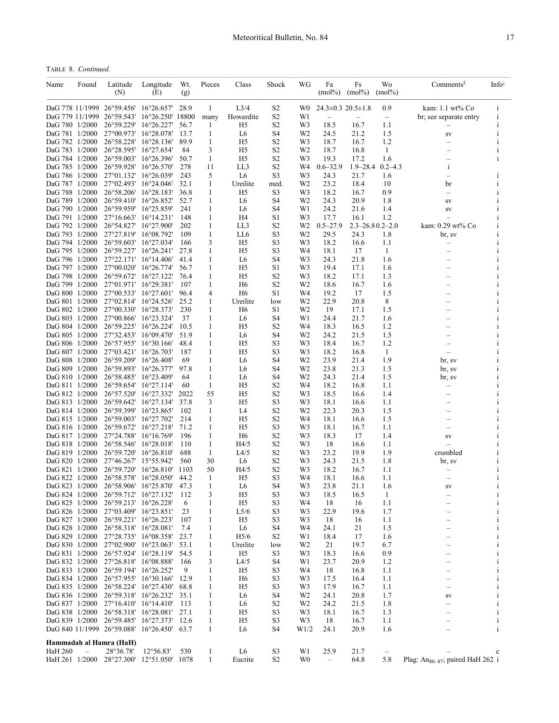TABLE 8. *Continued.*

| Name                             | Found                    | Latitude<br>(N)                                                                    | Longitude<br>(E)    | Wt.<br>(g)   | Pieces                       | Class                            | Shock                            | WG                   | Fa<br>$(mol\%)$                  | Fs<br>$(mol\%)$       | Wo<br>$(mol\%)$   | $Comments^{\S}$                              | Info <sup>‡</sup> |
|----------------------------------|--------------------------|------------------------------------------------------------------------------------|---------------------|--------------|------------------------------|----------------------------------|----------------------------------|----------------------|----------------------------------|-----------------------|-------------------|----------------------------------------------|-------------------|
|                                  |                          | DaG 778 11/1999 26°59.456' 16°26.657'                                              |                     | 28.9         | 1                            | L <sub>3/4</sub>                 | S2                               |                      | W0 $24.3 \pm 0.3$ $20.5 \pm 1.8$ |                       | 0.9               | kam: 1.1 wt% Co                              | i                 |
|                                  |                          | DaG 779 11/1999 26°59.543'                                                         | 16°26.250' 18800    |              | many                         | Howardite                        | S <sub>2</sub>                   | W1                   | $\qquad \qquad -$                |                       | $\qquad \qquad -$ | br; see separate entry                       | $\mathbf{i}$      |
| DaG 780 1/2000                   |                          | 26°59.229' 16°26.227'                                                              |                     | 56.7         | 1                            | H <sub>5</sub>                   | S <sub>2</sub>                   | W3                   | 18.5                             | 16.7                  | 1.1               |                                              |                   |
| DaG 781 1/2000<br>DaG 782 1/2000 |                          | 27°00.973' 16°28.078'<br>26°58.228' 16°28.136'                                     |                     | 13.7<br>89.9 | $\mathbf{1}$<br>$\mathbf{1}$ | L <sub>6</sub><br>H <sub>5</sub> | S <sub>4</sub><br>S <sub>2</sub> | W <sub>2</sub><br>W3 | 24.5<br>18.7                     | 21.2<br>16.7          | 1.5<br>1.2        | SV                                           | $\mathbf{i}$      |
| DaG 783 1/2000                   |                          | 26°28.595' 16°27.654'                                                              |                     | 84           | 3                            | H <sub>5</sub>                   | S <sub>2</sub>                   | W <sub>2</sub>       | 18.7                             | 16.8                  | -1                |                                              | i                 |
| DaG 784 1/2000                   |                          | 26°59.003' 16°26.396'                                                              |                     | 50.7         | 1                            | H <sub>5</sub>                   | S <sub>2</sub>                   | W3                   | 19.3                             | 17.2                  | 1.6               |                                              | i                 |
| DaG 785 1/2000                   |                          | 26°59.928' 16°26.570'                                                              |                     | 278          | 11                           | LL3                              | S <sub>2</sub>                   | W4                   | $0.6 - 32.9$                     | $1.9 - 28.4$          | $0.2 - 4.3$       | i                                            |                   |
| DaG 786 1/2000                   |                          | 27°01.132' 16°26.039'                                                              |                     | 243          | 5                            | L <sub>6</sub>                   | S <sub>3</sub>                   | W3                   | 24.3                             | 21.7                  | 1.6               |                                              |                   |
| DaG 787 1/2000                   |                          | 27°02.493' 16°24.046'                                                              |                     | 32.1         | 1                            | Ureilite                         | med.                             | W <sub>2</sub>       | 23.2                             | 18.4                  | 10                | br                                           |                   |
| DaG 788 1/2000<br>DaG 789 1/2000 |                          | 26°58.206'<br>26°59.410' 16°26.852'                                                | $16^{\circ}28.183'$ | 36.8<br>52.7 | 1<br>1                       | H <sub>5</sub><br>L <sub>6</sub> | S <sub>3</sub><br>S <sub>4</sub> | W3<br>W <sub>2</sub> | 18.2<br>24.3                     | 16.7<br>20.9          | 0.9<br>1.8        | $\overline{\phantom{0}}$                     |                   |
| DaG 790 1/2000                   |                          | 26°59.959'                                                                         | $16^{\circ}25.859'$ | 241          | 1                            | L <sub>6</sub>                   | S <sub>4</sub>                   | W1                   | 24.2                             | 21.6                  | 1.4               | SV<br>${\rm SV}$                             |                   |
| DaG 791 1/2000                   |                          | 27°16.663' 16°14.231'                                                              |                     | 148          | 1                            | H4                               | S1                               | W3                   | 17.7                             | 16.1                  | 1.2               |                                              |                   |
| DaG 792 1/2000                   |                          | 26°54.827'                                                                         | $16^{\circ}27.900'$ | 202          | 1                            | LL3                              | S2                               | W2                   | $0.5 - 27.9$                     | $2.3 - 26.80.2 - 2.0$ |                   | kam: 0.29 wt% Co                             |                   |
| DaG 793 1/2000                   |                          | 27°27.819' 16°08.792'                                                              |                     | 109          | 1                            | LL6                              | S <sub>3</sub>                   | W <sub>2</sub>       | 29.5                             | 24.3                  | 1.8               | br, sv                                       |                   |
| DaG 794 1/2000                   |                          | $26^{\circ}59.603'$                                                                | $16^{\circ}27.034'$ | 166          | 3                            | H5                               | S <sub>3</sub>                   | W3                   | 18.2                             | 16.6                  | 1.1               |                                              | Ť                 |
| DaG 795 1/2000<br>DaG 796 1/2000 |                          | 26°59.227' 16°26.241'<br>27°22.171' 16°14.406'                                     |                     | 27.8<br>41.4 | 1<br>$\mathbf{1}$            | H <sub>5</sub><br>L <sub>6</sub> | S3<br>S <sub>4</sub>             | W4<br>W3             | 18.1                             | 17<br>21.8            | -1<br>1.6         |                                              |                   |
| DaG 797 1/2000                   |                          | 27°00.020' 16°26.774'                                                              |                     | 56.7         | $\mathbf{1}$                 | H <sub>5</sub>                   | S1                               | W3                   | 24.3<br>19.4                     | 17.1                  | 1.6               |                                              |                   |
| DaG 798 1/2000                   |                          | 26°59.672' 16°27.122'                                                              |                     | 76.4         | 1                            | H <sub>5</sub>                   | S <sub>2</sub>                   | W3                   | 18.2                             | 17.1                  | 1.3               |                                              |                   |
| DaG 799 1/2000                   |                          | 27°01.971' 16°29.381'                                                              |                     | 107          | 1                            | H <sub>6</sub>                   | S <sub>2</sub>                   | W2                   | 18.6                             | 16.7                  | 1.6               |                                              |                   |
| DaG 800 1/2000                   |                          | 27°00.533' 16°27.601'                                                              |                     | 96.4         | 4                            | H <sub>6</sub>                   | S1                               | W4                   | 19.2                             | 17                    | 1.5               |                                              |                   |
| DaG 801 1/2000                   |                          | 27°02.814' 16°24.526'                                                              |                     | 25.2         | 1                            | Ureilite                         | low                              | W <sub>2</sub>       | 22.9                             | 20.8                  | 8                 |                                              |                   |
| DaG 802 1/2000                   |                          | 27°00.330' 16°28.373'                                                              |                     | 230          | 1                            | H <sub>6</sub>                   | S1                               | W2                   | 19                               | 17.1                  | 1.5               |                                              |                   |
| DaG 803 1/2000                   |                          | 27°00.866'                                                                         | $16^{\circ}23.324'$ | 37           | 1                            | L <sub>6</sub>                   | S <sub>4</sub>                   | W1                   | 24.4                             | 21.7                  | 1.6               |                                              |                   |
| DaG 804 1/2000                   |                          | 26°59.225' 16°26.224'                                                              |                     | 10.5         | 1                            | H <sub>5</sub>                   | S <sub>2</sub>                   | W4                   | 18.3                             | 16.5                  | 1.2               |                                              |                   |
| DaG 805 1/2000<br>DaG 806 1/2000 |                          | 27°32.453'<br>26°57.955' 16°30.166'                                                | $16^{\circ}09.470'$ | 51.9<br>48.4 | $\mathbf{1}$<br>1            | L <sub>6</sub><br>H <sub>5</sub> | S <sub>4</sub><br>S3             | W <sub>2</sub><br>W3 | 24.2<br>18.4                     | 21.5<br>16.7          | 1.5<br>1.2        |                                              |                   |
| DaG 807 1/2000                   |                          | 27°03.421′ 16°26.703′                                                              |                     | 187          | 1                            | H <sub>5</sub>                   | S <sub>3</sub>                   | W3                   | 18.2                             | 16.8                  | -1                |                                              |                   |
| DaG 808 1/2000                   |                          | 26°59.209' 16°26.408'                                                              |                     | 69           | 1                            | L6                               | S <sub>4</sub>                   | W <sub>2</sub>       | 23.9                             | 21.4                  | 1.9               | br, sv                                       |                   |
| DaG 809 1/2000                   |                          | 26°59.893'                                                                         | $16^{\circ}26.377'$ | 97.8         | 1                            | L6                               | S <sub>4</sub>                   | W2                   | 23.8                             | 21.3                  | 1.5               | br, sv                                       |                   |
| DaG 810 1/2000                   |                          | 26°58.485' 16°23.409'                                                              |                     | 64           | 1                            | L6                               | S4                               | W2                   | 24.3                             | 21.4                  | 1.5               | br, sv                                       |                   |
| DaG 811 1/2000                   |                          | 26°59.654' 16°27.114'                                                              |                     | 60           | $\mathbf{1}$                 | H <sub>5</sub>                   | S <sub>2</sub>                   | W4                   | 18.2                             | 16.8                  | 1.1               | $\overline{\phantom{0}}$                     |                   |
| DaG 812 1/2000                   |                          | 26°57.520' 16°27.332'                                                              |                     | 2022         | 55                           | H <sub>5</sub>                   | S <sub>2</sub>                   | W3                   | 18.5                             | 16.6                  | 1.4               |                                              |                   |
| DaG 813 1/2000                   |                          | 26°59.642' 16°27.134'                                                              |                     | 37.8         | 3                            | H <sub>5</sub>                   | S <sub>3</sub>                   | W3                   | 18.1                             | 16.6                  | 1.1               |                                              |                   |
| DaG 814 1/2000<br>DaG 815 1/2000 |                          | 26°59.399' 16°23.865'<br>26°59.003' 16°27.702'                                     |                     | 102<br>214   | 1<br>1                       | L4<br>H <sub>5</sub>             | S <sub>2</sub><br>S <sub>2</sub> | W2<br>W4             | 22.3<br>18.1                     | 20.3<br>16.6          | 1.5<br>1.5        |                                              |                   |
| DaG 816 1/2000                   |                          | 26°59.672' 16°27.218'                                                              |                     | 71.2         | 1                            | H <sub>5</sub>                   | S <sub>3</sub>                   | W3                   | 18.1                             | 16.7                  | 1.1               |                                              |                   |
| DaG 817 1/2000                   |                          | 27°24.788'                                                                         | $16^{\circ}16.769'$ | 196          | 1                            | H <sub>6</sub>                   | S <sub>2</sub>                   | W3                   | 18.3                             | 17                    | 1.4               | SV                                           |                   |
| DaG 818 1/2000                   |                          | 26°58.546'                                                                         | $16^{\circ}28.018'$ | 110          | 1                            | H4/5                             | S <sub>2</sub>                   | W3                   | 18                               | 16.6                  | 1.1               | $\equiv$                                     |                   |
| DaG 819 1/2000                   |                          | 26°59.720' 16°26.810'                                                              |                     | 688          | 1                            | L4/5                             | S <sub>2</sub>                   | W3                   | 23.2                             | 19.9                  | 1.9               | crumbled                                     |                   |
| DaG 820 1/2000                   |                          | 27°46.267'                                                                         | 15°55.942'          | 560          | 30                           | L <sub>6</sub>                   | S <sub>2</sub>                   | W <sub>3</sub>       | 24.3                             | 21.5                  | 1.8               | br, sv                                       |                   |
| DaG 821 1/2000                   |                          | 26°59.720' 16°26.810'                                                              |                     | 1103         | 50                           | H4/5                             | S <sub>2</sub>                   | W3                   | 18.2                             | 16.7                  | 1.1               |                                              |                   |
| DaG 822 1/2000                   |                          | 26°58.578' 16°28.050'<br>DaG 823 1/2000 26°58.906' 16°25.870' 47.3                 |                     | 44.2         | 1<br>1                       | H <sub>5</sub><br>L <sub>6</sub> | S <sub>3</sub><br>S <sub>4</sub> | W4<br>W <sub>3</sub> | 18.1<br>23.8                     | 16.6<br>21.1          | 1.1<br>1.6        | $\overline{\phantom{0}}$<br>SV               |                   |
|                                  |                          | DaG 824 1/2000 26°59.712' 16°27.132'                                               |                     | 112          | 3                            | H <sub>5</sub>                   | S <sub>3</sub>                   | W3                   | 18.5                             | 16.5                  | 1                 |                                              | $\mathbf{i}$      |
| DaG 825 1/2000                   |                          | 26°59.213' 16°26.228'                                                              |                     | 6            | 1                            | H5                               | S3                               | W4                   | 18                               | 16                    | 1.1               |                                              | i                 |
| DaG 826 1/2000                   |                          | 27°03.409′ 16°23.851′                                                              |                     | 23           | 1                            | L5/6                             | S <sub>3</sub>                   | W3                   | 22.9                             | 19.6                  | 1.7               |                                              | $\mathbf{i}$      |
|                                  |                          | DaG 827 1/2000 26°59.221' 16°26.223'                                               |                     | 107          | 1                            | H5                               | S3                               | W3                   | 18                               | 16                    | 1.1               |                                              | 1                 |
| DaG 828 1/2000                   |                          | 26°58.318' 16°28.081'                                                              |                     | 7.4          | 1                            | L6                               | S4                               | W4                   | 24.1                             | 21                    | 1.5               |                                              | $\mathbf{i}$      |
|                                  |                          | DaG 829 1/2000 27°28.735' 16°08.358'                                               |                     | 23.7         | 1                            | H <sub>5/6</sub>                 | S <sub>2</sub>                   | W1                   | 18.4                             | 17                    | 1.6               |                                              | 1                 |
| DaG 831 1/2000                   |                          | DaG 830 1/2000 27°02.900' 16°23.063'<br>26°57.924' 16°28.119'                      |                     | 53.1<br>54.5 | $\mathbf{1}$<br>$\mathbf{1}$ | Ureilite<br>H <sub>5</sub>       | low<br>S <sub>3</sub>            | W2<br>W3             | 21<br>18.3                       | 19.7<br>16.6          | 6.7<br>0.9        |                                              |                   |
| DaG 832 1/2000                   |                          | 27°26.818' 16°08.888'                                                              |                     | 166          | 3                            | L4/5                             | S4                               | W1                   | 23.7                             | 20.9                  | 1.2               |                                              |                   |
| DaG 833 1/2000                   |                          | 26°59.194' 16°26.252'                                                              |                     | 9            | 1                            | H <sub>5</sub>                   | S <sub>3</sub>                   | W4                   | 18                               | 16.8                  | 1.1               |                                              |                   |
| DaG 834 1/2000                   |                          | 26°57.955' 16°30.166'                                                              |                     | 12.9         | 1                            | H <sub>6</sub>                   | S <sub>3</sub>                   | W3                   | 17.5                             | 16.4                  | 1.1               |                                              |                   |
| DaG 835 1/2000                   |                          | 26°58.224' 16°27.430'                                                              |                     | 68.8         | $\mathbf{1}$                 | H <sub>5</sub>                   | S3                               | W3                   | 17.9                             | 16.7                  | 1.1               |                                              |                   |
| DaG 836 1/2000                   |                          | 26°59.318' 16°26.232'                                                              |                     | 35.1         | 1                            | L6                               | S4                               | W2                   | 24.1                             | 20.8                  | 1.7               | SV                                           |                   |
|                                  |                          | DaG 837 1/2000 27°16.410' 16°14.410'                                               |                     | 113          | $\mathbf{1}$                 | L6                               | S <sub>2</sub>                   | W2                   | 24.2                             | 21.5                  | 1.8               | -                                            |                   |
|                                  |                          | DaG 838 1/2000 26°58.318' 16°28.081' 27.1                                          |                     |              | 1                            | H <sub>5</sub>                   | S3                               | W3                   | 18.1                             | 16.7                  | 1.3               |                                              |                   |
|                                  |                          | DaG 839 1/2000 26°59.485' 16°27.373'<br>DaG 840 11/1999 26°59.088' 16°26.450' 63.7 |                     | 12.6         | $\mathbf{1}$<br>$\mathbf{1}$ | H <sub>5</sub><br>L6             | S3<br>S4                         | W3<br>W1/2           | 18<br>24.1                       | 16.7<br>20.9          | 1.1<br>1.6        | $\overline{\phantom{0}}$                     | $\mathbf{i}$<br>i |
|                                  |                          |                                                                                    |                     |              |                              |                                  |                                  |                      |                                  |                       |                   |                                              |                   |
|                                  |                          | Hammadah al Hamra (HaH)                                                            |                     |              |                              |                                  |                                  |                      |                                  |                       |                   |                                              |                   |
| HaH 260                          | $\overline{\phantom{m}}$ | 28°36.78'                                                                          | $12^{\circ}56.83'$  | 530          | $\mathbf{1}$                 | L6                               | S3                               | W1                   | 25.9                             | 21.7                  | -                 |                                              | $\mathbf c$       |
|                                  |                          | HaH 261 1/2000 28°27.300' 12°51.050' 1078                                          |                     |              | $\mathbf{1}$                 | Eucrite                          | S2                               | W0                   | $\overline{\phantom{0}}$         | 64.8                  | 5.8               | Plag: An <sub>80-87</sub> ; paired HaH 262 i |                   |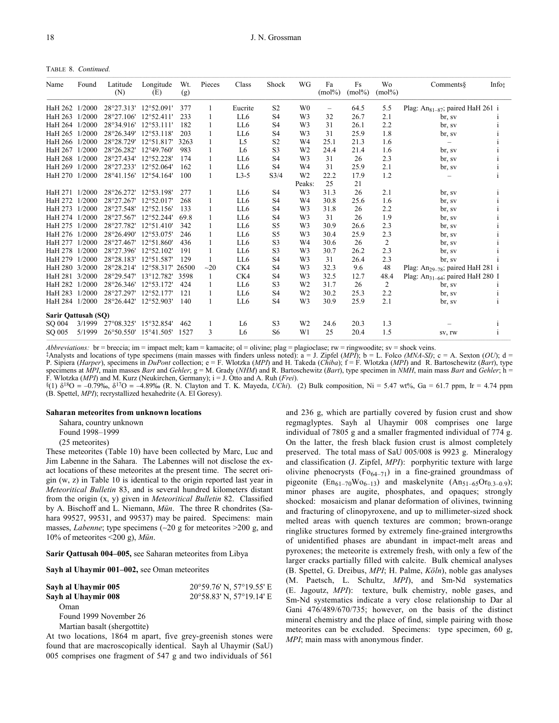TABLE 8. *Continued.*

| Name                | Found  | Latitude<br>(N) | Longitude<br>(E)    | Wt.<br>(g) | Pieces | Class          | Shock          | WG             | Fa<br>$(mol\%)$          | Fs<br>$(mol\%)$ | Wo<br>$(mol\%)$ | Comments                                     | Infot |
|---------------------|--------|-----------------|---------------------|------------|--------|----------------|----------------|----------------|--------------------------|-----------------|-----------------|----------------------------------------------|-------|
| HaH 262 1/2000      |        | 28°27.313'      | 12°52.091'          | 377        | 1      | Eucrite        | S <sub>2</sub> | W <sub>0</sub> | $\overline{\phantom{0}}$ | 64.5            | 5.5             | Plag: An <sub>81-87</sub> ; paired HaH 261 i |       |
| HaH 263 1/2000      |        | 28°27.106'      | $12^{\circ}52.411'$ | 233        |        | LL6            | S <sub>4</sub> | W <sub>3</sub> | 32                       | 26.7            | 2.1             | br, sv                                       |       |
| HaH 264 1/2000      |        | 28°34.916'      | $12^{\circ}53.111'$ | 182        | 1      | LL6            | S <sub>4</sub> | W <sub>3</sub> | 31                       | 26.1            | 2.2             | br, sv                                       |       |
| HaH 265 1/2000      |        | 28°26.349'      | $12^{\circ}53.118'$ | 203        | 1      | LL6            | S <sub>4</sub> | W <sub>3</sub> | 31                       | 25.9            | 1.8             | br, sv                                       |       |
| HaH 266 1/2000      |        | 28°28.729'      | 12°51.817           | 3263       |        | L <sub>5</sub> | S <sub>2</sub> | W <sub>4</sub> | 25.1                     | 21.3            | 1.6             | $\qquad \qquad -$                            |       |
| HaH 267 1/2000      |        | 28°26.282'      | 12°49.760'          | 983        | 1      | L <sub>6</sub> | S <sub>3</sub> | W <sub>2</sub> | 24.4                     | 21.4            | 1.6             | br, sv                                       |       |
| HaH 268 1/2000      |        | 28°27.434'      | 12°52.228'          | 174        |        | LL6            | S <sub>4</sub> | W <sub>3</sub> | 31                       | 26              | 2.3             | br, sv                                       |       |
| HaH 269 1/2000      |        | 28°27.233'      | $12^{\circ}52.064'$ | 162        | 1      | LL6            | S <sub>4</sub> | W <sub>4</sub> | 31                       | 25.9            | 2.1             | br, sv                                       |       |
| HaH 270 1/2000      |        | 28°41.156'      | 12°54.164'          | 100        | 1      | $L3-5$         | S3/4           | W <sub>2</sub> | 22.2                     | 17.9            | 1.2             |                                              |       |
|                     |        |                 |                     |            |        |                |                | Peaks:         | 25                       | 21              |                 |                                              |       |
| HaH 271 1/2000      |        | 28°26.272'      | 12°53.198'          | 277        | 1      | LL6            | S <sub>4</sub> | W <sub>3</sub> | 31.3                     | 26              | 2.1             | br, sv                                       |       |
| HaH 272             | 1/2000 | 28°27.267'      | $12^{\circ}52.017$  | 268        | 1      | LL6            | S <sub>4</sub> | W <sub>4</sub> | 30.8                     | 25.6            | 1.6             | br, sv                                       |       |
| HaH 273 1/2000      |        | 28°27.548'      | $12^{\circ}52.156$  | 133        |        | LL6            | S <sub>4</sub> | W <sub>3</sub> | 31.8                     | 26              | 2.2             | br, sv                                       |       |
| HaH 274 1/2000      |        | 28°27.567'      | 12°52.244'          | 69.8       |        | LL6            | S <sub>4</sub> | W <sub>3</sub> | 31                       | 26              | 1.9             | br, sv                                       |       |
| HaH 275             | 1/2000 | 28°27.782'      | 12°51.410'          | 342        |        | LL6            | S <sub>5</sub> | W <sub>3</sub> | 30.9                     | 26.6            | 2.3             | br, sv                                       |       |
| HaH 276 1/2000      |        | 28°26.490'      | 12°53.075'          | 246        |        | LL6            | S <sub>5</sub> | W <sub>3</sub> | 30.4                     | 25.9            | 2.3             | br, sv                                       |       |
| HaH 277             | 1/2000 | 28°27.467'      | 12°51.860'          | 436        |        | LL6            | S <sub>3</sub> | W <sub>4</sub> | 30.6                     | 26              | $\overline{2}$  | br, sv                                       |       |
| HaH 278 1/2000      |        | 28°27.396'      | $12^{\circ}52.102$  | 191        |        | LL6            | S <sub>3</sub> | W <sub>3</sub> | 30.7                     | 26.2            | 2.3             | br, sv                                       |       |
| HaH 279 1/2000      |        | 28°28.183'      | 12°51.587'          | 129        |        | LL6            | S <sub>4</sub> | W <sub>3</sub> | 31                       | 26.4            | 2.3             | br, sv                                       |       |
| HaH 280 3/2000      |        | 28°28.214'      | 12°58.317'          | 26500      | $-20$  | CK4            | S <sub>4</sub> | W <sub>3</sub> | 32.3                     | 9.6             | 48              | Plag: An <sub>29-78</sub> ; paired HaH 281 i |       |
| HaH 281 3/2000      |        | 28°29.547'      | 13°12.782'          | 3598       | 1      | CK4            | S <sub>4</sub> | W <sub>3</sub> | 32.5                     | 12.7            | 48.4            | Plag: $An_{31-64}$ ; paired HaH 280 I        |       |
| HaH 282 1/2000      |        | 28°26.346'      | 12°53.172'          | 424        |        | LL6            | S <sub>3</sub> | W <sub>2</sub> | 31.7                     | 26              | $\overline{2}$  | br, sv                                       |       |
| HaH 283 1/2000      |        | 28°27.297'      | 12°52.177           | 121        | 1      | LL6            | S4             | W <sub>2</sub> | 30.2                     | 25.3            | 2.2             | br, sv                                       |       |
| HaH 284 1/2000      |        | 28°26.442'      | 12°52.903'          | 140        | 1      | LL6            | S <sub>4</sub> | W <sub>3</sub> | 30.9                     | 25.9            | 2.1             | br, sv                                       | 1     |
| Sarir Qattusah (SQ) |        |                 |                     |            |        |                |                |                |                          |                 |                 |                                              |       |
| SO 004              | 3/1999 | 27°08.325'      | 15°32.854'          | 462        | 1      | L <sub>6</sub> | S <sub>3</sub> | W <sub>2</sub> | 24.6                     | 20.3            | 1.3             |                                              |       |
| SO 005              | 5/1999 | 26°50.550'      | 15°41.505'          | 1527       | 3      | L <sub>6</sub> | S <sub>6</sub> | W1             | 25                       | 20.4            | 1.5             | SV, IW                                       |       |

*Abbreviations:* br = breccia; im = impact melt; kam = kamacite; ol = olivine; plag = plagioclase; rw = ringwoodite; sv = shock veins.

 $\ddagger$ Analysts and locations of type specimens (main masses with finders unless noted):  $\ddot{a} = J$ . Zipfel (*MPI*);  $b = L$ . Folco *(MNA-SI)*; c = A. Sexton (*OU*); d = P. Sipiera (*Harper*), specimens in *DuPont* collection; e = F. Wlotzka (*MPI*) and H. Takeda (*Chiba*); f = F. Wlotzka (*MPI*) and R. Bartoschewitz (*Bart*), type specimens at *MPI*, main masses *Bart* and *Gehler*; g = M. Grady (*NHM*) and R. Bartoschewitz (*Bart*), type specimen in *NMH*, main mass *Bart* and *Gehler*; h = F. Wlotzka (*MPI*) and M. Kurz (Neukirchen, Germany); i = J. Otto and A. Ruh (*Frei*).

§(1) δ18O = –0.79‰, δ17O = –4.89‰ (R. N. Clayton and T. K. Mayeda, *UChi*). (2) Bulk composition, Ni = 5.47 wt%, Ga = 61.7 ppm, Ir = 4.74 ppm (B. Spettel, *MPI*); recrystallized hexahedrite (A. El Goresy).

#### **Saharan meteorites from unknown locations**

Sahara, country unknown Found 1998–1999

(25 meteorites)

These meteorites (Table 10) have been collected by Marc, Luc and Jim Labenne in the Sahara. The Labennes will not disclose the exact locations of these meteorites at the present time. The secret origin (w, z) in Table 10 is identical to the origin reported last year in *Meteoritical Bulletin* 83, and is several hundred kilometers distant from the origin (x, y) given in *Meteoritical Bulletin* 82. Classified by A. Bischoff and L. Niemann, *Mün*. The three R chondrites (Sahara 99527, 99531, and 99537) may be paired. Specimens: main masses, *Labenne*; type specimens (∼20 g for meteorites >200 g, and 10% of meteorites <200 g), *Mün*.

**Sarir Qattusah 004–005,** see Saharan meteorites from Libya

**Sayh al Uhaymir 001–002,** see Oman meteorites

| Sayh al Uhaymir 005    | $20^{\circ}59.76'$ N, $57^{\circ}19.55'$ E |
|------------------------|--------------------------------------------|
| Sayh al Uhaymir 008    | $20^{\circ}58.83'$ N, $57^{\circ}19.14'$ E |
| Oman                   |                                            |
| Found 1999 November 26 |                                            |

Martian basalt (shergottite)

At two locations, 1864 m apart, five grey-greenish stones were found that are macroscopically identical. Sayh al Uhaymir (SaU) 005 comprises one fragment of 547 g and two individuals of 561

and 236 g, which are partially covered by fusion crust and show regmaglyptes. Sayh al Uhaymir 008 comprises one large individual of 7805 g and a smaller fragmented individual of 774 g. On the latter, the fresh black fusion crust is almost completely preserved. The total mass of SaU 005/008 is 9923 g. Mineralogy and classification (J. Zipfel, *MPI*): porphyritic texture with large olivine phenocrysts ( $Fo_{64-71}$ ) in a fine-grained groundmass of pigeonite  $(En_{61-70}Wo_{6-13})$  and maskelynite  $(An_{51-65}Or_{0.3-0.9})$ ; minor phases are augite, phosphates, and opaques; strongly shocked: mosaicism and planar deformation of olivines, twinning and fracturing of clinopyroxene, and up to millimeter-sized shock melted areas with quench textures are common; brown-orange ringlike structures formed by extremely fine-grained intergrowths of unidentified phases are abundant in impact-melt areas and pyroxenes; the meteorite is extremely fresh, with only a few of the larger cracks partially filled with calcite. Bulk chemical analyses (B. Spettel, G. Dreibus, *MPI*; H. Palme, *Köln*), noble gas analyses (M. Paetsch, L. Schultz, *MPI*), and Sm-Nd systematics (E. Jagoutz, *MPI*): texture, bulk chemistry, noble gases, and Sm-Nd systematics indicate a very close relationship to Dar al Gani 476/489/670/735; however, on the basis of the distinct mineral chemistry and the place of find, simple pairing with those meteorites can be excluded. Specimens: type specimen, 60 g, *MPI*; main mass with anonymous finder.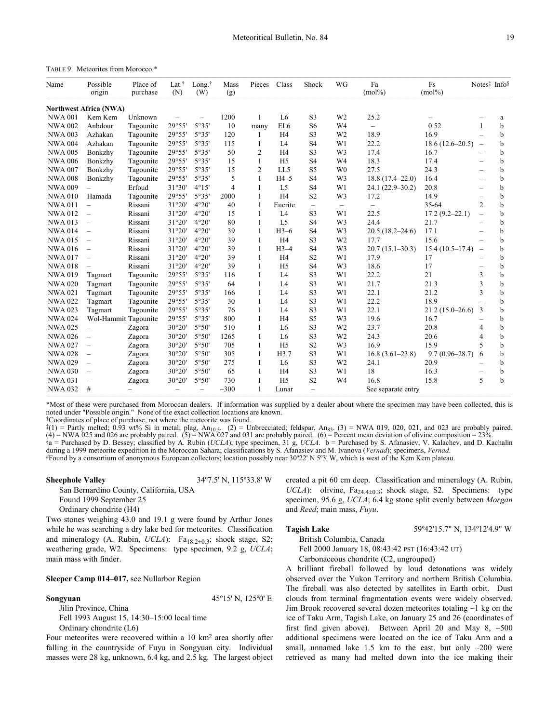TABLE 9. Meteorites from Morocco.\*

| Name           | Possible<br>origin            | Place of<br>purchase     | Lat. <sup>†</sup><br>(N) | Long. $\dagger$<br>(W) | Mass<br>(g)    | Pieces         | Class          | Shock                    | WG                | Fa<br>$(mol\%)$          | Fs<br>$(mol\%)$    | Notes# Info§             |             |
|----------------|-------------------------------|--------------------------|--------------------------|------------------------|----------------|----------------|----------------|--------------------------|-------------------|--------------------------|--------------------|--------------------------|-------------|
|                | <b>Northwest Africa (NWA)</b> |                          |                          |                        |                |                |                |                          |                   |                          |                    |                          |             |
| <b>NWA 001</b> | Kem Kem                       | Unknown                  |                          |                        | 1200           | $\mathbf{1}$   | L <sub>6</sub> | S <sub>3</sub>           | W <sub>2</sub>    | 25.2                     |                    |                          | a           |
| <b>NWA 002</b> | Anbdour                       | Tagounite                | 29°55'                   | 5°35'                  | 10             | many           | EL6            | S6                       | W <sub>4</sub>    |                          | 0.52               | 1                        | b           |
| <b>NWA 003</b> | Azhakan                       | Tagounite                | 29°55'                   | 5°35'                  | 120            | 1              | H <sub>4</sub> | S3                       | W <sub>2</sub>    | 18.9                     | 16.9               |                          | b           |
| <b>NWA 004</b> | Azhakan                       | Tagounite                | 29°55'                   | 5°35'                  | 115            | 1              | L <sub>4</sub> | S <sub>4</sub>           | W1                | 22.2                     | $18.6(12.6-20.5)$  |                          | b           |
| <b>NWA 005</b> | Bonkzhy                       | Tagounite                | 29°55'                   | 5°35'                  | 50             | $\overline{2}$ | H <sub>4</sub> | S <sub>3</sub>           | W <sub>3</sub>    | 17.4                     | 16.7               |                          | b           |
| <b>NWA 006</b> | Bonkzhy                       | Tagounite                | 29°55'                   | 5°35'                  | 15             | $\mathbf{1}$   | H <sub>5</sub> | S <sub>4</sub>           | W <sub>4</sub>    | 18.3                     | 17.4               | $\overline{\phantom{0}}$ | b           |
| <b>NWA 007</b> | Bonkzhy                       | Tagounite                | 29°55'                   | 5°35'                  | 15             | $\overline{2}$ | LL5            | S <sub>5</sub>           | W <sub>0</sub>    | 27.5                     | 24.3               |                          | b           |
| <b>NWA008</b>  | Bonkzhy                       | Tagounite                | 29°55'                   | 5°35'                  | 5              | 1              | $H4-5$         | S <sub>4</sub>           | W <sub>3</sub>    | $18.8(17.4 - 22.0)$      | 16.4               |                          | b           |
| <b>NWA009</b>  |                               | Erfoud                   | 31°30'                   | 4°15'                  | $\overline{4}$ | $\mathbf{1}$   | L <sub>5</sub> | S <sub>4</sub>           | W1                | 24.1 (22.9–30.2)         | 20.8               |                          | b           |
| <b>NWA010</b>  | Hamada                        | Tagounite                | 29°55'                   | 5°35'                  | 2000           | $\mathbf{1}$   | H <sub>4</sub> | S <sub>2</sub>           | W <sub>3</sub>    | 17.2                     | 14.9               | $\overline{\phantom{0}}$ | b           |
| <b>NWA011</b>  | $\equiv$                      | Rissani                  | 31°20'                   | 4°20'                  | 40             | $\mathbf{1}$   | Eucrite        | $\overline{\phantom{m}}$ | $\qquad \qquad -$ | $\overline{\phantom{0}}$ | 35-64              | $\overline{2}$           | b           |
| <b>NWA012</b>  | $\overline{\phantom{m}}$      | Rissani                  | 31°20'                   | 4°20'                  | 15             | 1              | L <sub>4</sub> | S <sub>3</sub>           | W1                | 22.5                     | $17.2(9.2 - 22.1)$ | $\overline{\phantom{0}}$ | b           |
| <b>NWA013</b>  | $\overline{\phantom{m}}$      | Rissani                  | 31°20'                   | 4°20'                  | 80             | 1              | L <sub>5</sub> | S <sub>4</sub>           | W <sub>3</sub>    | 24.4                     | 21.7               |                          | h           |
| <b>NWA014</b>  | $\overline{\phantom{m}}$      | Rissani                  | 31°20'                   | 4°20'                  | 39             | $\mathbf{1}$   | $H3-6$         | S <sub>4</sub>           | W <sub>3</sub>    | $20.5(18.2 - 24.6)$      | 17.1               |                          | b           |
| <b>NWA015</b>  | $\overline{\phantom{m}}$      | Rissani                  | 31°20'                   | 4°20'                  | 39             | 1              | H <sub>4</sub> | S <sub>3</sub>           | W <sub>2</sub>    | 17.7                     | 15.6               |                          | b           |
| <b>NWA016</b>  | $\overline{\phantom{m}}$      | Rissani                  | 31°20'                   | 4°20'                  | 39             | 1              | $H3-4$         | S <sub>4</sub>           | W <sub>3</sub>    | $20.7(15.1-30.3)$        | $15.4(10.5-17.4)$  | $\overline{\phantom{m}}$ | b           |
| <b>NWA017</b>  | $\overline{\phantom{m}}$      | Rissani                  | 31°20'                   | 4°20'                  | 39             | $\mathbf{1}$   | H <sub>4</sub> | S <sub>2</sub>           | W1                | 17.9                     | 17                 |                          | b           |
| <b>NWA018</b>  | $\qquad \qquad -$             | Rissani                  | 31°20'                   | 4°20'                  | 39             | $\mathbf{1}$   | H <sub>5</sub> | S <sub>4</sub>           | W <sub>3</sub>    | 18.6                     | 17                 |                          | b           |
| <b>NWA019</b>  | Tagmart                       | Tagounite                | 29°55'                   | 5°35'                  | 116            | $\mathbf{1}$   | L4             | S <sub>3</sub>           | W1                | 22.2                     | 21                 | 3                        | b           |
| <b>NWA 020</b> | Tagmart                       | Tagounite                | 29°55'                   | 5°35'                  | 64             | $\mathbf{1}$   | L <sub>4</sub> | S <sub>3</sub>           | W1                | 21.7                     | 21.3               | 3                        | b           |
| <b>NWA021</b>  | Tagmart                       | Tagounite                | 29°55'                   | 5°35'                  | 166            | $\mathbf{1}$   | L4             | S3                       | W1                | 22.1                     | 21.2               | 3                        | $\mathbf b$ |
| <b>NWA022</b>  | Tagmart                       | Tagounite                | 29°55'                   | 5°35'                  | 30             | 1              | L <sub>4</sub> | S <sub>3</sub>           | W1                | 22.2                     | 18.9               |                          | b           |
| <b>NWA023</b>  | Tagmart                       | Tagounite                | 29°55'                   | 5°35'                  | 76             | 1              | L <sub>4</sub> | S <sub>3</sub>           | W1                | 22.1                     | $21.2(15.0-26.6)$  | 3                        | b           |
| <b>NWA024</b>  | Wol-Hammit Tagounite          |                          | 29°55'                   | 5°35'                  | 800            | 1              | H <sub>4</sub> | S5                       | W <sub>3</sub>    | 19.6                     | 16.7               |                          | b           |
| <b>NWA025</b>  | $\equiv$                      | Zagora                   | 30°20'                   | 5°50'                  | 510            | 1              | L <sub>6</sub> | S <sub>3</sub>           | W <sub>2</sub>    | 23.7                     | 20.8               | 4                        | b           |
| <b>NWA 026</b> | $\qquad \qquad -$             | Zagora                   | 30°20'                   | 5°50'                  | 1265           | 1              | L <sub>6</sub> | S <sub>3</sub>           | W <sub>2</sub>    | 24.3                     | 20.6               | $\overline{4}$           | b           |
| <b>NWA027</b>  | $\overline{\phantom{m}}$      | Zagora                   | 30°20'                   | 5°50'                  | 705            | $\mathbf{1}$   | H <sub>5</sub> | S <sub>2</sub>           | W <sub>3</sub>    | 16.9                     | 15.9               | 5                        | b           |
| <b>NWA028</b>  | $\overline{\phantom{m}}$      | Zagora                   | 30°20'                   | 5°50'                  | 305            | $\mathbf{1}$   | H3.7           | S <sub>3</sub>           | W1                | $16.8(3.61-23.8)$        | $9.7(0.96 - 28.7)$ | 6                        | b           |
| <b>NWA029</b>  | $\overline{\phantom{m}}$      | Zagora                   | 30°20'                   | 5°50'                  | 275            | 1              | L <sub>6</sub> | S <sub>3</sub>           | W <sub>2</sub>    | 24.1                     | 20.9               |                          | b           |
| <b>NWA 030</b> | $\overline{\phantom{m}}$      | Zagora                   | 30°20'                   | 5°50'                  | 65             | 1              | H <sub>4</sub> | S <sub>3</sub>           | W1                | 18                       | 16.3               | $\overline{\phantom{m}}$ | b           |
| <b>NWA031</b>  | $\overline{\phantom{0}}$      | Zagora                   | 30°20'                   | 5°50'                  | 730            | 1              | H <sub>5</sub> | S <sub>2</sub>           | W <sub>4</sub>    | 16.8                     | 15.8               | 5                        | h           |
| <b>NWA 032</b> | #                             | $\overline{\phantom{0}}$ | $\overline{\phantom{0}}$ | $\qquad \qquad -$      | $-300$         | $\mathbf{1}$   | Lunar          | $\overline{\phantom{m}}$ |                   | See separate entry       |                    |                          |             |

\*Most of these were purchased from Moroccan dealers. If information was supplied by a dealer about where the specimen may have been collected, this is noted under "Possible origin." None of the exact collection locations are known.

†Coordinates of place of purchase, not where the meteorite was found.

 $\hat{x}(1)$  = Partly melted; 0.93 wt% Si in metal; plag, An<sub>10.5</sub>. (2) = Unbrecciated; feldspar, An<sub>83</sub>. (3) = NWA 019, 020, 021, and 023 are probably paired.<br>(4) = NWA 025 and 026 are probably paired. (5) = NWA 027 and 031 §a = Purchased by D. Bessey; classified by A. Rubin (*UCLA*); type specimen, 31 g, *UCLA*. b = Purchased by S. Afanasiev, V. Kalachev, and D. Kachalin during a 1999 meteorite expedition in the Moroccan Sahara; classificat #Found by a consortium of anonymous European collectors; location possibly near 30°22' N 5°3' W, which is west of the Kem Kem plateau.

**Sheephole Valley** 34°7.5' N, 115°33.8' W

San Bernardino County, California, USA Found 1999 September 25 Ordinary chondrite (H4) Two stones weighing 43.0 and 19.1 g were found by Arthur Jones

while he was searching a dry lake bed for meteorites. Classification and mineralogy (A. Rubin,  $UCLA$ ): Fa<sub>18.2±0.3</sub>; shock stage, S2; weathering grade, W2. Specimens: type specimen, 9.2 g, *UCLA*; main mass with finder.

#### **Sleeper Camp 014–017,** see Nullarbor Region

**Songyuan** 45°15' N, 125°0' E

Jilin Province, China Fell 1993 August 15, 14:30–15:00 local time Ordinary chondrite (L6)

Four meteorites were recovered within a 10 km2 area shortly after falling in the countryside of Fuyu in Songyuan city. Individual masses were 28 kg, unknown, 6.4 kg, and 2.5 kg. The largest object created a pit 60 cm deep. Classification and mineralogy (A. Rubin, *UCLA*): olivine,  $Fa_{24.4\pm0.3}$ ; shock stage, S2. Specimens: type specimen, 95.6 g, *UCLA*; 6.4 kg stone split evenly between *Morgan* and *Reed*; main mass, *Fuyu*.

**Tagish Lake** 59º42'15.7" N, 134º12'4.9" W

British Columbia, Canada Fell 2000 January 18, 08:43:42 PST (16:43:42 UT)

Carbonaceous chondrite (C2, ungrouped)

A brilliant fireball followed by loud detonations was widely observed over the Yukon Territory and northern British Columbia. The fireball was also detected by satellites in Earth orbit. Dust clouds from terminal fragmentation events were widely observed. Jim Brook recovered several dozen meteorites totaling ∼1 kg on the ice of Taku Arm, Tagish Lake, on January 25 and 26 (coordinates of first find given above). Between April 20 and May 8, ∼500 additional specimens were located on the ice of Taku Arm and a small, unnamed lake 1.5 km to the east, but only ∼200 were retrieved as many had melted down into the ice making their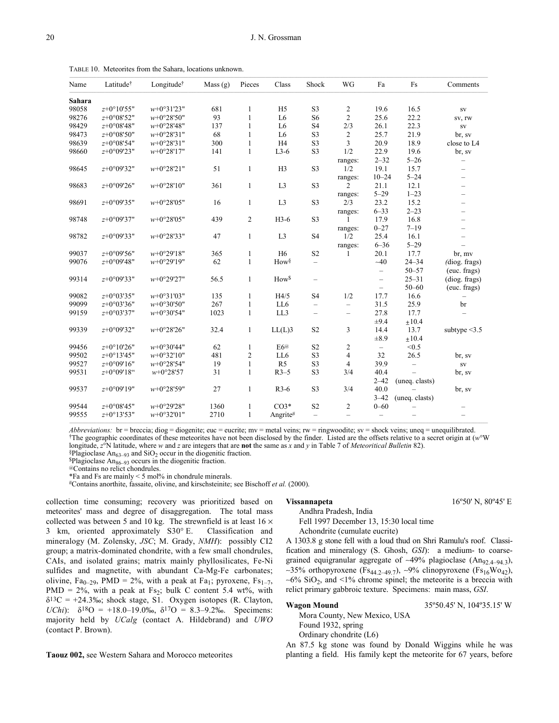| Name   | Latitudet      | Longitude <sup>†</sup> | Mass (g) | Pieces           | Class            | Shock                    | WG                       | Fa                       | Fs             | Comments                 |
|--------|----------------|------------------------|----------|------------------|------------------|--------------------------|--------------------------|--------------------------|----------------|--------------------------|
| Sahara |                |                        |          |                  |                  |                          |                          |                          |                |                          |
| 98058  | $z+0°10'55"$   | $w+0°31'23"$           | 681      | 1                | H <sub>5</sub>   | S <sub>3</sub>           | $\overline{2}$           | 19.6                     | 16.5           | ${\bf SV}$               |
| 98276  | $z+0°08'52"$   | $w+0°28'50"$           | 93       | $\mathbf{1}$     | L <sub>6</sub>   | S <sub>6</sub>           | $\overline{2}$           | 25.6                     | 22.2           | sv, rw                   |
| 98429  | $z + 0°08'48"$ | $w+0°28'48"$           | 137      | $\mathbf{1}$     | L <sub>6</sub>   | S <sub>4</sub>           | 2/3                      | 26.1                     | 22.3           | ${\bf SV}$               |
| 98473  | $z+0°08'50"$   | $w+0°28'31"$           | 68       | $\mathbf{1}$     | L <sub>6</sub>   | S3                       | $\sqrt{2}$               | 25.7                     | 21.9           | br, sv                   |
| 98639  | $z+0°08'54"$   | $w+0°28'31"$           | 300      | $\mathbf{1}$     | H <sub>4</sub>   | S <sub>3</sub>           | 3                        | 20.9                     | 18.9           | close to L4              |
| 98660  | $z+0°09'23"$   | $w+0°28'17"$           | 141      | $\mathbf{1}$     | $L3-6$           | S <sub>3</sub>           | 1/2                      | 22.9                     | 19.6           | br, sv                   |
|        |                |                        |          |                  |                  |                          | ranges:                  | $2 - 32$                 | $5 - 26$       | $\qquad \qquad -$        |
| 98645  | z+0°09'32"     | $w+0°28'21"$           | 51       | $\mathbf{1}$     | H <sub>3</sub>   | S3                       | 1/2                      | 19.1                     | 15.7           | $\overline{\phantom{m}}$ |
|        |                |                        |          |                  |                  |                          | ranges:                  | $10 - 24$                | $5 - 24$       | $\overline{\phantom{0}}$ |
| 98683  | $z+0°09'26"$   | $w+0°28'10"$           | 361      | $\mathbf{1}$     | L <sub>3</sub>   | S3                       | 2                        | 21.1                     | 12.1           | $\overline{\phantom{0}}$ |
|        |                |                        |          |                  |                  |                          | ranges:                  | $5 - 29$                 | $1 - 23$       |                          |
| 98691  | $z+0°09'35"$   | $w+0°28'05"$           | 16       | $\mathbf{1}$     | L <sub>3</sub>   | S3                       | 2/3                      | 23.2                     | 15.2           | $\overline{\phantom{0}}$ |
|        |                |                        |          |                  |                  |                          | ranges:                  | $6 - 33$                 | $2 - 23$       | $\qquad \qquad$          |
| 98748  | $z+0°09'37"$   | $w+0°28'05"$           | 439      | $\sqrt{2}$       | H3-6             | S <sub>3</sub>           |                          | 17.9                     | 16.8           |                          |
|        |                |                        |          |                  |                  |                          | ranges:                  | $0 - 27$                 | $7 - 19$       |                          |
| 98782  | $z+0°09'33"$   | $w+0°28'33"$           | 47       | $\mathbf{1}$     | L <sub>3</sub>   | <b>S4</b>                | 1/2                      | 25.4                     | 16.1           |                          |
|        |                |                        |          |                  |                  |                          | ranges:                  | $6 - 36$                 | $5 - 29$       |                          |
| 99037  | $z+0°09'56"$   | $w+0°29'18"$           | 365      | $\mathbf{1}$     | H <sub>6</sub>   | S <sub>2</sub>           | 1                        | 20.1                     | 17.7           | br, mv                   |
| 99076  | $z+0°09'48"$   | $w+0°29'19"$           | 62       | $\mathbf{1}$     | How <sup>§</sup> | $\overline{\phantom{m}}$ |                          | $-40$                    | $24 - 34$      | (diog. frags)            |
|        |                |                        |          |                  |                  |                          |                          | $\qquad \qquad -$        | $50 - 57$      | (euc. frags)             |
| 99314  | $z+0°09'33"$   | $w+0°29'27"$           | 56.5     | $\mathbf{1}$     | How <sup>§</sup> | $\qquad \qquad -$        |                          | $\qquad \qquad -$        | $25 - 31$      | (diog. frags)            |
|        |                |                        |          |                  |                  |                          |                          | $\overline{\phantom{0}}$ | $50 - 60$      | (euc. frags)             |
| 99082  | $z+0°03'35"$   | $w+0°31'03"$           | 135      | $\mathbf{1}$     | H4/5             | S <sub>4</sub>           | 1/2                      | 17.7                     | 16.6           | $\qquad \qquad -$        |
| 99099  | $z+0°03'36"$   | $w+0°30'50"$           | 267      | $\mathbf{1}$     | LL6              | $\overline{\phantom{0}}$ | $\overline{\phantom{m}}$ | 31.5                     | 25.9           | br                       |
| 99159  | $z+0°03'37"$   | $w+0°30'54"$           | 1023     | $\mathbf{1}$     | LL3              | $\equiv$                 | $\overline{\phantom{m}}$ | 27.8                     | 17.7           |                          |
|        |                |                        |          |                  |                  |                          |                          | ±9.4                     | ±10.4          |                          |
| 99339  | $z+0°09'32"$   | $w+0°28'26"$           | 32.4     | $\mathbf{1}$     | $LL(L)$ 3        | S <sub>2</sub>           | $\overline{3}$           | 14.4                     | 13.7           | subtype $\leq$ 3.5       |
|        |                |                        |          |                  |                  |                          |                          | $\pm 8.9$                | ±10.4          |                          |
| 99456  | $z+0°10'26"$   | $w+0°30'44"$           | 62       | $\mathbf{1}$     | E <sub>6</sub> @ | S <sub>2</sub>           | $\sqrt{2}$               | $\overline{\phantom{0}}$ | < 0.5          |                          |
| 99502  | $z+0°13'45"$   | $w+0°32'10"$           | 481      | $\boldsymbol{2}$ | LL6              | S <sub>3</sub>           | $\overline{\mathbf{4}}$  | 32                       | 26.5           | br, sv                   |
| 99527  | $z+0°09'16"$   | $w+0°28'54"$           | 19       | $\mathbf{1}$     | R <sub>5</sub>   | S <sub>3</sub>           | $\overline{4}$           | 39.9                     | $\equiv$       | ${\rm SV}$               |
| 99531  | $z+0°09'18$ "  | $w+0°28'57$            | 31       | $\mathbf{1}$     | $R3-5$           | S3                       | 3/4                      | 40.4                     |                | br, sv                   |
|        |                |                        |          |                  |                  |                          |                          | $2 - 42$                 | (uneq. clasts) |                          |
| 99537  | $z+0°09'19"$   | $w+0°28'59"$           | 27       | $\mathbf{1}$     | $R3-6$           | S <sub>3</sub>           | 3/4                      | 40.0                     |                | br, sv                   |
|        |                |                        |          |                  |                  |                          |                          | $3 - 42$                 | (uneq. clasts) |                          |
| 99544  | $z + 0°08'45"$ | $w+0°29'28"$           | 1360     | $\mathbf{1}$     | $CO3*$           | S <sub>2</sub>           | $\overline{2}$           | $0 - 60$                 |                |                          |
| 99555  | $z+0°13'53"$   | $w+0°32'01"$           | 2710     | $\mathbf{1}$     | Angrite#         | $\qquad \qquad -$        |                          | $\overline{\phantom{0}}$ |                |                          |

TABLE 10. Meteorites from the Sahara, locations unknown.

*Abbreviations:* br = breccia; diog = diogenite; euc = eucrite; mv = metal veins; rw = ringwoodite; sv = shock veins; uneq = unequilibrated. †The geographic coordinates of these meteorites have not been disclosed by the finder. Listed are the offsets relative to a secret origin at (*w*°W longitude, *z*°N latitude, where *w* and *z* are integers that are **not** the same as *x* and *y* in Table 7 of *Meteoritical Bulletin* 82). §Plagioclase An<sub>63–93</sub> and SiO<sub>2</sub> occur in the diogenitic fraction.

 $$Plaqioclase An<sub>86–93</sub> occurs in the diogenitic fraction.$ 

@Contains no relict chondrules.

\*Fa and Fs are mainly < 5 mol% in chondrule minerals.

#Contains anorthite, fassaite, olivine, and kirschsteinite; see Bischoff *et al.* (2000).

collection time consuming; recovery was prioritized based on meteorites' mass and degree of disaggregation. The total mass collected was between 5 and 10 kg. The strewnfield is at least 16  $\times$ 3 km, oriented approximately S30° E. Classification and mineralogy (M. Zolensky, *JSC*; M. Grady, *NMH*): possibly CI2 group; a matrix-dominated chondrite, with a few small chondrules, CAIs, and isolated grains; matrix mainly phyllosilicates, Fe-Ni sulfides and magnetite, with abundant Ca-Mg-Fe carbonates; olivine, Fa<sub>0–29</sub>, PMD = 2%, with a peak at Fa<sub>1</sub>; pyroxene, Fs<sub>1–7</sub>, PMD =  $2\%$ , with a peak at Fs<sub>2</sub>; bulk C content 5.4 wt%, with  $\delta^{13}C = +24.3\%$ ; shock stage, S1. Oxygen isotopes (R. Clayton, *UChi*):  $\delta^{18}O = +18.0 - 19.0\%$ ,  $\delta^{17}O = 8.3 - 9.2\%$ . Specimens: majority held by *UCalg* (contact A. Hildebrand) and *UWO* (contact P. Brown).

**Taouz 002,** see Western Sahara and Morocco meteorites

Andhra Pradesh, India Fell 1997 December 13, 15:30 local time Achondrite (cumulate eucrite)

A 1303.8 g stone fell with a loud thud on Shri Ramulu's roof. Classification and mineralogy (S. Ghosh, *GSI*): a medium- to coarsegrained equigranular aggregate of ~49% plagioclase (An<sub>92.4–94.3</sub>),  $~\sim$ 35% orthopyroxene (Fs<sub>44.2–49.7</sub>),  $~\sim$ 9% clinopyroxene (Fs<sub>16</sub>Wo<sub>42</sub>),  $~\sim 6\%$  SiO<sub>2</sub>, and <1% chrome spinel; the meteorite is a breccia with relict primary gabbroic texture. Specimens: main mass, *GSI*.

### **Wagon Mound** 35º50.45' N, 104º35.15' W

Mora County, New Mexico, USA Found 1932, spring Ordinary chondrite (L6)

An 87.5 kg stone was found by Donald Wiggins while he was planting a field. His family kept the meteorite for 67 years, before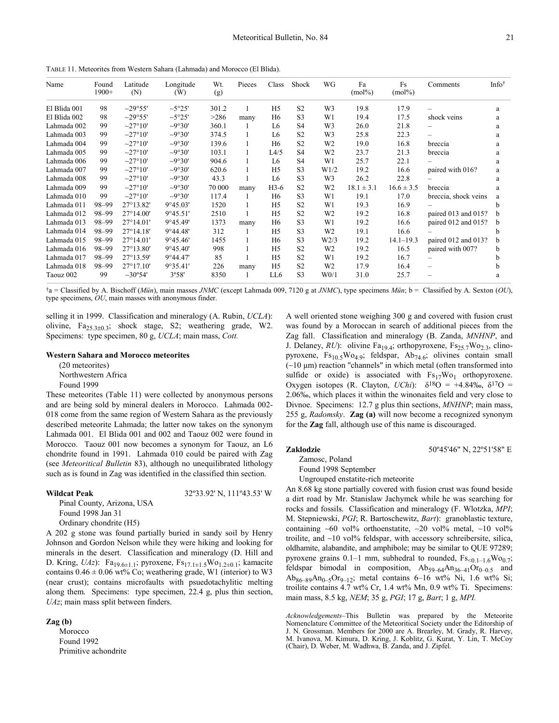TABLE 11. Meteorites from Western Sahara (Lahmada) and Morocco (El Blida).

| Name         | Found<br>$1900+$ | Latitude<br>(N)    | Longitude<br>(W) | Wt.<br>(g) | Pieces | Class          | Shock          | WG               | Fa<br>$(mol\%)$ | Fs<br>$(mol\%)$ | Comments                 | Info <sup>†</sup> |
|--------------|------------------|--------------------|------------------|------------|--------|----------------|----------------|------------------|-----------------|-----------------|--------------------------|-------------------|
| El Blida 001 | 98               | $-29°55'$          | $-5°25'$         | 301.2      |        | H <sub>5</sub> | S <sub>2</sub> | W <sub>3</sub>   | 19.8            | 17.9            |                          | a                 |
| El Blida 002 | 98               | $-29°55'$          | $-5°25'$         | >286       | many   | H6             | S <sub>3</sub> | W <sub>1</sub>   | 19.4            | 17.5            | shock veins              | a                 |
| Lahmada 002  | 99               | $-27^{\circ}10'$   | $-9°30'$         | 360.1      |        | L6             | S <sub>4</sub> | W <sub>3</sub>   | 26.0            | 21.8            |                          | a                 |
| Lahmada 003  | 99               | $-27^{\circ}10'$   | $-9°30'$         | 374.5      | 1      | L6             | S <sub>2</sub> | W <sub>3</sub>   | 25.8            | 22.3            |                          | a                 |
| Lahmada 004  | 99               | $-27^{\circ}10'$   | $-9°30'$         | 139.6      |        | H <sub>6</sub> | S <sub>2</sub> | W <sub>2</sub>   | 19.0            | 16.8            | breccia                  | a                 |
| Lahmada 005  | 99               | $-27^{\circ}10'$   | $-9°30'$         | 103.1      |        | L4/5           | S <sub>4</sub> | W <sub>2</sub>   | 23.7            | 21.3            | breccia                  | a                 |
| Lahmada 006  | 99               | $-27^{\circ}10'$   | $-9°30'$         | 904.6      |        | L <sub>6</sub> | S <sub>4</sub> | W1               | 25.7            | 22.1            |                          | a                 |
| Lahmada 007  | 99               | $-27^{\circ}10'$   | $-9°30'$         | 620.6      |        | H <sub>5</sub> | S <sub>3</sub> | W1/2             | 19.2            | 16.6            | paired with 016?         | a                 |
| Lahmada 008  | 99               | $-27^{\circ}10'$   | $-9°30'$         | 43.3       |        | L <sub>6</sub> | S <sub>3</sub> | W <sub>3</sub>   | 26.2            | 22.8            |                          | a                 |
| Lahmada 009  | 99               | $-27^{\circ}10'$   | $-9°30'$         | 70 000     | many   | $H3-6$         | S <sub>2</sub> | W <sub>2</sub>   | $18.1 \pm 3.1$  | $16.6 \pm 3.5$  | breccia                  | a                 |
| Lahmada 010  | 99               | $-27^{\circ}10'$   | $-9°30'$         | 117.4      |        | H <sub>6</sub> | S <sub>3</sub> | W1               | 19.1            | 17.0            | breccia, shock veins     | a                 |
| Lahmada 011  | 98-99            | 27°13.82'          | 9°45.03'         | 1520       |        | H <sub>5</sub> | S <sub>2</sub> | W <sub>1</sub>   | 19.3            | 16.9            |                          | b                 |
| Lahmada 012  | 98-99            | $27^{\circ}14.00'$ | 9°45.51'         | 2510       |        | H <sub>5</sub> | S <sub>2</sub> | W <sub>2</sub>   | 19.2            | 16.8            | paired 013 and 015?      | b                 |
| Lahmada 013  | 98-99            | $27^{\circ}14.01'$ | 9°45.49'         | 1373       | many   | H <sub>6</sub> | S <sub>3</sub> | W <sub>1</sub>   | 19.2            | 16.6            | paired 012 and 015?      | b                 |
| Lahmada 014  | 98-99            | $27^{\circ}14.18'$ | 9°44.48'         | 312        |        | H <sub>5</sub> | S <sub>3</sub> | W <sub>2</sub>   | 19.1            | 16.6            |                          | b                 |
| Lahmada 015  | 98-99            | $27^{\circ}14.01'$ | 9°45.46'         | 1455       | 1      | H <sub>6</sub> | S <sub>3</sub> | W2/3             | 19.2            | $14.1 - 19.3$   | paired 012 and 013?      | b                 |
| Lahmada 016  | 98-99            | $27^{\circ}13.80'$ | 9°45.40'         | 998        |        | H <sub>5</sub> | S <sub>2</sub> | W <sub>2</sub>   | 19.2            | 16.5            | paired with 007?         | b                 |
| Lahmada 017  | 98-99            | 27°13.59'          | 9°44.47'         | 85         |        | H <sub>5</sub> | S <sub>2</sub> | W1               | 19.2            | 16.7            |                          | b                 |
| Lahmada 018  | 98-99            | $27^{\circ}17.10'$ | 9°35.41'         | 226        | many   | H <sub>5</sub> | S <sub>2</sub> | W <sub>2</sub>   | 17.9            | 16.4            | $\overline{\phantom{0}}$ | b                 |
| Taouz 002    | 99               | $-30^{\circ}54'$   | 3°58'            | 8350       |        | LL6            | S <sub>3</sub> | W <sub>0/1</sub> | 31.0            | 25.7            |                          | a                 |

†a = Classified by A. Bischoff (*Mün*), main masses *JNMC* (except Lahmada 009, 7120 g at *JNMC*), type specimens *Mün*; b = Classified by A. Sexton (*OU*), type specimens, *OU*, main masses with anonymous finder.

selling it in 1999. Classification and mineralogy (A. Rubin, *UCLA*): olivine, Fa25.3±0.3; shock stage, S2; weathering grade, W2. Specimens: type specimen, 80 g, *UCLA*; main mass, *Cott.* 

#### **Western Sahara and Morocco meteorites**

(20 meteorites) Northwestern Africa Found 1999

These meteorites (Table 11) were collected by anonymous persons and are being sold by mineral dealers in Morocco. Lahmada 002- 018 come from the same region of Western Sahara as the previously described meteorite Lahmada; the latter now takes on the synonym Lahmada 001. El Blida 001 and 002 and Taouz 002 were found in Morocco. Taouz 001 now becomes a synonym for Taouz, an L6 chondrite found in 1991. Lahmada 010 could be paired with Zag (see *Meteoritical Bulletin* 83), although no unequilibrated lithology such as is found in Zag was identified in the classified thin section.

#### **Wildcat Peak** 32º33.92' N, 111º43.53' W

Pinal County, Arizona, USA Found 1998 Jan 31 Ordinary chondrite (H5)

A 202 g stone was found partially buried in sandy soil by Henry Johnson and Gordon Nelson while they were hiking and looking for minerals in the desert. Classification and mineralogy (D. Hill and D. Kring, *UAz*): Fa<sub>19.6±1.1</sub>; pyroxene, Fs<sub>17.1±1.5</sub>Wo<sub>1.2±0.1</sub>; kamacite contains  $0.46 \pm 0.06$  wt% Co; weathering grade, W1 (interior) to W3 (near crust); contains microfaults with psuedotachylitic melting along them. Specimens: type specimen, 22.4 g, plus thin section, *UAz*; main mass split between finders.

#### **Zag (b)**

Morocco Found 1992 Primitive achondrite A well oriented stone weighing 300 g and covered with fusion crust was found by a Moroccan in search of additional pieces from the Zag fall. Classification and mineralogy (B. Zanda, *MNHNP*, and J. Delaney, *RU*): olivine Fa<sub>19.4</sub>; orthopyroxene, Fs<sub>25.7</sub>Wo<sub>2.3</sub>, clinopyroxene,  $Fs_{10.5}Wo_{4.9}$ ; feldspar,  $Ab_{74.6}$ ; olivines contain small (∼10 µm) reaction "channels" in which metal (often transformed into sulfide or oxide) is associated with  $Fs_{17}Wo_1$  orthopyroxene. Oxygen isotopes (R. Clayton, *UChi*):  $\delta^{18}$ O = +4.84‰,  $\delta^{17}$ O = 2.06‰, which places it within the winonaites field and very close to Divnoe. Specimens: 12.7 g plus thin sections, *MNHNP*; main mass, 255 g, *Radomsky*. **Zag (a)** will now become a recognized synonym for the **Zag** fall, although use of this name is discouraged.

#### **Zaklodzie** 50º45'46" N, 22º51'58" E

Zamosc, Poland

Found 1998 September

Ungrouped enstatite-rich meteorite

An 8.68 kg stone partially covered with fusion crust was found beside a dirt road by Mr. Stanislaw Jachymek while he was searching for rocks and fossils. Classification and mineralogy (F. Wlotzka, *MPI*; M. Stepniewski, *PGI*; R. Bartoschewitz, *Bart*): granoblastic texture, containing ∼60 vol% orthoenstatite, ∼20 vol% metal, ∼10 vol% troilite, and ∼10 vol% feldspar, with accessory schreibersite, silica, oldhamite, alabandite, and amphibole; may be similar to QUE 97289; pyroxene grains 0.1–1 mm, subhedral to rounded,  $Fs<sub>0,1–1.6</sub>WO<sub>0.7</sub>$ ; feldspar bimodal in composition,  $Ab_{59-64}Au_{36-41}Or_{0-0.5}$  and Ab<sub>86–89</sub>An<sub>0–5</sub>Or<sub>9–12</sub>; metal contains 6–16 wt% Ni, 1.6 wt% Si; troilite contains 4.7 wt% Cr, 1.4 wt% Mn, 0.9 wt% Ti. Specimens: main mass, 8.5 kg, *NEM*; 35 g, *PGI*; 17 g, *Bart*; 1 g, *MPI.*

*Acknowledgements*–This Bulletin was prepared by the Meteorite Nomenclature Committee of the Meteoritical Society under the Editorship of J. N. Grossman. Members for 2000 are A. Brearley, M. Grady, R. Harvey, M. Ivanova, M. Kimura, D. Kring, J. Koblitz, G. Kurat, Y. Lin, T. McCoy (Chair), D. Weber, M. Wadhwa, B. Zanda, and J. Zipfel.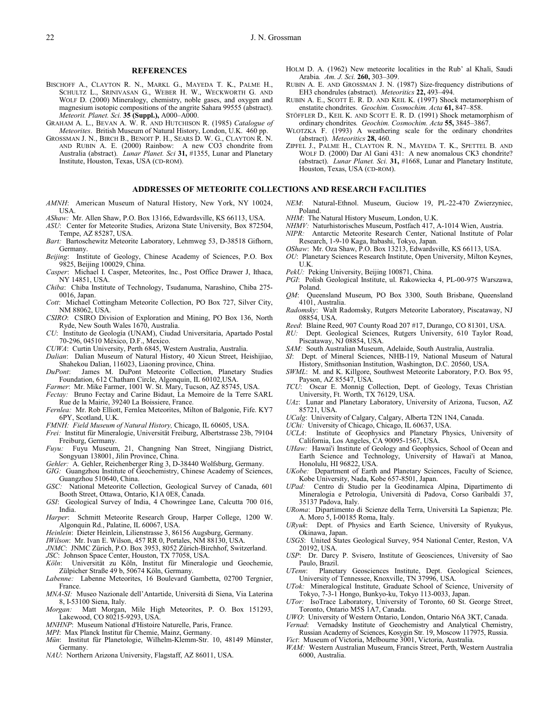#### **REFERENCES**

- BISCHOFF A., CLAYTON R. N., MARKL G., MAYEDA T. K., PALME H., SCHULTZ L., SRINIVASAN G., WEBER H. W., WECKWORTH G. AND WOLF D. (2000) Mineralogy, chemistry, noble gases, and oxygen and magnesium isotopic compositions of the angrite Sahara 99555 (abstract). *Meteorit. Planet. Sci.* **35 (Suppl.),** A000–A000.
- GRAHAM A. L., BEVAN A. W. R. AND HUTCHISON R. (1985) *Catalogue of Meteorites*. British Museum of Natural History, London, U.K. 460 pp.
- GROSSMAN J. N., BIRCH B., BENOIT P. H., SEARS D. W. G., CLAYTON R. N. AND RUBIN A. E. (2000) Rainbow: A new CO3 chondrite from Australia (abstract). *Lunar Planet. Sci* **31,** #1355, Lunar and Planetary Institute, Houston, Texas, USA (CD-ROM).

#### **ADDRESSES OF METEORITE COLLECTIONS AND RESEARCH FACILITIES**

- *AMNH*: American Museum of Natural History, New York, NY 10024, USA.
- *AShaw:* Mr. Allen Shaw, P.O. Box 13166, Edwardsville, KS 66113, USA.
- *ASU*: Center for Meteorite Studies, Arizona State University, Box 872504, Tempe, AZ 85287, USA.
- *Bart:* Bartoschewitz Meteorite Laboratory, Lehmweg 53, D-38518 Gifhorn, Germany.
- *Beijing*: Institute of Geology, Chinese Academy of Sciences, P.O. Box 9825, Beijing 100029, China.
- *Casper*: Michael I. Casper, Meteorites, Inc., Post Office Drawer J, Ithaca, NY 14851, USA.
- *Chiba*: Chiba Institute of Technology, Tsudanuma, Narashino, Chiba 275- 0016, Japan.
- *Cott*: Michael Cottingham Meteorite Collection, PO Box 727, Silver City, NM 88062, USA.
- *CSIRO*: CSIRO Division of Exploration and Mining, PO Box 136, North Ryde, New South Wales 1670, Australia.
- *CU*: Instituto de Geología (UNAM), Ciudad Universitaria, Apartado Postal 70-296, 04510 México, D.F., Mexico.
- *CUWA*: Curtin University, Perth 6845, Western Australia, Australia.
- *Dalian*: Dalian Museum of Natural History, 40 Xicun Street, Heishijiao,
- Shahekou Dalian, 116023, Liaoning province, China.<br> *DuPont*: James M. DuPont Meteorite Collection. *DuPont*: James M. DuPont Meteorite Collection, Planetary Studies Foundation, 612 Chatham Circle, Algonquin, IL 60102,USA.
- *Farmer*: Mr. Mike Farmer, 1001 W. St. Mary, Tucson, AZ 85745, USA.
- *Fectay:* Bruno Fectay and Carine Bidaut, La Memoire de la Terre SARL Rue de la Mairie, 39240 La Boissiere, France.
- *Fernlea:* Mr. Rob Elliott, Fernlea Meteorites, Milton of Balgonie, Fife. KY7 6PY, Scotland, U.K.
- *FMNH: Field Museum of Natural History,* Chicago, IL 60605, USA.
- *Frei:* Institut für Mineralogie, Universität Freiburg, Albertstrasse 23b, 79104 Freiburg, Germany.
- *Fuyu:* Fuyu Museum, 21, Changning Nan Street, Ningjiang District, Songyuan 138001, Jilin Province, China.
- *Gehler:* A. Gehler, Reichenberger Ring 3, D-38440 Wolfsburg, Germany.
- *GIG:* Guangzhou Institute of Geochemistry, Chinese Academy of Sciences, Guangzhou 510640, China.
- *GSC:* National Meteorite Collection, Geological Survey of Canada, 601 Booth Street, Ottawa, Ontario, K1A 0E8, Canada.
- *GSI*: Geological Survey of India, 4 Chowringee Lane, Calcutta 700 016, India.<br>Harper:
- Schmitt Meteorite Research Group, Harper College, 1200 W. Algonquin Rd., Palatine, IL 60067, USA.
- *Heinlein*: Dieter Heinlein, Lilienstrasse 3, 86156 Augsburg, Germany.
- *IWilson*: Mr. Ivan E. Wilson, 457 RR 0, Portales, NM 88130, USA.
- *JNMC*: JNMC Zürich, P.O. Box 3953, 8052 Zürich-Birchhof, Switzerland.
- *JSC*: Johnson Space Center, Houston, TX 77058, USA.
- *Köln*: Universität zu Köln, Institut für Mineralogie und Geochemie, Zülpicher Straße 49 b, 50674 Köln, Germany.
- *Labenne:* Labenne Meteorites, 16 Boulevard Gambetta, 02700 Tergnier, France.
- *MNA-SI:* Museo Nazionale dell'Antartide, Università di Siena, Via Laterina 8, I-53100 Siena, Italy.
- *Morgan:* Matt Morgan, Mile High Meteorites, P. O. Box 151293, Lakewood, CO 80215-9293, USA.
- *MNHNP*: Museum National d'Histoire Naturelle, Paris, France.
- *MPI*: Max Planck Institut für Chemie, Mainz, Germany.
- *Mün*: Institut für Planetologie, Wilhelm-Klemm-Str. 10, 48149 Münster, Germany.
- *NAU*: Northern Arizona University, Flagstaff, AZ 86011, USA.
- HOLM D. A. (1962) New meteorite localities in the Rub' al Khali, Saudi Arabia*. Am. J. Sci.* **260,** 303–309.
- RUBIN A. E. AND GROSSMAN J. N. (1987) Size-frequency distributions of EH3 chondrules (abstract). *Meteoritics* **22,** 493–494.
- RUBIN A. E., SCOTT E. R. D. AND KEIL K. (1997) Shock metamorphism of enstatite chondrites. *Geochim. Cosmochim. Acta* **61,** 847–858.
- STÖFFLER D., KEIL K. AND SCOTT E. R. D. (1991) Shock metamorphism of ordinary chondrites*. Geochim. Cosmochim. Acta* **55,** 3845–3867.
- WLOTZKA F. (1993) A weathering scale for the ordinary chondrites (abstract). *Meteoritics* **28,** 460.
- ZIPFEL J., PALME H., CLAYTON R. N., MAYEDA T. K., SPETTEL B. AND WOLF D. (2000) Dar Al Gani 431: A new anomalous CK3 chondrite? (abstract). *Lunar Planet. Sci.* **31,** #1668, Lunar and Planetary Institute, Houston, Texas, USA (CD-ROM).
- *NEM*: Natural-Ethnol. Museum, Guciow 19, PL-22-470 Zwierzyniec, Poland.
- *NHM*: The Natural History Museum, London, U.K.
- *NHMV:* Naturhistorisches Museum, Postfach 417, A-1014 Wien, Austria.
- *NIPR:* Antarctic Meteorite Research Center, National Institute of Polar Research, 1-9-10 Kaga, Itabashi, Tokyo, Japan.
- *OShaw*: Mr. Oza Shaw, P.O. Box 13213, Edwardsville, KS 66113, USA.
- *OU*: Planetary Sciences Research Institute, Open University, Milton Keynes, U.K.
- PekU: Peking University, Beijing 100871, China.
- *PGI*: Polish Geological Institute, ul. Rakowiecka 4, PL-00-975 Warszawa, Poland.
- *QM*: Queensland Museum, PO Box 3300, South Brisbane, Queensland 4101, Australia.
- *Radomsky*: Walt Radomsky, Rutgers Meteorite Laboratory, Piscataway, NJ 08854, USA.
- *Reed*: Blaine Reed, 907 County Road 207 #17, Durango, CO 81301, USA.
- *RU:* Dept. Geological Sciences, Rutgers University, 610 Taylor Road, Piscataway, NJ 08854, USA.
	- *SAM:* South Australian Museum, Adelaide, South Australia, Australia.
	- *SI*: Dept. of Mineral Sciences, NHB-119, National Museum of Natural History, Smithsonian Institution, Washington, D.C. 20560, USA.
	- *SWML*: M. and K. Killgore, Southwest Meteorite Laboratory, P.O. Box 95, Payson, AZ 85547, USA.
	- *TCU*: Oscar E. Monnig Collection, Dept. of Geology, Texas Christian University, Ft. Worth, TX 76129, USA.
	- *UAz*: Lunar and Planetary Laboratory, University of Arizona, Tucson, AZ 85721, USA.
	- *UCalg*: University of Calgary, Calgary, Alberta T2N 1N4, Canada.
	- *UChi:* University of Chicago, Chicago, IL 60637, USA.
	- *UCLA*: Institute of Geophysics and Planetary Physics, University of California, Los Angeles, CA 90095-1567, USA.
	- *UHaw:* Hawai'i Institute of Geology and Geophysics, School of Ocean and Earth Science and Technology, University of Hawai'i at Manoa, Honolulu, HI 96822, USA.
	- *UKobe:* Department of Earth and Planetary Sciences, Faculty of Science, Kobe University, Nada, Kobe 657-8501, Japan.
	- *UPad:* Centro di Studio per la Geodinamica Alpina, Dipartimento di Mineralogia e Petrologia, Università di Padova, Corso Garibaldi 37, 35137 Padova, Italy.
	- *URoma*: Dipartimento di Scienze della Terra, Università La Sapienza; Ple. A. Moro 5, I-00185 Roma, Italy.
	- *URyuk*: Dept. of Physics and Earth Science, University of Ryukyus, Okinawa, Japan.
	- *USGS*: United States Geological Survey, 954 National Center, Reston, VA 20192, USA.
	- *USP*: Dr. Darcy P. Svisero, Institute of Geosciences, University of Sao Paulo, Brazil.
	- *UTenn*: Planetary Geosciences Institute, Dept. Geological Sciences, University of Tennessee, Knoxville, TN 37996, USA.
	- *UTok:* Mineralogical Institute, Graduate School of Science, University of Tokyo, 7-3-1 Hongo, Bunkyo-ku, Tokyo 113-0033, Japan.
	- *UTor:* IsoTrace Laboratory, University of Toronto, 60 St. George Street, Toronto, Ontario M5S 1A7, Canada.
	- *UWO*: University of Western Ontario, London, Ontario N6A 3KT, Canada.
	- *Vernad*: Vernadsky Institute of Geochemistry and Analytical Chemistry, Russian Academy of Sciences, Kosygin Str. 19, Moscow 117975, Russia.
	- *Vict*: Museum of Victoria, Melbourne 3001, Victoria, Australia.
	- *WAM:* Western Australian Museum, Francis Street, Perth, Western Australia 6000, Australia.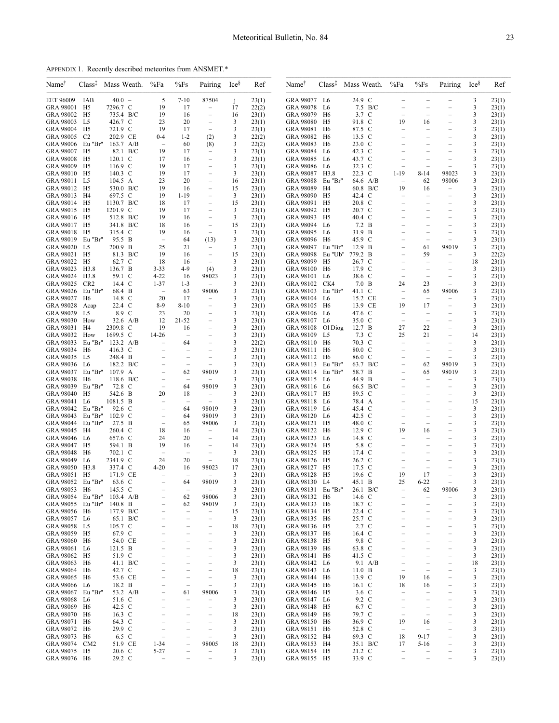APPENDIX 1. Recently described meteorites from ANSMET.\*

| Name <sup>†</sup>                 | $Class$ <sup><math>\ddagger</math></sup> | Mass Weath.          | %Fa                            | %Fs                            | Pairing                                              | Ices    | Ref            | Name†                             | Class <sup>‡</sup> Mass Weath. | %Fa                            | %Fs                            | Pairing                              | Ices    | Ref            |
|-----------------------------------|------------------------------------------|----------------------|--------------------------------|--------------------------------|------------------------------------------------------|---------|----------------|-----------------------------------|--------------------------------|--------------------------------|--------------------------------|--------------------------------------|---------|----------------|
| <b>EET 96009</b>                  | IAB                                      | $40.0 -$             | 5                              | $7 - 10$                       | 87504                                                | j       | 23(1)          | GRA 98077 L6                      | 24.9 C                         |                                |                                |                                      | 3       | 23(1)          |
| GRA 98001 H5                      |                                          | 7296.7 C             | 19                             | 17                             | $\overline{\phantom{a}}$                             | 17      | 22(2)          | GRA 98078 L6                      | 7.5 B/C                        | $\equiv$                       |                                | $\equiv$                             | 3       | 23(1)          |
| GRA 98002 H5                      |                                          | 735.4 B/C            | 19                             | 16                             | $\hspace{1.0cm} - \hspace{1.0cm}$                    | 16      | 23(1)          | GRA 98079 H6                      | 3.7 C<br>91.8 C                | $\qquad \qquad -$<br>19        | $\overline{\phantom{m}}$       | $\overline{\phantom{0}}$             | 3       | 23(1)          |
| GRA 98003<br>GRA 98004 H5         | L5                                       | 426.7 C<br>721.9 C   | 23<br>19                       | 20<br>17                       | $\qquad \qquad -$<br>$\overline{\phantom{a}}$        | 3<br>3  | 23(1)<br>23(1) | GRA 98080 H5<br>GRA 98081 H6      | 87.5 C                         | $\overline{\phantom{0}}$       | 16<br>$\overline{\phantom{a}}$ | ÷                                    | 3<br>3  | 23(1)<br>23(1) |
| <b>GRA 98005</b>                  | C <sub>2</sub>                           | 202.9 CE             | $0 - 4$                        | $1 - 2$                        | (2)                                                  | 3       | 22(2)          | GRA 98082 H6                      | 13.5 C                         | $\overline{\phantom{0}}$       |                                | $\overline{\phantom{0}}$             | 3       | 23(1)          |
| GRA 98006 Eu "Br"                 |                                          | $163.7$ A/B          | $\overline{\phantom{a}}$       | 60                             | (8)                                                  | 3       | 22(2)          | GRA 98083 H6                      | 23.0 C                         |                                |                                |                                      | 3       | 23(1)          |
| GRA 98007 H5                      |                                          | 82.1 B/C             | 19                             | 17                             | $\overline{\phantom{m}}$                             | 3       | 23(1)          | GRA 98084 L6                      | 42.3 C                         | ÷                              | $\equiv$                       | $\equiv$                             | 3       | 23(1)          |
| GRA 98008 H5                      |                                          | 120.1 C              | 17                             | 16                             | $\overline{\phantom{0}}$                             | 3       | 23(1)          | GRA 98085 L6                      | 43.7 C                         | $\overline{\phantom{0}}$       |                                | $\overline{\phantom{0}}$             | 3       | 23(1)          |
| GRA 98009 H5                      |                                          | 116.9 C              | 19                             | 17                             | $\overline{\phantom{m}}$                             | 3       | 23(1)          | GRA 98086 L6                      | 32.3 C                         |                                |                                |                                      | 3       | 23(1)          |
| GRA 98010 H5                      |                                          | 140.3 C              | 19                             | 17                             | $\overline{\phantom{m}}$                             | 3       | 23(1)          | GRA 98087 H3.8                    | 22.3 C                         | $1 - 19$                       | $8 - 14$                       | 98023                                | 3       | 23(1)          |
| GRA 98011 L5                      |                                          | 104.5 A              | 23                             | 20                             | $\overline{\phantom{a}}$                             | 16      | 23(1)          | GRA 98088 Eu "Br"                 | 64.6 A/B                       | $\overline{\phantom{a}}$       | 62                             | 98006                                | 3       | 23(1)          |
| GRA 98012 H5                      |                                          | 530.0 B/C<br>697.5 C | 19                             | 16                             | $\overline{\phantom{0}}$                             | 15      | 23(1)          | GRA 98089 H4                      | 60.8 B/C                       | 19                             | 16                             | $\overline{\phantom{a}}$             | 3       | 23(1)          |
| GRA 98013 H4<br>GRA 98014 H5      |                                          | 1130.7 B/C           | 19<br>18                       | $1 - 19$<br>17                 | $\qquad \qquad -$<br>$\overline{\phantom{0}}$        | 3<br>15 | 23(1)<br>23(1) | GRA 98090 H5<br>GRA 98091 H5      | 42.4 C<br>20.8 C               |                                |                                | $\overline{\phantom{0}}$             | 3<br>3  | 23(1)<br>23(1) |
| GRA 98015 H5                      |                                          | 1201.9 C             | 19                             | 17                             | $\overline{\phantom{m}}$                             | 3       | 23(1)          | GRA 98092 H5                      | 20.7 C                         |                                |                                | $\overline{\phantom{0}}$             | 3       | 23(1)          |
| GRA 98016 H5                      |                                          | 512.8 B/C            | 19                             | 16                             | $\qquad \qquad -$                                    | 3       | 23(1)          | GRA 98093 H5                      | 40.4 C                         |                                |                                | $\qquad \qquad -$                    | 3       | 23(1)          |
| GRA 98017 H5                      |                                          | 341.8 B/C            | 18                             | 16                             | $\overline{\phantom{a}}$                             | 15      | 23(1)          | GRA 98094 L6                      | 7.2 B                          |                                |                                |                                      | 3       | 23(1)          |
| GRA 98018 H5                      |                                          | 315.4 C              | 19                             | 16                             | $\overline{\phantom{a}}$                             | 3       | 23(1)          | GRA 98095 L6                      | 31.9 B                         |                                | $\overline{\phantom{m}}$       | $\overline{\phantom{m}}$             | 3       | 23(1)          |
| GRA 98019 Eu "Br"                 |                                          | 95.5 B               | $\overline{\phantom{a}}$       | 64                             | (13)                                                 | 3       | 23(1)          | GRA 98096 H6                      | 45.9 C                         |                                |                                |                                      | 3       | 23(1)          |
| GRA 98020 L5                      |                                          | 200.9 B              | 25                             | 21                             | $\overline{\phantom{a}}$                             | 3       | 23(1)          | GRA 98097 Eu "Br"                 | 12.9 B                         |                                | 61                             | 98019                                | 3       | 23(1)          |
| GRA 98021 H5<br>GRA 98022 H5      |                                          | 81.3 B/C             | 19                             | 16                             | $\overline{\phantom{m}}$                             | 15      | 23(1)          | GRA 98098 Eu "Ub"                 | 779.2 B<br>26.7 C              |                                | 59                             | $\equiv$                             | 3<br>18 | 22(2)          |
| GRA 98023 H3.8                    |                                          | 62.7 C<br>136.7 B    | 18<br>$3 - 33$                 | 16<br>4-9                      | $\overline{\phantom{a}}$<br>(4)                      | 3<br>3  | 23(1)<br>23(1) | GRA 98099 H5<br>GRA 98100 H6      | 17.9 C                         | $\qquad \qquad -$              | $\overline{\phantom{a}}$       | $\overline{\phantom{a}}$             | 3       | 23(1)<br>23(1) |
| GRA 98024 H3.8                    |                                          | 59.1 C               | $4 - 22$                       | 16                             | 98023                                                | 3       | 23(1)          | GRA 98101 L6                      | 38.6 C                         | $\overline{\phantom{0}}$       | $\overline{\phantom{a}}$       | $\overline{\phantom{0}}$             | 3       | 23(1)          |
| GRA 98025 CR2                     |                                          | 14.4 C               | $1 - 37$                       | $1-3$                          | $\overline{\phantom{m}}$                             | 3       | 23(1)          | GRA 98102 CK4                     | 7.0 B                          | 24                             | 23                             | $\overline{\phantom{m}}$             | 3       | 23(1)          |
| GRA 98026 Eu "Br"                 |                                          | 68.4 B               | $\equiv$                       | 63                             | 98006                                                | 3       | 23(1)          | GRA 98103 Eu "Br"                 | 41.1 C                         | $\overline{a}$                 | 65                             | 98006                                | 3       | 23(1)          |
| GRA 98027 H6                      |                                          | 14.8 C               | 20                             | 17                             | $\equiv$                                             | 3       | 23(1)          | GRA 98104 L6                      | 15.2 CE                        | $\overline{\phantom{0}}$       | $\equiv$                       | $\overline{\phantom{m}}$             | 3       | 23(1)          |
| GRA 98028 Acap                    |                                          | 22.4 C               | $8-9$                          | $8 - 10$                       | $\overline{\phantom{m}}$                             | 3       | 23(1)          | GRA 98105 H6                      | 13.9 CE                        | 19                             | 17                             | $\overline{\phantom{m}}$             | 3       | 23(1)          |
| GRA 98029 L5                      |                                          | 8.9 C                | 23                             | 20                             | $\equiv$                                             | 3       | 23(1)          | GRA 98106 L6                      | 47.6 C                         | $\overline{\phantom{a}}$       |                                | $\equiv$                             | 3       | 23(1)          |
| GRA 98030 How                     |                                          | 32.6 A/B             | 12                             | $21 - 52$                      | $\overline{\phantom{0}}$                             | 3       | 23(1)          | GRA 98107 L6                      | 35.0 C                         | $\overline{\phantom{0}}$       |                                | $\qquad \qquad -$                    | 3       | 23(1)          |
| GRA 98031 H4<br>GRA 98032 How     |                                          | 2309.8 C<br>1699.5 C | 19<br>14-26                    | 16<br>$\sim$                   | $\qquad \qquad -$<br>$\equiv$                        | 3<br>3  | 23(1)<br>23(1) | GRA 98108 Ol Diog<br>GRA 98109 L5 | 12.7 B<br>7.3 C                | 27<br>25                       | 22<br>21                       | $\qquad \qquad -$<br>$\equiv$        | 3<br>14 | 23(1)<br>23(1) |
| GRA 98033                         | Eu "Br"                                  | $123.2 \text{ A/B}$  |                                | 64                             | $\overline{\phantom{0}}$                             | 3       | 22(2)          | GRA 98110 H6                      | 70.3 C                         | $\overline{\phantom{0}}$       | $\overline{\phantom{a}}$       | ÷                                    | 3       | 23(1)          |
| GRA 98034 H6                      |                                          | 416.3 C              | $\qquad \qquad -$              | $\overline{\phantom{m}}$       | $\overline{\phantom{m}}$                             | 3       | 23(1)          | GRA 98111 H6                      | 80.0 C                         | $\overline{\phantom{0}}$       | $\overline{\phantom{a}}$       | $\overline{\phantom{m}}$             | 3       | 23(1)          |
| GRA 98035 L5                      |                                          | 248.4 B              |                                |                                |                                                      | 3       | 23(1)          | GRA 98112 H6                      | 86.0 C                         |                                |                                |                                      | 3       | 23(1)          |
| GRA 98036 L6                      |                                          | 182.2 B/C            | $\equiv$                       | $\equiv$                       |                                                      | 3       | 23(1)          | GRA 98113 Eu "Br"                 | 63.7 B/C                       | $\overline{\phantom{0}}$       | 62                             | 98019                                | 3       | 23(1)          |
| GRA 98037 Eu "Br"                 |                                          | 107.9 A              | $\equiv$                       | 62                             | 98019                                                | 3       | 23(1)          | GRA 98114 Eu "Br"                 | 58.7 B                         | $\qquad \qquad -$              | 65                             | 98019                                | 3       | 23(1)          |
| GRA 98038 H6                      |                                          | 118.6 B/C            |                                |                                |                                                      | 3       | 23(1)          | GRA 98115 L6                      | 44.9 B                         |                                |                                |                                      | 3       | 23(1)          |
| GRA 98039 Eu "Br"                 |                                          | 72.8 C               | $\equiv$                       | 64                             | 98019                                                | 3       | 23(1)          | GRA 98116 L6                      | 66.5 B/C                       |                                |                                | $\overline{\phantom{a}}$             | 3       | 23(1)          |
| GRA 98040 H5<br>GRA 98041 L6      |                                          | 542.6 B<br>1081.5 B  | 20                             | 18                             | $\overline{\phantom{m}}$                             | 3<br>3  | 23(1)          | GRA 98117 H5<br>GRA 98118 L6      | 89.5 C<br>78.4 A               | $\equiv$                       | $\overline{\phantom{m}}$       | $\qquad \qquad -$                    | 3<br>15 | 23(1)          |
| GRA 98042 Eu "Br"                 |                                          | 92.6 C               | $\equiv$<br>$\equiv$           | $\overline{\phantom{a}}$<br>64 | 98019                                                | 3       | 23(1)<br>23(1) | GRA 98119 L6                      | 45.4 C                         |                                |                                | $\overline{\phantom{0}}$<br>÷        | 3       | 23(1)<br>23(1) |
| GRA 98043 Eu "Br"                 |                                          | 102.9 C              | $\overline{\phantom{m}}$       | 64                             | 98019                                                | 3       | 23(1)          | GRA 98120 L6                      | 42.5 C                         | $\equiv$                       | $\overline{\phantom{m}}$       | $\overline{\phantom{0}}$             | 3       | 23(1)          |
| GRA 98044 Eu "Br"                 |                                          | 27.5 B               | $\equiv$                       | 65                             | 98006                                                | 3       | 23(1)          | GRA 98121 H5                      | 48.0 C                         |                                |                                |                                      | 3       | 23(1)          |
| GRA 98045 H4                      |                                          | 260.4 C              | 18                             | 16                             | $\equiv$                                             | 14      | 23(1)          | GRA 98122 H6                      | 12.9 C                         | 19                             | 16                             | $\overline{\phantom{0}}$             | 3       | 23(1)          |
| GRA 98046 L6                      |                                          | 657.6 C              | 24                             | 20                             | $\overline{\phantom{a}}$                             | 14      | 23(1)          | GRA 98123 L6                      | 14.8 C                         | $\overline{\phantom{0}}$       | $\overline{\phantom{0}}$       | $\overline{\phantom{0}}$             | 3       | 23(1)          |
| GRA 98047 H5                      |                                          | 594.1 B              | 19                             | 16                             | $\overline{\phantom{m}}$                             | 14      | 23(1)          | GRA 98124 H5                      | 5.8 C                          |                                |                                |                                      | 3       | 23(1)          |
| GRA 98048 H6<br>GRA 98049 L6      |                                          | 702.1 C<br>2341.9 C  | $\overline{\phantom{0}}$<br>24 | $\frac{1}{2}$<br>20            | $\overline{\phantom{m}}$<br>$\overline{\phantom{a}}$ | 3<br>18 | 23(1)<br>23(1) | GRA 98125 H5<br>GRA 98126 H5      | 17.4 C<br>26.2 C               | ÷                              | $\overline{\phantom{0}}$       | $\equiv$<br>$\overline{\phantom{0}}$ | 3<br>3  | 23(1)          |
| GRA 98050 H3.8                    |                                          | 337.4 C              | $4 - 20$                       | 16                             | 98023                                                | 17      | 23(1)          | GRA 98127 H5                      | 17.5 C                         |                                | $\qquad \qquad -$              |                                      | 3       | 23(1)<br>23(1) |
| GRA 98051 H5                      |                                          | 171.9 CE             |                                | $\equiv$                       | $\equiv$                                             | 3       | 23(1)          | GRA 98128 H5                      | 19.6 C                         | 19                             | 17                             | $\equiv$                             | 3       | 23(1)          |
| GRA 98052 Eu "Br"                 |                                          | 63.6 C               |                                | 64                             | 98019                                                | 3       | 23(1)          | GRA 98130 L4                      | 45.1 B                         | 25                             | $6 - 22$                       | $\overline{\phantom{0}}$             | 3       | 23(1)          |
| GRA 98053 H6                      |                                          | 145.5 C              |                                |                                |                                                      | 3       | 23(1)          | GRA 98131 Eu "Br"                 | 26.1 B/C                       |                                |                                | 98006                                |         | 23(1)          |
| GRA 98054 Eu "Br"                 |                                          | $103.4\ \text{A/B}$  |                                | 62                             | 98006                                                | 3       | 23(1)          | GRA 98132 H6                      | 14.6 C                         |                                |                                |                                      | 3       | 23(1)          |
| GRA 98055 Eu "Br"                 |                                          | 140.8 B              | $\overline{\phantom{0}}$       | 62                             | 98019                                                | 3       | 23(1)          | GRA 98133 H6                      | 18.7 C                         |                                |                                |                                      | 3       | 23(1)          |
| GRA 98056 H6                      |                                          | 177.9 B/C            | $\qquad \qquad -$              | $\qquad \qquad -$              | $\hspace{1.0cm} - \hspace{1.0cm}$                    | 15      | 23(1)          | GRA 98134 H5                      | 22.4 C                         |                                |                                | -                                    | 3       | 23(1)          |
| GRA 98057 L6<br>GRA 98058 L5      |                                          | 65.1 B/C<br>105.7 C  | -                              | $\qquad \qquad -$              | $\qquad \qquad -$<br>$\overline{\phantom{0}}$        | 3<br>18 | 23(1)<br>23(1) | GRA 98135 H6<br>GRA 98136 H5      | 25.7 C<br>2.7 C                |                                |                                | $\overline{\phantom{0}}$             | 3<br>3  | 23(1)<br>23(1) |
| GRA 98059 H5                      |                                          | 67.9 C               | $\overline{\phantom{0}}$       | -                              | $\qquad \qquad -$                                    | 3       | 23(1)          | GRA 98137 H6                      | 16.4 C                         |                                |                                | -                                    | 3       | 23(1)          |
| GRA 98060 H6                      |                                          | 54.0 CE              | $\qquad \qquad -$              | $\qquad \qquad -$              | $\overline{\phantom{0}}$                             | 3       | 23(1)          | GRA 98138 H5                      | 9.8 C                          |                                |                                | -                                    | 3       | 23(1)          |
| GRA 98061 L6                      |                                          | 121.5 B              | $\overline{\phantom{0}}$       | $\overline{\phantom{0}}$       | $\overline{\phantom{0}}$                             | 3       | 23(1)          | GRA 98139 H6                      | 63.8 C                         |                                |                                | $\overline{\phantom{0}}$             | 3       | 23(1)          |
| GRA 98062 H5                      |                                          | 51.9 C               | -                              | -                              | -                                                    | 3       | 23(1)          | GRA 98141 H6                      | 41.5 C                         |                                |                                | -                                    | 3       | 23(1)          |
| GRA 98063 H6                      |                                          | 41.1 B/C             | $\qquad \qquad -$              | -                              | $\qquad \qquad -$                                    | 3       | 23(1)          | GRA 98142 L6                      | $9.1 \text{ A/B}$              | -                              | $\qquad \qquad -$              | $\qquad \qquad -$                    | 18      | 23(1)          |
| GRA 98064 H6                      |                                          | 42.7 C               | $\overline{a}$                 |                                | $\overline{\phantom{0}}$                             | 18      | 23(1)          | GRA 98143 L6                      | $11.0\quad B$                  | $\overline{a}$                 |                                | $\overline{\phantom{0}}$             | 3       | 23(1)          |
| GRA 98065 H6                      |                                          | 53.6 CE              | $\overline{\phantom{0}}$       | $\overline{\phantom{0}}$       | $\qquad \qquad -$                                    | 3       | 23(1)          | GRA 98144 H6                      | 13.9 C                         | 19                             | 16                             | $\overline{\phantom{0}}$             | 3       | 23(1)          |
| GRA 98066 L6                      |                                          | 18.2 B               | -<br>$\overline{\phantom{0}}$  | $\equiv$                       | $\overline{\phantom{0}}$                             | 3       | 23(1)          | GRA 98145 H6                      | 16.1 C                         | 18<br>$\overline{\phantom{0}}$ | 16<br>$\overline{\phantom{a}}$ | $\qquad \qquad -$<br>÷               | 3       | 23(1)          |
| GRA 98067 Eu "Br"<br>GRA 98068 L6 |                                          | 53.2 A/B<br>51.6 C   |                                | 61<br>$\frac{1}{2}$            | 98006<br>$\overline{\phantom{0}}$                    | 3<br>3  | 23(1)<br>23(1) | GRA 98146 H5<br>GRA 98147 L6      | $3.6\mathrm{C}$<br>9.2 C       | $\overline{\phantom{0}}$       |                                | $\overline{\phantom{0}}$             | 3<br>3  | 23(1)<br>23(1) |
| GRA 98069 H6                      |                                          | 42.5 C               | -                              | $\qquad \qquad -$              | $\overline{\phantom{m}}$                             | 3       | 23(1)          | GRA 98148 H5                      | 6.7 C                          | $\overline{\phantom{0}}$       | $\overline{\phantom{0}}$       | -                                    | 3       | 23(1)          |
| GRA 98070 H6                      |                                          | 16.3 C               | $\equiv$                       | $\overline{\phantom{0}}$       | $\overline{\phantom{m}}$                             | 18      | 23(1)          | GRA 98149 H6                      | 79.7 C                         | $\overline{\phantom{0}}$       | $\overline{\phantom{0}}$       | ÷                                    | 3       | 23(1)          |
| GRA 98071 H6                      |                                          | 64.3 C               | $\overline{\phantom{0}}$       |                                | $\overline{\phantom{0}}$                             | 3       | 23(1)          | GRA 98150 H6                      | 36.9 C                         | 19                             | 16                             | $\overline{\phantom{0}}$             | 3       | 23(1)          |
| GRA 98072 H6                      |                                          | 29.9 C               | $\overline{\phantom{0}}$       | -                              | $\qquad \qquad -$                                    | 3       | 23(1)          | GRA 98151 H6                      | 52.8 C                         | $\overline{\phantom{0}}$       | $\overline{\phantom{0}}$       |                                      | 3       | 23(1)          |
| GRA 98073 H6                      |                                          | 6.5 C                | $\overline{\phantom{m}}$       |                                |                                                      | 3       | 23(1)          | GRA 98152 H4                      | 69.3 C                         | 18                             | $9 - 17$                       |                                      | 3       | 23(1)          |
| GRA 98074 CM2                     |                                          | 51.9 CE              | $1 - 34$                       | $\qquad \qquad -$              | 98005                                                | 18      | 23(1)          | GRA 98153 H4                      | 35.1 B/C                       | 17                             | $5-16$                         | $\overline{\phantom{0}}$             | 3       | 23(1)          |
| GRA 98075 H5                      |                                          | 20.6 C               | $5 - 27$                       | $\qquad \qquad -$              | -                                                    | 3       | 23(1)          | GRA 98154 H5                      | 21.2 C                         | $\qquad \qquad -$              | $\overline{\phantom{0}}$       | $\qquad \qquad -$                    | 3       | 23(1)          |
| GRA 98076 H6                      |                                          | 29.2 C               |                                |                                | ÷                                                    | 3       | 23(1)          | GRA 98155 H5                      | 33.9 C                         |                                |                                |                                      | 3       | 23(1)          |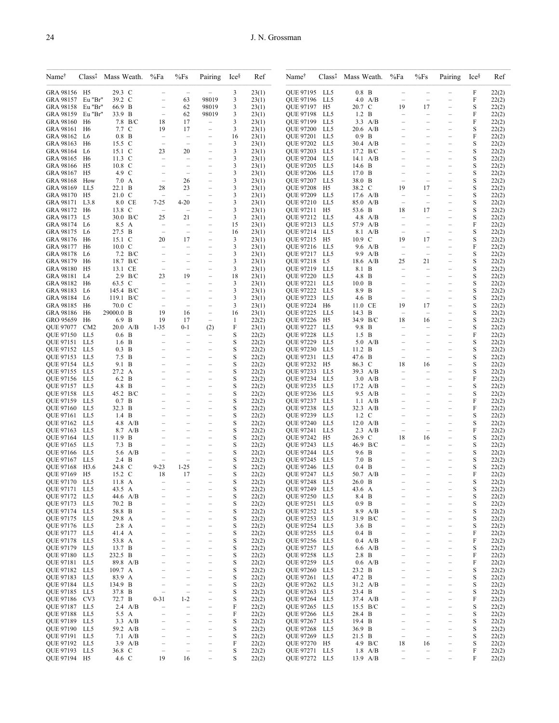| Name <sup>T</sup>                 |            | Class <sup>‡</sup> Mass Weath. | %Fa                                                  | %Fs                                                  | Pairing                                              | Ice <sup>§</sup> | Ref            | Name <sup>†</sup>                 | $Class$ <sup><math>\ddagger</math></sup> | Mass Weath.                    | %Fa                                                  | $\%Fs$                                               | Pairing                                              | Ice <sup>§</sup> | Ref            |
|-----------------------------------|------------|--------------------------------|------------------------------------------------------|------------------------------------------------------|------------------------------------------------------|------------------|----------------|-----------------------------------|------------------------------------------|--------------------------------|------------------------------------------------------|------------------------------------------------------|------------------------------------------------------|------------------|----------------|
| GRA 98156 H5                      |            | 29.3 C                         |                                                      |                                                      |                                                      | 3                | 23(1)          | QUE 97195 LL5                     |                                          | $0.8$ B                        |                                                      |                                                      |                                                      | F                | 22(2)          |
| GRA 98157 Eu "Br"                 |            | 39.2 C                         |                                                      | 63                                                   | 98019                                                | 3                | 23(1)          | QUE 97196                         | LL5                                      | $4.0$ A/B                      | $\overline{\phantom{0}}$                             | $\overline{\phantom{0}}$                             |                                                      | F                | 22(2)          |
| GRA 98158 Eu "Br"                 |            | 66.9 B                         | $\frac{1}{2}$                                        | 62                                                   | 98019                                                | 3                | 23(1)          | QUE 97197                         | H5                                       | 20.7 C                         | 19                                                   | 17                                                   | $\overline{\phantom{0}}$                             | S                | 22(2)          |
| GRA 98159 Eu "Br"<br>GRA 98160 H6 |            | 33.9 B<br>7.8 B/C              | $\overline{\phantom{m}}$<br>18                       | 62<br>17                                             | 98019<br>$\qquad \qquad -$                           | 3<br>3           | 23(1)<br>23(1) | QUE 97198 LL5<br>QUE 97199        | LL5                                      | $1.2\quad B$<br>$3.3$ A/B      | $\qquad \qquad -$                                    | $\qquad \qquad -$                                    | $\qquad \qquad -$                                    | F<br>F           | 22(2)<br>22(2) |
| GRA 98161 H6                      |            | 7.7 C                          | 19                                                   | 17                                                   | $\overline{\phantom{m}}$                             | 3                | 23(1)          | <b>QUE 97200</b>                  | LL5                                      | $20.6$ A/B                     |                                                      |                                                      | $\equiv$                                             | S                | 22(2)          |
| GRA 98162 L6                      |            | $0.8$ B                        | $\qquad \qquad -$                                    | $\overline{\phantom{0}}$                             | $\qquad \qquad -$                                    | 16               | 23(1)          | QUE 97201 LL5                     |                                          | $0.9$ B                        | $\equiv$                                             |                                                      | $\qquad \qquad -$                                    | F                | 22(2)          |
| GRA 98163 H6                      |            | 15.5 C                         | $\equiv$                                             | ÷                                                    | $\overline{\phantom{0}}$                             | 3                | 23(1)          | QUE 97202                         | LL5                                      | 30.4 A/B                       |                                                      |                                                      | $\overline{\phantom{0}}$                             | S                | 22(2)          |
| GRA 98164 L6<br>GRA 98165 H6      |            | 15.1 C<br>$11.3\text{ C}$      | 23<br>$\qquad \qquad -$                              | 20<br>$\overline{\phantom{0}}$                       | $\overline{\phantom{m}}$<br>$\qquad \qquad -$        | 3<br>3           | 23(1)<br>23(1) | QUE 97203<br>QUE 97204            | LL5<br>LL5                               | 17.2 B/C<br>$14.1 \text{ A/B}$ | $\overline{\phantom{0}}$                             | $\overline{\phantom{0}}$                             | $\equiv$<br>$\qquad \qquad -$                        | S<br>S           | 22(2)<br>22(2) |
| GRA 98166 H5                      |            | 10.8 C                         | $\overline{\phantom{0}}$                             | $\overline{\phantom{0}}$                             | $\overline{\phantom{0}}$                             | 3                | 23(1)          | QUE 97205                         | LL5                                      | 14.6 B                         |                                                      |                                                      | ÷                                                    | S                | 22(2)          |
| GRA 98167 H5                      |            | 4.9 C                          | $\overline{\phantom{a}}$                             | $\overline{\phantom{0}}$                             | $\overline{\phantom{0}}$                             | 3                | 23(1)          | QUE 97206                         | LL5                                      | 17.0 B                         |                                                      |                                                      | $\overline{\phantom{0}}$                             | S                | 22(2)          |
| <b>GRA 98168 How</b>              |            | 7.0 A                          | $\overline{\phantom{a}}$                             | 26                                                   | $\overline{ }$                                       | 3                | 23(1)          | QUE 97207 LL5                     |                                          | 38.0 B                         |                                                      | $\overline{\phantom{m}}$                             | $\qquad \qquad -$                                    | S                | 22(2)          |
| GRA 98169 LL5                     |            | 22.1 B                         | 28                                                   | 23                                                   | $\overline{\phantom{a}}$                             | 3                | 23(1)          | <b>QUE 97208</b>                  | H5                                       | 38.2 C                         | 19                                                   | 17                                                   | $\overline{\phantom{0}}$                             | S                | 22(2)          |
| GRA 98170 H5<br>GRA 98171 L3.8    |            | $21.0\text{ C}$<br>8.0 CE      | $\overline{\phantom{a}}$<br>$7 - 25$                 | Ĭ.<br>4-20                                           | $\overline{\phantom{0}}$<br>$\qquad \qquad -$        | 3<br>3           | 23(1)<br>23(1) | QUE 97209<br><b>OUE 97210 LL5</b> | LL5                                      | $17.6$ A/B<br>85.0 A/B         | $\overline{\phantom{0}}$<br>$\overline{\phantom{m}}$ | $\overline{\phantom{0}}$<br>$\overline{\phantom{m}}$ | $\overline{\phantom{0}}$<br>$\qquad \qquad -$        | S<br>S           | 22(2)<br>22(2) |
| GRA 98172 H6                      |            | 13.8 C                         | $\overline{\phantom{a}}$                             |                                                      |                                                      | 3                | 23(1)          | QUE 97211                         | H5                                       | 53.6 B                         | 18                                                   | 17                                                   | $\equiv$                                             | S                | 22(2)          |
| GRA 98173 L5                      |            | 30.0 B/C                       | 25                                                   | 21                                                   | $\overline{\phantom{0}}$                             | 3                | 23(1)          | QUE 97212                         | LL5                                      | 4.8 A/B                        | $\overline{\phantom{0}}$                             | $\overline{\phantom{0}}$                             | $\overline{\phantom{0}}$                             | S                | 22(2)          |
| GRA 98174 L6                      |            | 8.5 A                          | $\qquad \qquad -$                                    | $\qquad \qquad -$                                    | $\qquad \qquad -$                                    | 15               | 23(1)          | QUE 97213 LL5                     |                                          | 57.9 A/B                       | $\qquad \qquad -$                                    | $\qquad \qquad -$                                    | $\qquad \qquad -$                                    | F                | 22(2)          |
| GRA 98175 L6                      |            | 27.5 B<br>$15.1\text{ C}$      | $\frac{1}{2}$                                        | $\overline{\phantom{0}}$<br>17                       | $\overline{\phantom{a}}$<br>$\overline{\phantom{0}}$ | 16               | 23(1)          | QUE 97214                         | LL5<br>H <sub>5</sub>                    | 8.1 A/B<br>10.9 C              | $\overline{\phantom{0}}$<br>19                       | $\overline{\phantom{m}}$                             | $\overline{\phantom{0}}$<br>$\overline{\phantom{0}}$ | S                | 22(2)          |
| GRA 98176 H6<br>GRA 98177 H6      |            | $10.0\mathrm{C}$               | 20<br>$\frac{1}{2}$                                  | $\overline{\phantom{0}}$                             | $\overline{\phantom{m}}$                             | 3<br>3           | 23(1)<br>23(1) | QUE 97215<br>QUE 97216 LL5        |                                          | 9.6 A/B                        | $\overline{\phantom{0}}$                             | 17<br>$\overline{\phantom{0}}$                       | $\overline{\phantom{0}}$                             | S<br>F           | 22(2)<br>22(2) |
| GRA 98178 L6                      |            | 7.2 B/C                        | $\equiv$                                             | $\overline{\phantom{0}}$                             | $\overline{\phantom{0}}$                             | 3                | 23(1)          | <b>OUE 97217</b>                  | LL5                                      | 9.9 A/B                        | $\qquad \qquad -$                                    | $\overline{\phantom{m}}$                             | $\equiv$                                             | S                | 22(2)          |
| GRA 98179 H6                      |            | 18.7 B/C                       |                                                      | $\overline{\phantom{0}}$                             | $\overline{\phantom{m}}$                             | 3                | 23(1)          | QUE 97218                         | L5                                       | 18.6 A/B                       | 25                                                   | 21                                                   | $\qquad \qquad -$                                    | S                | 22(2)          |
| GRA 98180 H5                      |            | 13.1 CE                        | $\equiv$                                             | $\overline{\phantom{a}}$                             | $\overline{\phantom{m}}$                             | 3                | 23(1)          | QUE 97219 LL5                     |                                          | 8.1 B                          | $\overline{\phantom{0}}$                             | $\overline{\phantom{0}}$                             | $\overline{\phantom{0}}$                             | S                | 22(2)          |
| GRA 98181 L4<br>GRA 98182 H6      |            | $2.9$ B/C<br>63.5 C            | 23<br>$\qquad \qquad -$                              | 19<br>$\equiv$                                       | $\overline{\phantom{0}}$<br>$\qquad \qquad -$        | 18<br>3          | 23(1)<br>23(1) | <b>QUE 97220</b><br>QUE 97221     | LL5<br>LL5                               | 4.8 B<br>10.0 B                |                                                      | $\equiv$                                             | ÷<br>$\overline{\phantom{0}}$                        | S<br>S           | 22(2)<br>22(2) |
| GRA 98183 L6                      |            | 145.4 B/C                      | $\overline{\phantom{0}}$                             | $\overline{\phantom{0}}$                             | $\overline{\phantom{m}}$                             | 3                | 23(1)          | QUE 97222                         | LL5                                      | 8.9 B                          |                                                      | $\overline{\phantom{0}}$                             | $\overline{\phantom{0}}$                             | S                | 22(2)          |
| GRA 98184 L6                      |            | 119.1 B/C                      | $\overline{\phantom{a}}$                             | ÷                                                    | L.                                                   | 3                | 23(1)          | QUE 97223                         | LL5                                      | 4.6 B                          |                                                      | $\overline{\phantom{0}}$                             | L                                                    | S                | 22(2)          |
| GRA 98185 H6                      |            | 70.0 C                         | $\frac{1}{2}$                                        | ÷                                                    | $\overline{\phantom{m}}$                             | 3                | 23(1)          | <b>OUE 97224</b>                  | H <sub>6</sub>                           | 11.0 CE                        | 19                                                   | 17                                                   | $\overline{\phantom{0}}$                             | S                | 22(2)          |
| GRA 98186 H6<br>GRO 95659 H6      |            | 29000.0 B<br>6.9 B             | 19<br>19                                             | 16<br>17                                             | $\qquad \qquad -$<br>$\overline{\phantom{0}}$        | 16<br>1          | 23(1)<br>22(2) | QUE 97225<br>QUE 97226            | LL5<br>H5                                | 14.3 B<br>34.9 B/C             | $\overline{\phantom{m}}$<br>18                       | $\overline{\phantom{m}}$<br>16                       | $\overline{ }$                                       | S<br>S           | 22(2)<br>22(2) |
| QUE 97077 CM2                     |            | $20.0\quad A/B$                | $1 - 35$                                             | $0 - 1$                                              | (2)                                                  | F                | 23(1)          | <b>OUE 97227</b>                  | LL5                                      | 9.8 B                          | $\equiv$                                             | $\equiv$                                             | $\overline{\phantom{0}}$                             | S                | 22(2)          |
| QUE 97150 LL5                     |            | $0.6\text{ B}$                 | $\qquad \qquad -$                                    | $\overline{a}$                                       | $\overline{ }$                                       | S                | 22(2)          | <b>QUE 97228</b>                  | LL5                                      | $1.5\quad B$                   |                                                      |                                                      | $\overline{\phantom{0}}$                             | F                | 22(2)          |
| QUE 97151 LL5                     |            | $1.6\quad B$                   |                                                      | $\overline{\phantom{0}}$                             | $\overline{\phantom{m}}$                             | S                | 22(2)          | QUE 97229                         | LL5                                      | $5.0\ \text{A/B}$              |                                                      |                                                      |                                                      | S                | 22(2)          |
| QUE 97152 LL5                     |            | $0.3$ B                        | $\overline{\phantom{0}}$                             | $\overline{\phantom{0}}$                             | $\overline{\phantom{0}}$                             | S                | 22(2)          | QUE 97230                         | LL5                                      | 11.2 B                         | $\overline{\phantom{0}}$                             | $\overline{\phantom{0}}$                             | $\overline{\phantom{0}}$                             | S                | 22(2)          |
| QUE 97153<br>QUE 97154            | LL5<br>LL5 | $7.5\quad B$<br>9.1 B          | L.                                                   | L,<br>$\overline{\phantom{0}}$                       | $\overline{\phantom{0}}$<br>$\overline{\phantom{0}}$ | S<br>S           | 22(2)<br>22(2) | QUE 97231<br>QUE 97232            | LL5<br>H5                                | 47.6 B<br>86.3 C               | $\overline{\phantom{a}}$<br>18                       | $\equiv$<br>16                                       | $\overline{\phantom{0}}$                             | S<br>S           | 22(2)<br>22(2) |
| QUE 97155 LL5                     |            | 27.2 A                         | $\overline{\phantom{0}}$                             | $\overline{\phantom{0}}$                             | $\overline{\phantom{0}}$                             | S                | 22(2)          | QUE 97233                         | LL5                                      | 39.3 A/B                       | $\overline{\phantom{m}}$                             | $\overline{\phantom{m}}$                             | $\qquad \qquad -$                                    | S                | 22(2)          |
| QUE 97156                         | LL5        | 6.2 B                          | L.                                                   | L.                                                   | $\overline{\phantom{0}}$                             | S                | 22(2)          | QUE 97234                         | LL5                                      | $3.0$ A/B                      | $\equiv$                                             | ÷                                                    | $\equiv$                                             | F                | 22(2)          |
| QUE 97157 LL5                     |            | 4.8 B                          |                                                      | $\overline{\phantom{0}}$                             | $\overline{\phantom{0}}$                             | S                | 22(2)          | QUE 97235                         | LL5                                      | $17.2 \text{ A/B}$             |                                                      |                                                      | $\overline{\phantom{0}}$                             | S                | 22(2)          |
| QUE 97158 LL5<br>QUE 97159        | LL5        | 45.2 B/C<br>0.7 B              | $\overline{\phantom{0}}$                             | $\overline{\phantom{0}}$                             | $\overline{\phantom{0}}$<br>$\overline{\phantom{0}}$ | S<br>S           | 22(2)<br>22(2) | QUE 97236 LL5<br>QUE 97237        | LL5                                      | $9.5$ A/B<br>$1.1 \text{ A/B}$ | $\overline{\phantom{0}}$                             | $\equiv$                                             | $\qquad \qquad -$<br>$\overline{\phantom{0}}$        | S<br>F           | 22(2)<br>22(2) |
| QUE 97160                         | LL5        | 32.3 B                         |                                                      | $\overline{\phantom{0}}$                             | $\overline{\phantom{0}}$                             | S                | 22(2)          | QUE 97238                         | LL5                                      | 32.3 A/B                       |                                                      |                                                      |                                                      | F                | 22(2)          |
| <b>OUE 97161 LL5</b>              |            | $1.4\quad B$                   | $\overline{\phantom{0}}$                             | $\overline{\phantom{0}}$                             | $\overline{\phantom{0}}$                             | S                | 22(2)          | QUE 97239                         | LL5                                      | $1.2\text{ C}$                 | $\equiv$                                             | $\equiv$                                             | $\qquad \qquad -$                                    | S                | 22(2)          |
| QUE 97162                         | LL5        | $4.8$ A/B                      |                                                      | $\overline{\phantom{0}}$                             | $\overline{\phantom{0}}$                             | S                | 22(2)          | QUE 97240                         | LL5                                      | $12.0$ A/B                     |                                                      |                                                      |                                                      | S                | 22(2)          |
| <b>OUE 97163</b><br>QUE 97164 LL5 | LL5        | 8.7 A/B<br>11.9 B              | $\overline{\phantom{0}}$                             | $\overline{\phantom{0}}$                             | $\overline{\phantom{0}}$<br>$\overline{\phantom{0}}$ | S<br>S           | 22(2)<br>22(2) | QUE 97241<br>QUE 97242            | LL5<br>H5                                | $2.3$ A/B<br>26.9 C            | $\overline{\phantom{m}}$<br>18                       | $\overline{\phantom{m}}$<br>16                       | -<br>$\overline{\phantom{0}}$                        | F<br>S           | 22(2)<br>22(2) |
| <b>OUE 97165 LL5</b>              |            | 7.3 B                          | $\overline{\phantom{0}}$                             | $\overline{\phantom{0}}$                             | $\overline{\phantom{0}}$                             | S                | 22(2)          | QUE 97243                         | LL5                                      | 46.9 B/C                       | $\equiv$                                             | ÷                                                    | ÷                                                    | S                | 22(2)          |
| <b>OUE 97166</b>                  | LL5        | 5.6 $A/B$                      |                                                      | $\overline{\phantom{0}}$                             | $\overline{\phantom{0}}$                             | S                | 22(2)          | QUE 97244                         | LL5                                      | 9.6 B                          |                                                      |                                                      |                                                      | S                | 22(2)          |
| QUE 97167 LL5                     |            | $2.4\quad B$                   |                                                      | Ĭ.                                                   |                                                      | S                | 22(2)          | QUE 97245                         | LL5                                      | $7.0\quad B$                   |                                                      |                                                      | $\overline{a}$                                       | S                | 22(2)          |
| QUE 97168 H3.6<br>QUE 97169 H5    |            | 24.8 C<br>15.2 C               | $9 - 23$<br>18                                       | $1 - 25$<br>17                                       | $\overline{\phantom{0}}$                             | S<br>S           | 22(2)<br>22(2) | QUE 97246<br>QUE 97247            | LL5<br>LL5                               | $0.4\text{ B}$<br>50.7 A/B     |                                                      | -                                                    | $\overline{\phantom{0}}$                             | S<br>F           | 22(2)<br>22(2) |
| QUE 97170 LL5                     |            | 11.8 A                         |                                                      |                                                      | -                                                    | S                | 22(2)          | <b>QUE 97248</b>                  | LL5                                      | 26.0 B                         |                                                      |                                                      | -                                                    | $\mathbf S$      | 22(2)          |
| QUE 97171 LL5                     |            | 43.5 A                         |                                                      |                                                      |                                                      | S                | 22(2)          | QUE 97249                         | LL5                                      | 43.6 A                         |                                                      |                                                      | $\overline{\phantom{0}}$                             | S                | 22(2)          |
| QUE 97172 LL5                     |            | 44.6 A/B                       | $\overline{a}$                                       | $\overline{a}$                                       | $\overline{\phantom{0}}$                             | S                | 22(2)          | QUE 97250                         | LL5                                      | 8.4 B                          | $\equiv$                                             |                                                      | $\overline{\phantom{0}}$                             | S                | 22(2)          |
| QUE 97173 LL5                     |            | 70.2 B<br>58.8 B               | $\qquad \qquad -$                                    | -                                                    | $\qquad \qquad -$                                    | S                | 22(2)          | QUE 97251 LL5                     |                                          | $0.9$ B                        | $\qquad \qquad -$                                    | $\overline{\phantom{0}}$                             | $\qquad \qquad -$                                    | S                | 22(2)          |
| OUE 97174 LL5<br>QUE 97175 LL5    |            | 29.8 A                         | $\overline{\phantom{0}}$<br>$\overline{\phantom{0}}$ | $\overline{\phantom{0}}$<br>$\overline{\phantom{0}}$ | $\overline{\phantom{0}}$<br>$\overline{\phantom{0}}$ | S<br>S           | 22(2)<br>22(2) | QUE 97252<br>QUE 97253            | LL5<br>LL5                               | 8.9 A/B<br>31.9 B/C            | $\overline{\phantom{0}}$<br>$\overline{\phantom{0}}$ | $\equiv$<br>$\overline{\phantom{0}}$                 | $\overline{\phantom{0}}$<br>$\qquad \qquad -$        | S<br>S           | 22(2)<br>22(2) |
| QUE 97176 LL5                     |            | 2.8 A                          | $\qquad \qquad -$                                    | $\overline{\phantom{0}}$                             | $\qquad \qquad -$                                    | S                | 22(2)          | QUE 97254                         | LL5                                      | $3.6\quad B$                   | $\overline{\phantom{0}}$                             | $\overline{\phantom{0}}$                             | $\qquad \qquad -$                                    | S                | 22(2)          |
| QUE 97177 LL5                     |            | 41.4 A                         | $\overline{\phantom{0}}$                             | $\overline{\phantom{0}}$                             | $\overline{\phantom{0}}$                             | S                | 22(2)          | QUE 97255                         | LL5                                      | $0.4$ B                        | $\overline{\phantom{0}}$                             | $\equiv$                                             | $\overline{\phantom{0}}$                             | F                | 22(2)          |
| QUE 97178                         | LL5        | 53.8 A                         | $\qquad \qquad -$                                    | $\overline{\phantom{0}}$                             | $\qquad \qquad -$                                    | S                | 22(2)          | QUE 97256                         | LL5                                      | $0.4$ A/B                      | $\overline{\phantom{0}}$                             | $\overline{\phantom{0}}$                             | $\qquad \qquad -$                                    | F                | 22(2)          |
| QUE 97179 LL5<br>OUE 97180 LL5    |            | 13.7 B<br>232.5 B              | $\overline{\phantom{0}}$<br>$\overline{\phantom{0}}$ | $\overline{\phantom{0}}$<br>$\overline{\phantom{0}}$ | $\qquad \qquad -$<br>$\overline{\phantom{0}}$        | S<br>$\mathbf S$ | 22(2)<br>22(2) | QUE 97257<br>QUE 97258            | LL5<br>LL5                               | 6.6 A/B<br>2.8 B               | $\overline{\phantom{0}}$<br>$\overline{\phantom{0}}$ | $\overline{\phantom{0}}$<br>$\overline{\phantom{0}}$ | $\equiv$<br>$\qquad \qquad -$                        | S<br>F           | 22(2)<br>22(2) |
| QUE 97181 LL5                     |            | 89.8 A/B                       | $\qquad \qquad -$                                    | -                                                    | $\qquad \qquad -$                                    | S                | 22(2)          | QUE 97259                         | LL5                                      | $0.6$ A/B                      | $\overline{\phantom{0}}$                             | $\overline{\phantom{0}}$                             | $\qquad \qquad -$                                    | F                | 22(2)          |
| QUE 97182 LL5                     |            | 109.7 A                        | $\overline{\phantom{m}}$                             | $\overline{\phantom{0}}$                             | $\overline{\phantom{0}}$                             | S                | 22(2)          | <b>QUE 97260</b>                  | LL5                                      | 23.2 B                         |                                                      |                                                      | $\overline{\phantom{0}}$                             | S                | 22(2)          |
| QUE 97183 LL5                     |            | 83.9 A                         | $\overline{\phantom{0}}$                             | $\overline{\phantom{0}}$                             | $\overline{\phantom{0}}$                             | S                | 22(2)          | QUE 97261                         | LL5                                      | 47.2 B                         | $\overline{\phantom{0}}$                             | $\overline{\phantom{0}}$                             | $\overline{\phantom{0}}$                             | S                | 22(2)          |
| QUE 97184 LL5                     |            | 134.9 B                        | $\qquad \qquad -$                                    | $\overline{\phantom{0}}$                             | $\qquad \qquad -$                                    | S                | 22(2)          | QUE 97262                         | LL5                                      | 31.2 A/B                       | $\overline{\phantom{0}}$                             | $\overline{\phantom{0}}$                             | $\qquad \qquad -$                                    | S                | 22(2)          |
| QUE 97185 LL5<br>QUE 97186        | CV3        | 37.8 B<br>72.7 B               | $\overline{\phantom{0}}$<br>$0 - 31$                 | $\overline{\phantom{0}}$<br>$1 - 2$                  | $\overline{\phantom{0}}$<br>$\overline{\phantom{0}}$ | S<br>S           | 22(2)<br>22(2) | QUE 97263<br>QUE 97264            | LL5<br>LL5                               | 23.4 B<br>37.4 A/B             | $\overline{\phantom{0}}$                             | $\overline{\phantom{0}}$<br>$\overline{\phantom{0}}$ | $\qquad \qquad -$<br>$\overline{\phantom{0}}$        | S<br>F           | 22(2)<br>22(2) |
| QUE 97187 LL5                     |            | 2.4 $A/B$                      | $\overline{\phantom{0}}$                             | $\overline{\phantom{0}}$                             | $\overline{\phantom{0}}$                             | F                | 22(2)          | QUE 97265                         | LL5                                      | 15.5 B/C                       | $\overline{\phantom{0}}$                             | $\overline{\phantom{0}}$                             | $\overline{\phantom{0}}$                             | S                | 22(2)          |
| QUE 97188 LL5                     |            | 5.5 A                          | $\qquad \qquad -$                                    | -                                                    | $\qquad \qquad -$                                    | F                | 22(2)          | <b>QUE 97266</b>                  | LL5                                      | 28.4 B                         | $\qquad \qquad -$                                    | $\overline{\phantom{0}}$                             | $\qquad \qquad -$                                    | S                | 22(2)          |
| QUE 97189                         | LL5        | $3.3$ A/B                      | $\qquad \qquad -$                                    | $\overline{\phantom{0}}$                             | $\overline{\phantom{0}}$                             | S                | 22(2)          | QUE 97267                         | LL5                                      | 19.4 B                         | $\overline{\phantom{0}}$                             | $\overline{\phantom{0}}$                             | $\qquad \qquad -$                                    | S                | 22(2)          |
| QUE 97190 LL5<br>QUE 97191 LL5    |            | 59.2 A/B<br>$7.1 \text{ A/B}$  | $\overline{\phantom{m}}$<br>$\overline{\phantom{0}}$ | $\overline{\phantom{0}}$<br>$\overline{\phantom{0}}$ | $\overline{\phantom{0}}$<br>$\overline{\phantom{0}}$ | S<br>S           | 22(2)<br>22(2) | QUE 97268<br>QUE 97269            | LL5<br>LL5                               | 36.9 B<br>21.5 B               | $\overline{\phantom{0}}$<br>$\qquad \qquad -$        | $\overline{\phantom{0}}$<br>$\overline{\phantom{a}}$ | $\equiv$<br>$\qquad \qquad -$                        | S<br>S           | 22(2)<br>22(2) |
| QUE 97192 LL5                     |            | 3.9 A/B                        | $\qquad \qquad -$                                    | $\overline{\phantom{0}}$                             | $\overline{\phantom{0}}$                             | F                | 22(2)          | <b>QUE 97270</b>                  | H5                                       | 4.9 B/C                        | 18                                                   | 16                                                   | $\qquad \qquad -$                                    | S                | 22(2)          |
| QUE 97193 LL5                     |            | 36.8 C                         | $\qquad \qquad -$                                    | $\overline{\phantom{0}}$                             | $\overline{\phantom{0}}$                             | S                | 22(2)          | QUE 97271                         | LL5                                      | $1.8$ A/B                      | $\qquad \qquad -$                                    | -                                                    | $\qquad \qquad -$                                    | F                | 22(2)          |
| QUE 97194 H5                      |            | 4.6 C                          | 19                                                   | 16                                                   | $\overline{a}$                                       | S                | 22(2)          | QUE 97272 LL5                     |                                          | 13.9 A/B                       | $\overline{\phantom{0}}$                             | $\equiv$                                             | $\equiv$                                             | F                | 22(2)          |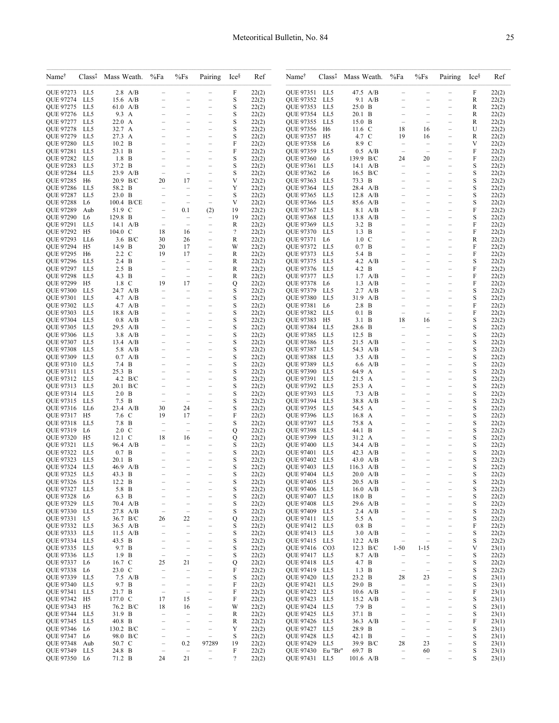| Name <sup>†</sup>                    | $Class$ <sup><math>\ddagger</math></sup> | Mass Weath.                             | %Fa                                                  | %Fs                                                  | Pairing                                              | Ice <sup>§</sup>         | Ref            | Name <sup>†</sup>             | $Class$ <sup><math>\ddagger</math></sup> | Mass Weath.                   | %Fa                                                  | $\%Fs$                                               | Pairing                                              | Ice <sup>§</sup> | Ref            |
|--------------------------------------|------------------------------------------|-----------------------------------------|------------------------------------------------------|------------------------------------------------------|------------------------------------------------------|--------------------------|----------------|-------------------------------|------------------------------------------|-------------------------------|------------------------------------------------------|------------------------------------------------------|------------------------------------------------------|------------------|----------------|
| QUE 97273 LL5                        |                                          | $2.8$ A/B                               | $\overline{\phantom{0}}$                             | $\equiv$                                             |                                                      | F                        | 22(2)          | QUE 97351 LL5                 |                                          | 47.5 A/B                      | $\qquad \qquad -$                                    | $\qquad \qquad -$                                    | $\overline{\phantom{0}}$                             | F                | 22(2)          |
| <b>OUE 97274</b>                     | LL5                                      | 15.6 A/B                                | $\equiv$                                             |                                                      |                                                      | S                        | 22(2)          | QUE 97352                     | LL5                                      | $9.1 \text{ A/B}$             |                                                      |                                                      |                                                      | R                | 22(2)          |
| QUE 97275                            | LL5                                      | $61.0$ A/B                              | $\equiv$                                             | $\equiv$                                             | $\overline{\phantom{0}}$                             | S                        | 22(2)          | QUE 97353                     | LL5                                      | 25.0 B                        | —<br>—                                               |                                                      | $\overline{\phantom{0}}$                             | R                | 22(2)          |
| QUE 97276<br><b>OUE 97277</b>        | LL5<br>LL5                               | 9.3 A<br>$22.0\;\;A$                    | Ĭ.                                                   |                                                      | -                                                    | S<br>S                   | 22(2)<br>22(2) | QUE 97354<br>QUE 97355        | LL5<br>LL5                               | 20.1 B<br>$15.0\quad B$       | $\equiv$                                             |                                                      | Ĭ.                                                   | R<br>R           | 22(2)<br>22(2) |
| QUE 97278                            | LL5                                      | 32.7 A                                  | $\equiv$                                             | $\equiv$                                             | $\overline{\phantom{0}}$                             | S                        | 22(2)          | QUE 97356                     | H <sub>6</sub>                           | 11.6 C                        | 18                                                   | 16                                                   | $\equiv$                                             | U                | 22(2)          |
| QUE 97279                            | LL5                                      | 27.3 A                                  |                                                      |                                                      |                                                      | S                        | 22(2)          | QUE 97357                     | H5                                       | 4.7 C                         | 19                                                   | 16                                                   |                                                      | R                | 22(2)          |
| <b>OUE 97280</b>                     | LL5                                      | $10.2\quad B$                           | $\overline{\phantom{0}}$                             | $\overline{\phantom{0}}$                             | $\overline{\phantom{0}}$                             | F                        | 22(2)          | <b>QUE 97358</b>              | L6                                       | 8.9 C                         | $\equiv$                                             | $\equiv$                                             | $\overline{\phantom{0}}$                             | V                | 22(2)          |
| QUE 97281<br>QUE 97282               | LL5<br>LL5                               | $23.1\quad B$<br>1.8 B                  | $\overline{\phantom{0}}$                             |                                                      | -                                                    | F<br>S                   | 22(2)<br>22(2) | QUE 97359<br>QUE 97360        | LL5<br>L6                                | $0.5$ A/B<br>139.9 B/C        | 24                                                   | 20                                                   |                                                      | F<br>F           | 22(2)<br>22(2) |
| <b>OUE 97283</b>                     | LL5                                      | 37.2 B                                  | $\overline{\phantom{0}}$                             | $\overline{\phantom{0}}$                             | $\overline{\phantom{0}}$                             | S                        | 22(2)          | <b>OUE 97361</b>              | LL5                                      | $14.1 \text{ A/B}$            | $\equiv$                                             | $\equiv$                                             | $\overline{\phantom{0}}$                             | S                | 22(2)          |
| QUE 97284                            | LL5                                      | $23.9$ A/B                              | $\qquad \qquad -$                                    | $\qquad \qquad -$                                    |                                                      | S                        | 22(2)          | QUE 97362 L6                  |                                          | $16.5\text{ B/C}$             |                                                      |                                                      | -                                                    | S                | 22(2)          |
| QUE 97285                            | H6                                       | 20.9 B/C                                | 20                                                   | 17                                                   |                                                      | V                        | 22(2)          | QUE 97363                     | LL5                                      | 73.3 B                        |                                                      |                                                      |                                                      | S                | 22(2)          |
| QUE 97286<br>QUE 97287               | LL5<br>LL5                               | 58.2 B<br>$23.0\quad B$                 | ÷<br>$\overline{\phantom{0}}$                        | $\overline{\phantom{0}}$<br>$\qquad \qquad -$        | $\overline{\phantom{0}}$<br>$\qquad \qquad -$        | Y<br>S                   | 22(2)<br>22(2) | QUE 97364<br>QUE 97365        | LL5<br>LL5                               | 28.4 A/B<br>$12.8$ A/B        | -                                                    | $\equiv$                                             | $\overline{\phantom{0}}$<br>$\overline{\phantom{0}}$ | S<br>S           | 22(2)<br>22(2) |
| QUE 97288                            | L6                                       | 100.4 B/CE                              |                                                      | $\equiv$                                             |                                                      | V                        | 22(2)          | QUE 97366                     | LL5                                      | 85.6 A/B                      |                                                      |                                                      |                                                      | S                | 22(2)          |
| <b>OUE 97289</b>                     | Aub                                      | 51.9 C                                  | $\overline{\phantom{0}}$                             | 0.1                                                  | (2)                                                  | 19                       | 22(2)          | QUE 97367                     | LL5                                      | 8.1 A/B                       |                                                      |                                                      | ÷                                                    | F                | 22(2)          |
| QUE 97290                            | L6                                       | 129.8 B                                 | $\overline{\phantom{0}}$                             | $\overline{\phantom{0}}$                             | $\overline{\phantom{0}}$                             | 19                       | 22(2)          | QUE 97368                     | LL5                                      | $13.8$ A/B                    | $\overline{\phantom{0}}$                             | $\overline{\phantom{0}}$                             | $\overline{\phantom{0}}$                             | S                | 22(2)          |
| QUE 97291<br><b>OUE 97292</b>        | LL5<br>H5                                | $14.1 \text{ A/B}$<br>$104.0 \text{ C}$ | 18                                                   | 16                                                   | $\equiv$                                             | R<br>?                   | 22(2)<br>22(2) | QUE 97369<br>QUE 97370        | LL5<br>LL5                               | 3.2 B<br>$1.3\quad B$         |                                                      |                                                      | ÷                                                    | F<br>F           | 22(2)<br>22(2) |
| <b>OUE 97293</b>                     | LL6                                      | $3.6\text{ }B/C$                        | 30                                                   | 26                                                   | $\overline{\phantom{a}}$                             | R                        | 22(2)          | QUE 97371                     | L6                                       | $1.0\mathrm{C}$               | ▃                                                    | ▃                                                    | $\overline{\phantom{0}}$                             | R                | 22(2)          |
| <b>OUE 97294</b>                     | H5                                       | 14.9 B                                  | 20                                                   | 17                                                   | $\overline{\phantom{0}}$                             | W                        | 22(2)          | QUE 97372                     | LL5                                      | 0.7 B                         |                                                      |                                                      | $\overline{\phantom{0}}$                             | F                | 22(2)          |
| <b>OUE 97295</b><br><b>OUE 97296</b> | H6<br>LL5                                | 2.2 C<br>2.4 B                          | 19<br>$\equiv$                                       | 17<br>$\overline{\phantom{a}}$                       | $\overline{\phantom{0}}$<br>$\overline{\phantom{a}}$ | R<br>R                   | 22(2)          | QUE 97373<br>QUE 97375        | LL5<br>LL5                               | 5.4 B<br>$4.2 \text{ A/B}$    |                                                      |                                                      | $\overline{\phantom{0}}$<br>$\overline{\phantom{0}}$ | F<br>S           | 22(2)<br>22(2) |
| QUE 97297                            | LL5                                      | $2.5\text{ }B$                          | $\equiv$                                             | $\overline{\phantom{0}}$                             | $\overline{\phantom{0}}$                             | R                        | 22(2)<br>22(2) | QUE 97376                     | LL5                                      | 4.2 B                         |                                                      |                                                      | $\overline{\phantom{0}}$                             | F                | 22(2)          |
| <b>OUE 97298</b>                     | LL5                                      | 4.3 B                                   |                                                      |                                                      | $\overline{\phantom{0}}$                             | R                        | 22(2)          | QUE 97377                     | LL5                                      | $1.7 \text{ A/B}$             |                                                      |                                                      | $\equiv$                                             | F                | 22(2)          |
| QUE 97299                            | H5                                       | 1.8 C                                   | 19                                                   | 17                                                   | $\overline{a}$                                       | Q                        | 22(2)          | QUE 97378                     | L6                                       | $1.3 \text{ A/B}$             |                                                      |                                                      | $\overline{\phantom{0}}$                             | F                | 22(2)          |
| <b>OUE 97300</b><br>QUE 97301        | LL5<br>LL5                               | 24.7 A/B<br>$4.7 \text{ A/B}$           | Ĭ.<br>$\equiv$                                       |                                                      | $\overline{\phantom{0}}$                             | S<br>S                   | 22(2)<br>22(2) | QUE 97379<br>QUE 97380        | LL5<br>LL5                               | $2.7 \text{ A/B}$<br>31.9 A/B |                                                      |                                                      | $\overline{\phantom{0}}$<br>$\equiv$                 | S<br>S           | 22(2)<br>22(2) |
| <b>OUE 97302</b>                     | LL5                                      | $4.7 \text{ A/B}$                       | $\equiv$                                             | $\overline{\phantom{0}}$                             | $\overline{\phantom{0}}$                             | S                        | 22(2)          | QUE 97381                     | L6                                       | $2.8$ B                       |                                                      |                                                      | $\overline{\phantom{0}}$                             | F                | 22(2)          |
| <b>OUE 97303</b>                     | LL5                                      | 18.8 A/B                                | Ĭ.                                                   |                                                      | $\overline{\phantom{0}}$                             | S                        | 22(2)          | QUE 97382                     | LL5                                      | $0.1\quad B$                  | $\overline{\phantom{0}}$                             |                                                      |                                                      | F                | 22(2)          |
| QUE 97304                            | LL5                                      | $0.8$ A/B                               | $\overline{\phantom{0}}$                             | $\equiv$                                             | $\overline{\phantom{0}}$                             | S                        | 22(2)          | QUE 97383                     | H5                                       | 3.1 B                         | 18                                                   | 16                                                   | $\equiv$                                             | S                | 22(2)          |
| QUE 97305<br><b>OUE 97306</b>        | LL5<br>LL5                               | 29.5 A/B<br>$3.8$ A/B                   | $\equiv$                                             | $\overline{\phantom{0}}$                             | $\overline{\phantom{0}}$                             | S<br>S                   | 22(2)<br>22(2) | <b>OUE 97384</b><br>QUE 97385 | LL5<br>LL5                               | 28.6 B<br>$12.5\quad B$       | $\equiv$                                             | $\equiv$                                             | $\overline{\phantom{0}}$                             | S<br>S           | 22(2)<br>22(2) |
| <b>QUE 97307</b>                     | LL5                                      | $13.4$ A/B                              | $\equiv$                                             | $\equiv$                                             | $\overline{a}$                                       | S                        | 22(2)          | QUE 97386                     | LL5                                      | $21.5$ A/B                    | $\overline{\phantom{0}}$                             | $\overline{\phantom{0}}$                             | $\overline{\phantom{0}}$                             | S                | 22(2)          |
| <b>OUE 97308</b>                     | LL5                                      | 5.8 $A/B$                               | $\overline{\phantom{0}}$                             |                                                      |                                                      | S                        | 22(2)          | QUE 97387                     | LL5                                      | 54.3 A/B                      |                                                      |                                                      | -                                                    | S                | 22(2)          |
| QUE 97309<br>QUE 97310               | LL5<br>LL5                               | $0.7$ A/B<br>7.4 B                      | $\equiv$                                             | $\equiv$                                             | $\overline{\phantom{0}}$                             | S<br>S                   | 22(2)<br>22(2) | QUE 97388<br>QUE 97389        | LL5<br>LL5                               | $3.5$ A/B<br>$6.6$ A/B        | -                                                    | $\overline{\phantom{0}}$                             | $\overline{\phantom{0}}$                             | S<br>S           | 22(2)<br>22(2) |
| OUE 97311                            | LL5                                      | 25.3 B                                  |                                                      |                                                      |                                                      | S                        | 22(2)          | QUE 97390                     | LL5                                      | 64.9 A                        |                                                      |                                                      | $\overline{\phantom{0}}$                             | S                | 22(2)          |
| QUE 97312                            | LL5                                      | $4.2\quad B/C$                          |                                                      |                                                      |                                                      | S                        | 22(2)          | QUE 97391                     | LL5                                      | 21.5 A                        |                                                      |                                                      |                                                      | S                | 22(2)          |
| <b>OUE 97313</b>                     | LL5                                      | $20.1\text{ B/C}$                       | $\equiv$                                             | $\overline{\phantom{0}}$                             | $\equiv$                                             | S                        | 22(2)          | QUE 97392                     | LL5                                      | 25.3 A                        | $\overline{\phantom{0}}$                             | $\equiv$                                             | $\equiv$                                             | S                | 22(2)          |
| <b>OUE 97314</b><br>QUE 97315        | LL5<br>LL5                               | $2.0\quad B$<br>7.5 B                   | $\overline{a}$                                       |                                                      |                                                      | S<br>S                   | 22(2)<br>22(2) | QUE 97393<br>QUE 97394        | LL5<br>LL5                               | $7.3 \text{ A/B}$<br>38.8 A/B |                                                      |                                                      | $\overline{\phantom{0}}$                             | S<br>S           | 22(2)<br>22(2) |
| QUE 97316 LL6                        |                                          | 23.4 A/B                                | 30                                                   | 24                                                   | $\equiv$                                             | S                        | 22(2)          | QUE 97395                     | LL5                                      | 54.5 A                        | $\overline{\phantom{0}}$                             | $\equiv$                                             | $\equiv$                                             | S                | 22(2)          |
| OUE 97317                            | H5                                       | 7.6 C                                   | 19                                                   | 17                                                   | $\overline{\phantom{0}}$                             | F                        | 22(2)          | QUE 97396                     | LL5                                      | 16.8 A                        |                                                      |                                                      |                                                      | S                | 22(2)          |
| QUE 97318<br>OUE 97319               | LL5<br>L6                                | 7.8 B<br>$2.0\mathrm{C}$                | $\overline{\phantom{0}}$                             |                                                      |                                                      | S<br>Q                   | 22(2)<br>22(2) | QUE 97397<br>QUE 97398        | LL5<br>LL5                               | 75.8 A<br>44.1 B              |                                                      |                                                      | $\overline{\phantom{0}}$                             | S<br>S           | 22(2)<br>22(2) |
| QUE 97320                            | H5                                       | $12.1\text{ C}$                         | 18                                                   | 16                                                   |                                                      | Q                        | 22(2)          | QUE 97399                     | LL5                                      | 31.2 A                        |                                                      |                                                      |                                                      | S                | 22(2)          |
| <b>OUE 97321</b>                     | LL5                                      | 96.4 A/B                                | $\equiv$                                             | $\equiv$                                             | -                                                    | S                        | 22(2)          | <b>QUE 97400</b>              | LL5                                      | 34.4 A/B                      |                                                      |                                                      | $\overline{\phantom{0}}$                             | S                | 22(2)          |
| <b>OUE 97322</b>                     | LL5                                      | 0.7 B                                   |                                                      |                                                      |                                                      | S                        | 22(2)          | QUE 97401                     | LL5                                      | $42.3$ A/B                    |                                                      |                                                      |                                                      | S<br>S           | 22(2)          |
| QUE 97323<br><b>OUE 97324</b>        | LL5<br>LL5                               | $20.1\quad B$<br>46.9 A/B               |                                                      |                                                      |                                                      | S<br>S                   | 22(2)<br>22(2) | QUE 97402<br><b>OUE 97403</b> | LL5<br>LL5                               | $43.0$ A/B<br>$116.3$ A/B     |                                                      |                                                      | $\equiv$                                             | S                | 22(2)<br>22(2) |
| QUE 97325 LL5                        |                                          | 43.3 B                                  |                                                      |                                                      |                                                      | S                        | 22(2)          | QUE 97404 LL5                 |                                          | $20.0\;\;$ A/B                |                                                      |                                                      |                                                      | S                | 22(2)          |
| QUE 97326 LL5                        |                                          | $12.2\quad B$                           |                                                      |                                                      |                                                      | S                        | 22(2)          | QUE 97405                     | LL5                                      | 20.5 A/B                      |                                                      |                                                      |                                                      | $\mathbf S$      | 22(2)          |
| QUE 97327<br>QUE 97328               | LL5<br>L6                                | 5.8 B<br>6.3 B                          | $\overline{\phantom{0}}$<br>-                        | $\overline{\phantom{0}}$<br>-                        | $\overline{\phantom{0}}$<br>-                        | S<br>S                   | 22(2)<br>22(2) | <b>QUE 97406</b><br>QUE 97407 | LL5<br>LL5                               | $16.0$ A/B<br>18.0 B          | -                                                    | -                                                    | -<br>-                                               | S<br>S           | 22(2)<br>22(2) |
| QUE 97329                            | LL5                                      | 70.4 A/B                                | $\equiv$                                             | $\overline{\phantom{0}}$                             | $\overline{\phantom{0}}$                             | S                        | 22(2)          | <b>QUE 97408</b>              | LL5                                      | 29.6 A/B                      |                                                      |                                                      | $\overline{\phantom{0}}$                             | $\mathbf S$      | 22(2)          |
| QUE 97330 LL5                        |                                          | 27.8 A/B                                | $\equiv$                                             | $\overline{\phantom{0}}$                             | $\overline{a}$                                       | S                        | 22(2)          | QUE 97409                     | LL5                                      | $2.4$ A/B                     | -                                                    |                                                      | $\overline{\phantom{0}}$                             | S                | 22(2)          |
| QUE 97331 L5                         |                                          | 36.7 B/C                                | 26                                                   | 22                                                   | $\overline{\phantom{0}}$                             | Q                        | 22(2)          | QUE 97411 LL5                 |                                          | 5.5 A                         | $\qquad \qquad -$                                    | $\qquad \qquad -$                                    | $\qquad \qquad -$                                    | S                | 22(2)          |
| QUE 97332<br><b>OUE 97333</b>        | LL5<br>LL5                               | 36.5 A/B<br>$11.5$ A/B                  | $\overline{\phantom{0}}$<br>$\overline{\phantom{0}}$ | $\overline{\phantom{0}}$<br>$\overline{\phantom{0}}$ | $\overline{\phantom{0}}$<br>$\overline{a}$           | S<br>S                   | 22(2)<br>22(2) | QUE 97412<br>QUE 97413        | LL5<br>LL5                               | $0.8$ B<br>$3.0\ \text{A/B}$  | $\overline{\phantom{0}}$<br>$\qquad \qquad -$        | $\qquad \qquad -$                                    | $\overline{\phantom{0}}$<br>$\overline{\phantom{0}}$ | F<br>S           | 22(2)<br>22(2) |
| QUE 97334 LL5                        |                                          | 43.5 B                                  | $\overline{\phantom{0}}$                             | $\qquad \qquad -$                                    | $\qquad \qquad -$                                    | S                        | 22(2)          | QUE 97415 LL5                 |                                          | $12.2\text{ A/B}$             | $\qquad \qquad -$                                    | $\overline{\phantom{0}}$                             | $\overline{\phantom{0}}$                             | S                | 22(2)          |
| QUE 97335                            | LL5                                      | 9.7 B                                   | $\overline{\phantom{0}}$                             | $\qquad \qquad -$                                    | $\overline{\phantom{0}}$                             | S                        | 22(2)          | QUE 97416                     | CO <sub>3</sub>                          | 12.3 B/C                      | $1-50$                                               | $1 - 15$                                             | $\overline{\phantom{0}}$                             | V                | 23(1)          |
| QUE 97336                            | LL5                                      | 1.9 B<br>16.7 C                         | $\overline{\phantom{0}}$<br>25                       | $\overline{\phantom{0}}$<br>21                       | $\qquad \qquad -$                                    | $\rm S$                  | 22(2)          | QUE 97417                     | LL5                                      | 8.7 A/B<br>4.7 B              | $\qquad \qquad -$                                    | $\overline{\phantom{m}}$                             | $\overline{\phantom{0}}$<br>$\overline{\phantom{0}}$ | S<br>S           | 22(2)          |
| QUE 97337 L6<br>QUE 97338            | L6                                       | 23.0 C                                  | $\overline{\phantom{0}}$                             | $\overline{\phantom{m}}$                             | ÷<br>-                                               | Q<br>F                   | 22(2)<br>22(2) | QUE 97418<br>QUE 97419        | LL5<br>LL5                               | $1.3\quad B$                  | $\qquad \qquad -$<br>$\qquad \qquad -$               | $\overline{\phantom{0}}$                             | $\overline{\phantom{0}}$                             | S                | 22(2)<br>22(2) |
| QUE 97339                            | LL5                                      | $7.5$ A/B                               | $\qquad \qquad -$                                    | $\overline{\phantom{0}}$                             | $\qquad \qquad -$                                    | S                        | 22(2)          | QUE 97420                     | LL5                                      | 23.2 B                        | 28                                                   | 23                                                   | $\overline{\phantom{0}}$                             | S                | 23(1)          |
| QUE 97340                            | LL5                                      | 9.7 B                                   | $\overline{\phantom{m}}$                             | $\qquad \qquad -$                                    | $\qquad \qquad -$                                    | F                        | 22(2)          | QUE 97421                     | LL5                                      | 29.0 B                        | $\overline{\phantom{0}}$                             | $\overline{\phantom{0}}$                             | $\overline{\phantom{0}}$                             | S                | 23(1)          |
| QUE 97341 LL5<br>QUE 97342           | H5                                       | 21.7 B<br>177.0 C                       | $\qquad \qquad -$<br>17                              | $\qquad \qquad -$<br>15                              | $\overline{a}$<br>$\qquad \qquad -$                  | F<br>F                   | 22(2)<br>22(2) | QUE 97422<br>QUE 97423        | LL5<br>LL5                               | $10.6$ A/B<br>15.2 A/B        | $\overline{\phantom{0}}$<br>$\overline{\phantom{0}}$ | $\overline{\phantom{0}}$<br>$\overline{\phantom{0}}$ | $\overline{\phantom{0}}$<br>$\overline{\phantom{0}}$ | F<br>S           | 23(1)          |
| QUE 97343                            | H5                                       | 76.2 B/C                                | 18                                                   | 16                                                   | $\overline{\phantom{0}}$                             | W                        | 22(2)          | <b>QUE 97424</b>              | LL5                                      | 7.9 B                         | $\overline{\phantom{0}}$                             | $\equiv$                                             | $\overline{\phantom{0}}$                             | S                | 23(1)<br>23(1) |
| QUE 97344                            | LL5                                      | 31.9 B                                  | $\overline{\phantom{0}}$                             | $\overline{\phantom{0}}$                             | -                                                    | R                        | 22(2)          | QUE 97425                     | LL5                                      | 37.1 B                        | $\overline{\phantom{0}}$                             | $\overline{\phantom{0}}$                             | $\overline{\phantom{0}}$                             | S                | 23(1)          |
| QUE 97345                            | LL5                                      | $40.8\text{ B}$                         | $\overline{\phantom{0}}$                             |                                                      | $\overline{\phantom{0}}$                             | R                        | 22(2)          | QUE 97426                     | LL5                                      | 36.3 A/B                      | -                                                    |                                                      | $\overline{\phantom{0}}$                             | F                | 23(1)          |
| QUE 97346<br>QUE 97347               | L6<br>L6                                 | 130.2 B/C<br>98.0 B/C                   | $\qquad \qquad -$<br>÷                               | $\overline{\phantom{a}}$<br>$\overline{\phantom{m}}$ | $\overline{\phantom{0}}$<br>$\overline{\phantom{0}}$ | Y<br>S                   | 22(2)<br>22(2) | QUE 97427<br>QUE 97428        | LL5<br>LL5                               | 28.9 B<br>42.1 B              | $\equiv$<br>$\overline{\phantom{m}}$                 | $\equiv$<br>$\overline{\phantom{m}}$                 | $\overline{\phantom{0}}$<br>$\overline{\phantom{0}}$ | S<br>$\mathbf S$ | 23(1)<br>23(1) |
| QUE 97348                            | Aub                                      | 50.7 C                                  | $\overline{\phantom{0}}$                             | 0.2                                                  | 97289                                                | 19                       | 22(2)          | QUE 97429                     | LL5                                      | 39.9 B/C                      | 28                                                   | 23                                                   | $\overline{\phantom{0}}$                             | S                | 23(1)          |
| QUE 97349                            | LL5                                      | 24.8 B                                  | $\overline{\phantom{a}}$                             |                                                      |                                                      | F                        | 22(2)          | QUE 97430                     | Eu "Br"                                  | 69.7 B                        | $\qquad \qquad -$                                    | 60                                                   | -                                                    | S                | 23(1)          |
| QUE 97350 L6                         |                                          | 71.2 B                                  | 24                                                   | 21                                                   | $\qquad \qquad -$                                    | $\overline{\mathcal{C}}$ | 22(2)          | QUE 97431 LL5                 |                                          | $101.6$ A/B                   |                                                      |                                                      | $\equiv$                                             | S                | 23(1)          |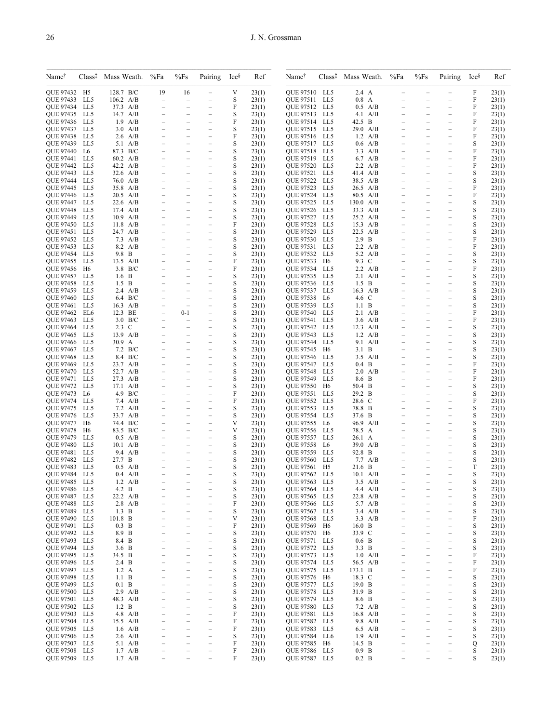| Name <sup>®</sup>                    | Class <sup>†</sup> | Mass Weath.                            | %Fa                                                  | %Fs                                                  | Pairing                                              | Ice <sup>§</sup> | Ref            | Name <sup>†</sup>             | Class <sup>†</sup>   | Mass Weath.                       | %Fa                                                  | $\%Fs$                                               | Pairing                                              | Ice <sup>§</sup> | Ref            |
|--------------------------------------|--------------------|----------------------------------------|------------------------------------------------------|------------------------------------------------------|------------------------------------------------------|------------------|----------------|-------------------------------|----------------------|-----------------------------------|------------------------------------------------------|------------------------------------------------------|------------------------------------------------------|------------------|----------------|
| OUE 97432 H5                         |                    | 128.7 B/C                              | 19                                                   | 16                                                   |                                                      | V                | 23(1)          | QUE 97510 LL5                 |                      | 2.4 A                             |                                                      |                                                      |                                                      | F                | 23(1)          |
| QUE 97433 LL5<br><b>OUE 97434</b>    | LL5                | $106.2$ A/B<br>37.3 A/B                | $\overline{\phantom{0}}$<br>$\overline{\phantom{m}}$ | L.<br>$\overline{\phantom{0}}$                       | $\overline{\phantom{0}}$                             | S<br>F           | 23(1)<br>23(1) | QUE 97511<br>QUE 97512 LL5    | LL5                  | $0.8$ A<br>$0.5$ A/B              | $\overline{\phantom{0}}$                             | $\overline{\phantom{0}}$                             | $\equiv$                                             | F<br>F           | 23(1)<br>23(1) |
| <b>OUE 97435 LL5</b>                 |                    | 14.7 $A/B$                             | $\overline{\phantom{0}}$                             | $\overline{\phantom{0}}$                             | $\overline{\phantom{0}}$                             | S                | 23(1)          | QUE 97513                     | LL5                  | $4.1 \text{ A/B}$                 |                                                      |                                                      | $\qquad \qquad -$                                    | F                | 23(1)          |
| QUE 97436                            | LL5                | $1.9$ A/B                              |                                                      |                                                      |                                                      | F                | 23(1)          | QUE 97514                     | LL5                  | 42.5 B                            |                                                      |                                                      |                                                      | F                | 23(1)          |
| QUE 97437                            | LL5                | $3.0$ A/B                              | $\overline{\phantom{0}}$                             | $\overline{\phantom{0}}$                             | $\overline{\phantom{0}}$                             | S                | 23(1)          | QUE 97515                     | LL5                  | 29.0 A/B                          |                                                      | $\overline{\phantom{0}}$                             | $\equiv$                                             | F                | 23(1)          |
| <b>OUE 97438</b><br><b>OUE 97439</b> | LL5<br>LL5         | $2.6$ A/B<br>$5.1 \text{ A/B}$         | $\overline{\phantom{a}}$<br>$\overline{\phantom{0}}$ | $\overline{\phantom{0}}$<br>$\overline{\phantom{0}}$ | $\qquad \qquad -$<br>$\overline{\phantom{0}}$        | F<br>S           | 23(1)<br>23(1) | QUE 97516 LL5<br>QUE 97517    | LL5                  | $1.2 \text{ A/B}$<br>$0.6$ A/B    | $\overline{\phantom{0}}$<br>$\overline{\phantom{0}}$ | $\overline{\phantom{0}}$<br>$\overline{\phantom{0}}$ | $\qquad \qquad -$<br>$\overline{\phantom{0}}$        | F<br>S           | 23(1)<br>23(1) |
| <b>OUE 97440</b>                     | L6                 | 87.3 B/C                               |                                                      |                                                      | $\overline{a}$                                       | S                | 23(1)          | QUE 97518                     | LL5                  | $3.3$ A/B                         |                                                      |                                                      | -                                                    | F                | 23(1)          |
| <b>OUE 97441</b>                     | LL5                | 60.2 A/B                               | $\overline{\phantom{a}}$                             | $\overline{\phantom{0}}$                             | $\qquad \qquad -$                                    | S                | 23(1)          | OUE 97519 LL5                 |                      | 6.7 A/B                           |                                                      |                                                      | $\overline{\phantom{0}}$                             | F                | 23(1)          |
| <b>OUE 97442</b>                     | LL5                | 42.2 A/B                               | $\overline{\phantom{0}}$                             | $\overline{\phantom{0}}$                             | $\overline{\phantom{0}}$                             | S                | 23(1)          | QUE 97520                     | LL5                  | $2.2 \text{ A/B}$                 | $\overline{\phantom{0}}$                             | $\overline{\phantom{0}}$                             | $\equiv$                                             | F                | 23(1)          |
| <b>OUE 97443</b><br><b>OUE 97444</b> | LL5<br>LL5         | $32.6$ A/B<br>76.0 A/B                 | $\equiv$                                             |                                                      | $\overline{\phantom{0}}$<br>$\overline{\phantom{0}}$ | S<br>S           | 23(1)<br>23(1) | QUE 97521<br><b>OUE 97522</b> | LL5<br>LL5           | 41.4 A/B<br>38.5 A/B              |                                                      |                                                      | $\overline{\phantom{0}}$<br>$\equiv$                 | S<br>S           | 23(1)<br>23(1) |
| QUE 97445                            | LL5                | 35.8 A/B                               | $\overline{\phantom{0}}$                             | $\overline{\phantom{0}}$                             | $\overline{\phantom{0}}$                             | S                | 23(1)          | QUE 97523                     | LL5                  | 26.5 A/B                          | $\overline{\phantom{0}}$                             | $\equiv$                                             | $\equiv$                                             | F                | 23(1)          |
| <b>OUE 97446</b>                     | LL5                | $20.5$ A/B                             | $\equiv$                                             | $\overline{\phantom{0}}$                             | $\overline{\phantom{0}}$                             | S                | 23(1)          | QUE 97524                     | LL5                  | 80.5 A/B                          |                                                      |                                                      | $\overline{a}$                                       | F                | 23(1)          |
| QUE 97447<br><b>OUE 97448</b>        | LL5<br>LL5         | $22.6$ A/B<br>$17.4\quad A/B$          | $\equiv$                                             |                                                      | $\overline{\phantom{0}}$                             | S<br>S           | 23(1)          | QUE 97525<br>QUE 97526        | LL5<br>LL5           | $130.0\ \text{A/B}$<br>$33.3$ A/B |                                                      | $\equiv$                                             | $\overline{\phantom{0}}$                             | S<br>S           | 23(1)          |
| <b>OUE 97449</b>                     | LL5                | $10.9$ A/B                             | $\overline{\phantom{0}}$                             | $\overline{\phantom{0}}$                             | $\overline{\phantom{0}}$                             | S                | 23(1)<br>23(1) | QUE 97527                     | LL5                  | $25.2 \text{ A/B}$                |                                                      |                                                      | $\overline{\phantom{0}}$                             | S                | 23(1)<br>23(1) |
| QUE 97450 LL5                        |                    | $11.8$ A/B                             | $\equiv$                                             | $\overline{\phantom{0}}$                             | $\overline{\phantom{0}}$                             | F                | 23(1)          | QUE 97528                     | LL5                  | $15.3$ A/B                        | -                                                    | $\equiv$                                             | $\overline{\phantom{0}}$                             | S                | 23(1)          |
| QUE 97451 LL5                        |                    | 24.7 A/B                               |                                                      |                                                      |                                                      | S                | 23(1)          | QUE 97529                     | LL5                  | 22.5 A/B                          |                                                      |                                                      |                                                      | S                | 23(1)          |
| <b>OUE 97452</b><br><b>OUE 97453</b> | LL5<br>LL5         | $7.3 \text{ A/B}$<br>$8.2 \text{ A/B}$ | $\overline{\phantom{a}}$                             | $\overline{\phantom{0}}$                             | $\overline{\phantom{0}}$<br>$\overline{\phantom{0}}$ | S<br>S           | 23(1)<br>23(1) | QUE 97530<br><b>OUE 97531</b> | LL5<br>LL5           | $2.9$ B<br>$2.2 \text{ A/B}$      | $\overline{\phantom{0}}$                             | $\overline{\phantom{0}}$                             | $\hspace{0.1in} -$<br>$\equiv$                       | F<br>F           | 23(1)<br>23(1) |
| QUE 97454                            | LL5                | 9.8 B                                  |                                                      |                                                      | $\overline{\phantom{0}}$                             | S                | 23(1)          | QUE 97532                     | LL5                  | 5.2 A/B                           |                                                      |                                                      |                                                      | S                | 23(1)          |
| <b>OUE 97455</b>                     | LL5                | $13.5$ A/B                             |                                                      | $\overline{\phantom{0}}$                             | $\overline{\phantom{0}}$                             | F                | 23(1)          | QUE 97533                     | H <sub>6</sub>       | 9.3 C                             |                                                      |                                                      | $\overline{\phantom{0}}$                             | S                | 23(1)          |
| QUE 97456                            | H6                 | 3.8 B/C                                | $\overline{\phantom{a}}$                             | $\overline{\phantom{0}}$                             | $\overline{\phantom{0}}$                             | F                | 23(1)          | QUE 97534                     | LL5                  | $2.2 \text{ A/B}$                 |                                                      |                                                      | $\equiv$                                             | F                | 23(1)          |
| <b>OUE 97457</b><br>QUE 97458        | LL5<br>LL5         | $1.6\quad B$<br>$1.5\quad B$           | $\equiv$                                             | $\overline{\phantom{0}}$                             | $\overline{\phantom{0}}$<br>$\overline{\phantom{0}}$ | S<br>S           | 23(1)<br>23(1) | QUE 97535<br>QUE 97536        | LL5<br>LL5           | $2.1 \text{ A/B}$<br>$1.5\quad B$ | -                                                    | $\overline{\phantom{0}}$                             | $\overline{\phantom{0}}$                             | S<br>S           | 23(1)<br>23(1) |
| <b>OUE 97459</b>                     | LL5                | $2.4 \text{ A/B}$                      |                                                      |                                                      | $\overline{a}$                                       | S                | 23(1)          | QUE 97537                     | LL5                  | $16.3$ A/B                        |                                                      |                                                      | $\overline{\phantom{0}}$                             | S                | 23(1)          |
| <b>OUE 97460</b>                     | LL5                | 6.4 B/C                                |                                                      |                                                      |                                                      | S                | 23(1)          | QUE 97538                     | L6                   | 4.6 C                             |                                                      |                                                      |                                                      | S                | 23(1)          |
| <b>OUE 97461</b>                     | LL5                | $16.3$ A/B                             | $\equiv$                                             | $\overline{\phantom{0}}$                             | $\overline{\phantom{0}}$                             | S                | 23(1)          | <b>OUE 97539</b>              | LL5                  | 1.1 B                             | $\overline{\phantom{0}}$                             | $\equiv$                                             | $\equiv$                                             | S                | 23(1)          |
| <b>OUE 97462</b><br><b>OUE 97463</b> | EL6<br>LL5         | 12.3 BE<br>$3.0\text{ B/C}$            | $\overline{\phantom{0}}$                             | $0 - 1$                                              | $\overline{a}$                                       | S<br>S           | 23(1)<br>23(1) | QUE 97540<br><b>OUE 97541</b> | LL5<br>LL5           | $2.1 \text{ A/B}$<br>$3.6$ A/B    |                                                      |                                                      | $\overline{\phantom{0}}$                             | F<br>F           | 23(1)<br>23(1) |
| QUE 97464                            | LL5                | 2.3 C                                  | $\overline{\phantom{0}}$                             | $\overline{\phantom{0}}$                             | $\equiv$                                             | S                | 23(1)          | <b>OUE 97542</b>              | LL5                  | $12.3$ A/B                        | $\overline{\phantom{0}}$                             | $\overline{\phantom{0}}$                             | $\equiv$                                             | S                | 23(1)          |
| <b>OUE 97465</b>                     | LL5                | 13.9 A/B                               |                                                      |                                                      | $\overline{\phantom{0}}$                             | S                | 23(1)          | QUE 97543                     | LL5                  | $1.2 \text{ A/B}$                 |                                                      |                                                      | $\overline{\phantom{0}}$                             | S                | 23(1)          |
| <b>OUE 97466</b>                     | LL5                | 30.9 A                                 |                                                      |                                                      | $\overline{\phantom{0}}$                             | S                | 23(1)          | QUE 97544                     | LL5                  | $9.1 \text{ A/B}$                 |                                                      |                                                      | -                                                    | S                | 23(1)          |
| <b>OUE 97467</b><br><b>OUE 97468</b> | LL5<br>LL5         | $7.2\text{ }B/C$<br>8.4 B/C            |                                                      |                                                      | $\overline{\phantom{0}}$                             | S<br>S           | 23(1)<br>23(1) | QUE 97545<br>QUE 97546        | H6<br>LL5            | $3.1\quad B$<br>$3.5$ A/B         |                                                      |                                                      |                                                      | S<br>S           | 23(1)<br>23(1) |
| <b>OUE 97469</b>                     | LL5                | 23.7 A/B                               | $\equiv$                                             |                                                      | $\overline{\phantom{0}}$                             | S                | 23(1)          | QUE 97547                     | LL5                  | $0.4\text{ B}$                    |                                                      |                                                      | $\overline{\phantom{0}}$                             | F                | 23(1)          |
| <b>OUE 97470 LL5</b>                 |                    | 52.7 A/B                               |                                                      | $\overline{\phantom{0}}$                             | $\overline{\phantom{0}}$                             | S                | 23(1)          | <b>QUE 97548</b>              | LL5                  | $2.0\ \text{A/B}$                 |                                                      |                                                      | $\overline{ }$                                       | F                | 23(1)          |
| QUE 97471                            | LL5                | 27.3 A/B                               |                                                      |                                                      |                                                      | S                | 23(1)          | QUE 97549                     | LL5                  | 8.6 B                             |                                                      |                                                      |                                                      | F                | 23(1)          |
| <b>OUE 97472</b><br>QUE 97473        | LL5<br>L6          | $17.1 \text{ A/B}$<br>4.9 B/C          | $\overline{\phantom{0}}$<br>$\overline{\phantom{0}}$ | $\overline{\phantom{0}}$<br>$\overline{\phantom{0}}$ | $\overline{\phantom{0}}$<br>$\overline{\phantom{0}}$ | S<br>F           | 23(1)<br>23(1) | QUE 97550<br>QUE 97551        | H6<br>LL5            | 50.4 B<br>29.2 B                  |                                                      | $\equiv$<br>$\equiv$                                 | $\equiv$<br>$\qquad \qquad -$                        | S<br>S           | 23(1)<br>23(1) |
| <b>OUE 97474</b>                     | LL5                | $7.4\quad A/B$                         |                                                      |                                                      |                                                      | F                | 23(1)          | QUE 97552                     | LL5                  | 28.6 C                            |                                                      |                                                      | $\overline{\phantom{0}}$                             | F                | 23(1)          |
| <b>OUE 97475</b>                     | LL5                | $7.2 \text{ A/B}$                      | $\equiv$                                             | $\overline{\phantom{0}}$                             | $\overline{\phantom{0}}$                             | S                | 23(1)          | QUE 97553                     | LL5                  | 78.8 B                            |                                                      | $\overline{\phantom{0}}$                             | $\equiv$                                             | S                | 23(1)          |
| <b>OUE 97476</b>                     | LL5                | 33.7 A/B<br>74.4 B/C                   | $\qquad \qquad -$<br>$\overline{\phantom{0}}$        | $\overline{\phantom{0}}$                             | $\qquad \qquad -$<br>$\overline{\phantom{a}}$        | S<br>V           | 23(1)          | QUE 97554                     | LL5                  | 37.6 B                            | $\overline{\phantom{0}}$                             | $\overline{\phantom{0}}$                             | $\qquad \qquad -$<br>$\overline{\phantom{0}}$        | S                | 23(1)          |
| QUE 97477<br><b>OUE 97478</b>        | H6<br>H6           | 83.5 B/C                               |                                                      | $\overline{\phantom{0}}$                             |                                                      | V                | 23(1)<br>23(1) | QUE 97555<br><b>OUE 97556</b> | L6<br>LL5            | 96.9 A/B<br>78.5 A                |                                                      |                                                      |                                                      | S<br>S           | 23(1)<br>23(1) |
| QUE 97479                            | LL5                | $0.5$ A/B                              | $\overline{\phantom{m}}$                             | $\overline{\phantom{0}}$                             | $\qquad \qquad -$                                    | S                | 23(1)          | QUE 97557 LL5                 |                      | $26.1\;\;A$                       |                                                      |                                                      | $\qquad \qquad -$                                    | S                | 23(1)          |
| <b>OUE 97480</b>                     | LL5                | $10.1 \text{ A/B}$                     | $\overline{\phantom{0}}$                             | $\overline{\phantom{0}}$                             | $\overline{\phantom{0}}$                             | S                | 23(1)          | QUE 97558                     | L6                   | 39.0 A/B                          |                                                      | $\overline{\phantom{0}}$                             | $\equiv$                                             | S                | 23(1)          |
| <b>OUE 97481</b><br>QUE 97482        | LL5<br>LL5         | 9.4 A/B<br>27.7 B                      |                                                      | $\overline{\phantom{0}}$                             | $\overline{\phantom{0}}$<br>$\overline{\phantom{0}}$ | S<br>S           | 23(1)<br>23(1) | QUE 97559<br><b>QUE 97560</b> | LL5<br>LL5           | 92.8 B<br>$7.7$ A/B               |                                                      |                                                      | $\overline{\phantom{0}}$<br>$\overline{ }$           | S<br>S           | 23(1)<br>23(1) |
| <b>OUE 97483</b>                     | LL5                | $0.5$ A/B                              |                                                      | $\overline{\phantom{0}}$                             | $\overline{\phantom{0}}$                             | S                | 23(1)          | QUE 97561                     | H5                   | 21.6 B                            |                                                      | $\equiv$                                             | $\equiv$                                             | T                | 23(1)          |
| <b>OUE 97484</b>                     | LL5                | $0.4$ A/B                              |                                                      |                                                      | $\overline{\phantom{0}}$                             | S                | 23(1)          | <b>OUE 97562</b>              | LL5                  | $10.1 \text{ A/B}$                |                                                      | $\equiv$                                             | $\overline{\phantom{0}}$                             | S                | 23(1)          |
| QUE 97485 LL5                        |                    | $1.2 \text{ A/B}$                      |                                                      |                                                      |                                                      | S                | 23(1)          | QUE 97563                     | LL5                  | $3.5$ A/B                         |                                                      |                                                      |                                                      | S                | 23(1)          |
| QUE 97486<br>QUE 97487               | LL5<br>LL5         | 4.2 B<br>22.2 A/B                      | $\overline{\phantom{0}}$                             | $\overline{a}$                                       | $\overline{\phantom{0}}$<br>$\overline{\phantom{0}}$ | S<br>S           | 23(1)<br>23(1) | QUE 97564<br>QUE 97565        | LL5<br>LL5           | 4.4 A/B<br>22.8 A/B               |                                                      | $\overline{\phantom{0}}$                             | $\overline{\phantom{0}}$<br>$\qquad \qquad -$        | S<br>S           | 23(1)<br>23(1) |
| <b>OUE 97488</b>                     | LL5                | $2.8$ A/B                              | $\qquad \qquad -$                                    | $\overline{\phantom{0}}$                             | $\overline{\phantom{0}}$                             | F                | 23(1)          | QUE 97566                     | LL5                  | 5.7 A/B                           | $\equiv$                                             | $\equiv$                                             | $\qquad \qquad -$                                    | S                | 23(1)          |
| <b>QUE 97489</b>                     | LL5                | $1.3\quad B$                           | $\overline{\phantom{0}}$                             | $\overline{\phantom{0}}$                             | $\overline{\phantom{0}}$                             | S                | 23(1)          | QUE 97567                     | LL5                  | $3.4$ A/B                         |                                                      |                                                      | $\overline{\phantom{0}}$                             | S                | 23(1)          |
| QUE 97490                            | LL5                | 101.8 B                                | $\overline{\phantom{0}}$                             | $\overline{\phantom{0}}$                             | $\qquad \qquad -$                                    | V                | 23(1)          | QUE 97568                     | LL5                  | $3.3$ A/B                         |                                                      | $\overline{\phantom{0}}$                             | $\qquad \qquad -$                                    | F                | 23(1)          |
| QUE 97491<br>QUE 97492               | LL5<br>LL5         | $0.3$ B<br>8.9 B                       | $\overline{\phantom{m}}$<br>$\overline{\phantom{0}}$ | $\overline{\phantom{0}}$<br>$\overline{a}$           | $\qquad \qquad -$<br>$\overline{\phantom{0}}$        | F<br>S           | 23(1)<br>23(1) | QUE 97569<br>QUE 97570        | H6<br>H <sub>6</sub> | 16.0 B<br>33.9 C                  | $\equiv$<br>$\overline{\phantom{0}}$                 | $\overline{\phantom{0}}$<br>$\equiv$                 | $\overline{\phantom{0}}$<br>$\overline{\phantom{0}}$ | S<br>S           | 23(1)<br>23(1) |
| QUE 97493                            | LL5                | 8.4 B                                  | -                                                    | -                                                    | $\overline{\phantom{0}}$                             | S                | 23(1)          | QUE 97571                     | LL5                  | $0.6\quad B$                      | $\overline{\phantom{0}}$                             | $\overline{\phantom{0}}$                             | $\qquad \qquad -$                                    | S                | 23(1)          |
| QUE 97494                            | LL5                | $3.6\quad B$                           | $\qquad \qquad -$                                    | $\overline{\phantom{0}}$                             | $\overline{\phantom{0}}$                             | S                | 23(1)          | QUE 97572                     | LL5                  | 3.3 B                             | $\equiv$                                             | $\overline{\phantom{0}}$                             | $\overline{\phantom{0}}$                             | S                | 23(1)          |
| <b>OUE 97495</b>                     | LL5                | 34.5 B                                 | $\qquad \qquad -$                                    | $\overline{\phantom{0}}$                             | $\qquad \qquad -$                                    | S                | 23(1)          | QUE 97573                     | LL5                  | $1.0\quad A/B$                    | $\overline{\phantom{0}}$                             | $\overline{\phantom{0}}$                             | $\overline{\phantom{0}}$                             | F                | 23(1)          |
| QUE 97496 LL5<br>OUE 97497 LL5       |                    | 2.4 B<br>$1.2\text{ A}$                | $\qquad \qquad -$<br>$\overline{\phantom{0}}$        | $\overline{\phantom{0}}$<br>$\overline{\phantom{0}}$ | $\overline{\phantom{0}}$<br>$\overline{\phantom{0}}$ | S<br>S           | 23(1)<br>23(1) | QUE 97574<br>QUE 97575        | LL5<br>LL5           | 56.5 A/B<br>173.1 B               | $\overline{\phantom{0}}$<br>$\overline{\phantom{0}}$ | $\overline{\phantom{0}}$<br>$\equiv$                 | $\qquad \qquad -$<br>$\overline{ }$                  | F<br>F           | 23(1)<br>23(1) |
| <b>OUE 97498</b>                     | LL5                | 1.1 B                                  | $\qquad \qquad -$                                    | $\overline{\phantom{0}}$                             | $\qquad \qquad -$                                    | S                | 23(1)          | QUE 97576                     | H6                   | 18.3 C                            |                                                      |                                                      | $\qquad \qquad -$                                    | S                | 23(1)          |
| QUE 97499 LL5                        |                    | $0.1\quad B$                           | $\qquad \qquad -$                                    | $\overline{\phantom{0}}$                             | $\overline{\phantom{0}}$                             | S                | 23(1)          | QUE 97577                     | LL5                  | 19.0 B                            | $\overline{\phantom{0}}$                             | $\overline{\phantom{0}}$                             | $\qquad \qquad -$                                    | S                | 23(1)          |
| QUE 97500 LL5                        |                    | $2.9$ A/B                              | $\overline{\phantom{0}}$                             | $\overline{\phantom{0}}$                             | $\overline{\phantom{0}}$                             | S                | 23(1)          | QUE 97578                     | LL5                  | 31.9 B                            | $\overline{\phantom{0}}$                             | $\overline{\phantom{0}}$                             | $\overline{\phantom{0}}$                             | S                | 23(1)          |
| QUE 97501<br>QUE 97502               | LL5<br>LL5         | 48.3 A/B<br>$1.2\quad B$               | $\overline{\phantom{m}}$<br>$\overline{\phantom{a}}$ | $\overline{\phantom{0}}$<br>$\overline{\phantom{0}}$ | $\overline{\phantom{0}}$<br>$\overline{a}$           | S<br>S           | 23(1)<br>23(1) | QUE 97579<br>QUE 97580        | LL5<br>LL5           | 8.6 B<br>$7.2 \text{ A/B}$        | $\overline{\phantom{0}}$                             | $\equiv$                                             | $\overline{\phantom{0}}$<br>$\overline{\phantom{0}}$ | S<br>S           | 23(1)<br>23(1) |
| QUE 97503                            | LL5                | $4.8$ A/B                              | $\overline{\phantom{0}}$                             | $\overline{a}$                                       | $\overline{\phantom{0}}$                             | F                | 23(1)          | QUE 97581                     | LL5                  | 16.8 A/B                          | $\overline{\phantom{0}}$                             | $\equiv$                                             | $\overline{\phantom{0}}$                             | S                | 23(1)          |
| QUE 97504                            | LL5                | 15.5 A/B                               | -                                                    | $\overline{\phantom{0}}$                             | $\overline{\phantom{0}}$                             | F                | 23(1)          | QUE 97582                     | LL5                  | $9.8$ A/B                         | $\equiv$                                             | $\equiv$                                             | $\overline{\phantom{0}}$                             | S                | 23(1)          |
| QUE 97505 LL5                        |                    | $1.6$ A/B                              | $\qquad \qquad -$<br>$\overline{\phantom{0}}$        | $\overline{\phantom{0}}$<br>Ĭ.                       | $\overline{\phantom{0}}$                             | F<br>S           | 23(1)          | QUE 97583                     | LL5                  | $6.5$ A/B                         | $\overline{\phantom{0}}$<br>$\overline{\phantom{0}}$ | $\equiv$                                             | $\qquad \qquad -$<br>$\overline{\phantom{0}}$        | S                | 23(1)          |
| QUE 97506<br>QUE 97507               | LL5<br>LL5         | $2.6$ A/B<br>5.1 A/B                   | $\qquad \qquad -$                                    | $\overline{\phantom{0}}$                             | $\overline{\phantom{0}}$<br>$\overline{\phantom{0}}$ | F                | 23(1)<br>23(1) | QUE 97584<br>QUE 97585        | LL6<br>H6            | $1.9$ A/B<br>14.5 B               |                                                      | $\equiv$                                             | $\overline{a}$                                       | S<br>Q           | 23(1)<br>23(1) |
| QUE 97508 LL5                        |                    | $1.7$ A/B                              | $\qquad \qquad -$                                    | -                                                    | $\overline{\phantom{0}}$                             | F                | 23(1)          | QUE 97586                     | LL5                  | $0.9$ B                           |                                                      |                                                      | $\qquad \qquad -$                                    | S                | 23(1)          |
| QUE 97509 LL5                        |                    | $1.7$ A/B                              |                                                      |                                                      | $\overline{\phantom{0}}$                             | F                | 23(1)          | QUE 97587                     | LL5                  | $0.2\quad B$                      |                                                      |                                                      |                                                      | S                | 23(1)          |